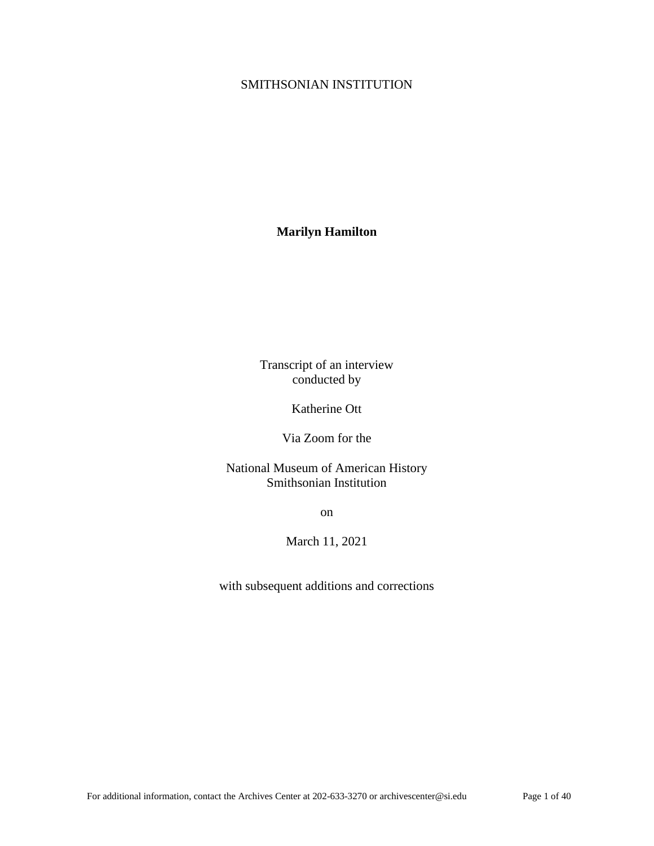## SMITHSONIAN INSTITUTION

# **Marilyn Hamilton**

Transcript of an interview conducted by

Katherine Ott

Via Zoom for the

National Museum of American History Smithsonian Institution

on

March 11, 2021

with subsequent additions and corrections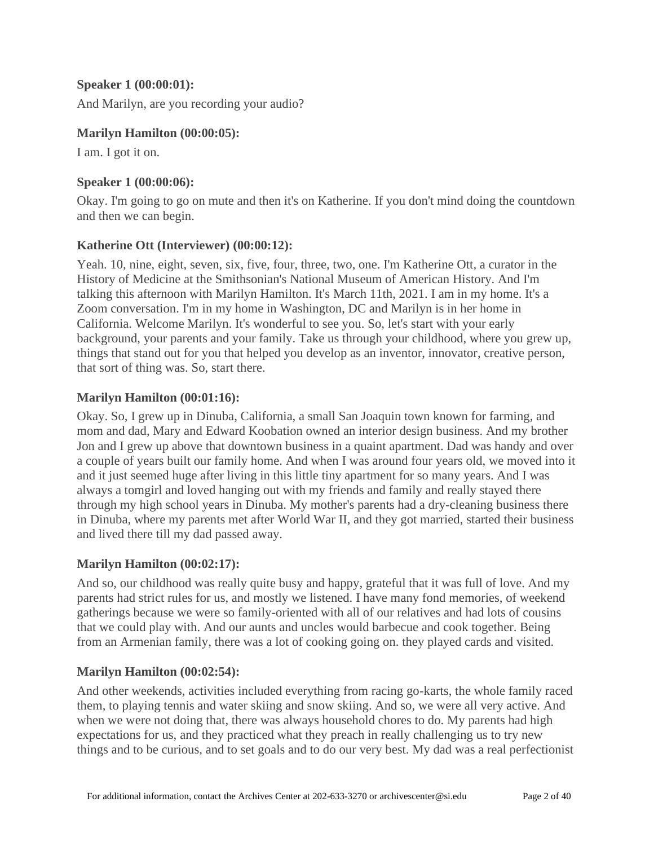### **Speaker 1 [\(00:00:01\)](https://www.rev.com/transcript-editor/Edit?token=HF0Wq95_WhxWkjvyGNqO6ldTqSLhXgX8axP8z7Leu7B71K_W6HZ-GJhiqEcgKy0DXwUmAPfA0cC8Z4yLnNGdQnx1sSQ&loadFrom=DocumentDeeplink&ts=1.21):**

And Marilyn, are you recording your audio?

### **Marilyn Hamilton [\(00:00:05\)](https://www.rev.com/transcript-editor/Edit?token=UjYwAaC2tUuiZQ3zDY0QwjEGQq7KTDdVQ8iWhUFnXOKErKRPdr33GHA84Coy_2G1jSKwundFuC2QX0WvOD2ZZOMOH28&loadFrom=DocumentDeeplink&ts=5.7):**

I am. I got it on.

## **Speaker 1 [\(00:00:06\)](https://www.rev.com/transcript-editor/Edit?token=YNgWhs1quvfmDSsfTerS8oQUn9qCVbuwheViYDD2l3V_p9GV0i_PZmrhS_EKD7lNM8LqlHyOOEKu9wui_v4f95bPw_Q&loadFrom=DocumentDeeplink&ts=6.63):**

Okay. I'm going to go on mute and then it's on Katherine. If you don't mind doing the countdown and then we can begin.

### **Katherine Ott (Interviewer) [\(00:00:12\)](https://www.rev.com/transcript-editor/Edit?token=-2XwyvI0Lun9Io-Z0UkQmU_-XzCGxCNBhbxw7Wl__YhKSGOOFJYPnjiMv0TOYPQswieTc4sU5PiA_0oEgs2weduKjpQ&loadFrom=DocumentDeeplink&ts=12.45):**

Yeah. 10, nine, eight, seven, six, five, four, three, two, one. I'm Katherine Ott, a curator in the History of Medicine at the Smithsonian's National Museum of American History. And I'm talking this afternoon with Marilyn Hamilton. It's March 11th, 2021. I am in my home. It's a Zoom conversation. I'm in my home in Washington, DC and Marilyn is in her home in California. Welcome Marilyn. It's wonderful to see you. So, let's start with your early background, your parents and your family. Take us through your childhood, where you grew up, things that stand out for you that helped you develop as an inventor, innovator, creative person, that sort of thing was. So, start there.

### **Marilyn Hamilton [\(00:01:16\)](https://www.rev.com/transcript-editor/Edit?token=5ay4V6fvQ0Y1kl4uyAuNaRwhO7wc_8CefySygx-_MokwCBgSml22v4VIUcwa-7FjD3dqKL-AqmiC1xjbpuHQydjjuJg&loadFrom=DocumentDeeplink&ts=76.58):**

Okay. So, I grew up in Dinuba, California, a small San Joaquin town known for farming, and mom and dad, Mary and Edward Koobation owned an interior design business. And my brother Jon and I grew up above that downtown business in a quaint apartment. Dad was handy and over a couple of years built our family home. And when I was around four years old, we moved into it and it just seemed huge after living in this little tiny apartment for so many years. And I was always a tomgirl and loved hanging out with my friends and family and really stayed there through my high school years in Dinuba. My mother's parents had a dry-cleaning business there in Dinuba, where my parents met after World War II, and they got married, started their business and lived there till my dad passed away.

## **Marilyn Hamilton [\(00:02:17\)](https://www.rev.com/transcript-editor/Edit?token=8ZhC6R2WVB2gE5C_eSiDY55m6U-VAD3wpoO0n_35N8uJl2OajF6nC8dES9GbNBSEX81lG_m5Rz5P5sKlHPu3KCH4hGc&loadFrom=DocumentDeeplink&ts=137.97):**

And so, our childhood was really quite busy and happy, grateful that it was full of love. And my parents had strict rules for us, and mostly we listened. I have many fond memories, of weekend gatherings because we were so family-oriented with all of our relatives and had lots of cousins that we could play with. And our aunts and uncles would barbecue and cook together. Being from an Armenian family, there was a lot of cooking going on. they played cards and visited.

## **Marilyn Hamilton [\(00:02:54\)](https://www.rev.com/transcript-editor/Edit?token=5CeYqr9PZ1ogKLO-u6EPdebd7uVH4ArX7rieQk1WV-rnZoXq0xZdC_0b2W4xd81P9AXijD3ERyG2ghroS1IhDQ6FAnY&loadFrom=DocumentDeeplink&ts=174.55):**

And other weekends, activities included everything from racing go-karts, the whole family raced them, to playing tennis and water skiing and snow skiing. And so, we were all very active. And when we were not doing that, there was always household chores to do. My parents had high expectations for us, and they practiced what they preach in really challenging us to try new things and to be curious, and to set goals and to do our very best. My dad was a real perfectionist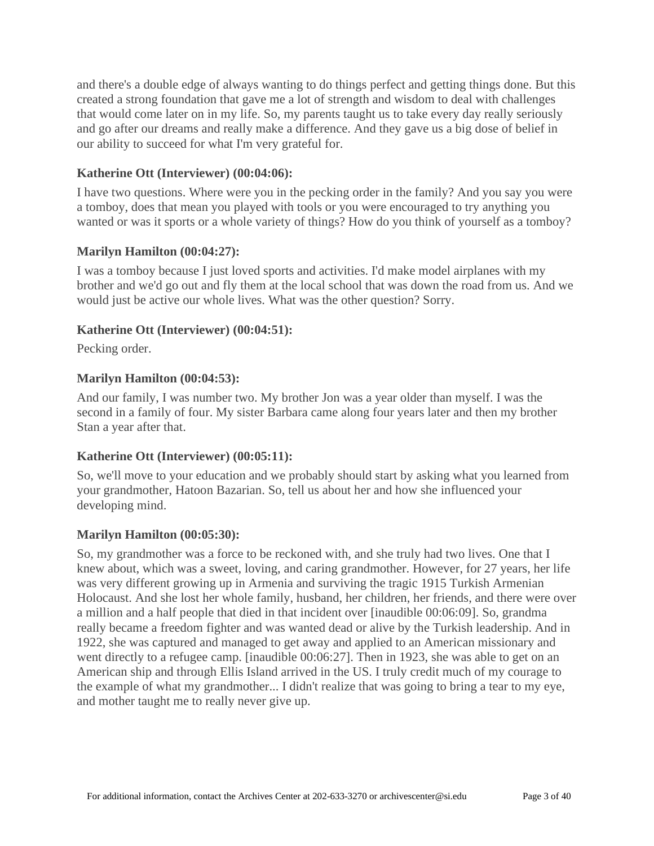and there's a double edge of always wanting to do things perfect and getting things done. But this created a strong foundation that gave me a lot of strength and wisdom to deal with challenges that would come later on in my life. So, my parents taught us to take every day really seriously and go after our dreams and really make a difference. And they gave us a big dose of belief in our ability to succeed for what I'm very grateful for.

## **Katherine Ott (Interviewer) [\(00:04:06\)](https://www.rev.com/transcript-editor/Edit?token=53j2yQcX-CnkEMFQxRo-oYlPgRXbkT-DxoEWpPxaTivyOiXjsg78mr8B2eD9XH53AyFFKKoUQ7QIPn7ltEIhb9z_Qrg&loadFrom=DocumentDeeplink&ts=246.1):**

I have two questions. Where were you in the pecking order in the family? And you say you were a tomboy, does that mean you played with tools or you were encouraged to try anything you wanted or was it sports or a whole variety of things? How do you think of yourself as a tomboy?

### **Marilyn Hamilton [\(00:04:27\)](https://www.rev.com/transcript-editor/Edit?token=0MbKNfRh3kBKu_xTDivPRqDoEsHpR-o9N2WgX8oNKAzVL7L7vhOg3gyKeZ6FWYp57U8fzHKBXZdt2LjDSMz37NCwdD4&loadFrom=DocumentDeeplink&ts=267.26):**

I was a tomboy because I just loved sports and activities. I'd make model airplanes with my brother and we'd go out and fly them at the local school that was down the road from us. And we would just be active our whole lives. What was the other question? Sorry.

### **Katherine Ott (Interviewer) [\(00:04:51\)](https://www.rev.com/transcript-editor/Edit?token=eBb6bgqu87oBFPnsa3Z7PDJQtIt433A9G3U8RdKKxf1XdGwOT-4QNMYRJ770yLN9tu0nK_z9S38SxiDBatmEhy-v56A&loadFrom=DocumentDeeplink&ts=291.67):**

Pecking order.

### **Marilyn Hamilton [\(00:04:53\)](https://www.rev.com/transcript-editor/Edit?token=R8U2tibIdVFs0Wvlsecky7dTbd0QY5Sc3yV4l3biRhKjM42mpvuRRz2JRJxnv6Ikps6MpvJbR2XNGiK2zh8SW2kk-Nw&loadFrom=DocumentDeeplink&ts=293.2):**

And our family, I was number two. My brother Jon was a year older than myself. I was the second in a family of four. My sister Barbara came along four years later and then my brother Stan a year after that.

### **Katherine Ott (Interviewer) [\(00:05:11\)](https://www.rev.com/transcript-editor/Edit?token=V8lKItrKLyBEkCSW7ZKu4JYplvGdgd9CR50aCVgUTQW1ZZtG3B33GnJALvXtLrn6pADfQ1Rn8rXyFGqtSVENIzYDvZI&loadFrom=DocumentDeeplink&ts=311.63):**

So, we'll move to your education and we probably should start by asking what you learned from your grandmother, Hatoon Bazarian. So, tell us about her and how she influenced your developing mind.

### **Marilyn Hamilton [\(00:05:30\)](https://www.rev.com/transcript-editor/Edit?token=8W30GUrp79W4LiPzdpcqEP4YlyglrfGOgj4PTX9oOjvdWR3B2Rj3RVogIX-CVWd1OoSY0E2LuXnZ6c_McU5ECBih3fE&loadFrom=DocumentDeeplink&ts=330.36):**

So, my grandmother was a force to be reckoned with, and she truly had two lives. One that I knew about, which was a sweet, loving, and caring grandmother. However, for 27 years, her life was very different growing up in Armenia and surviving the tragic 1915 Turkish Armenian Holocaust. And she lost her whole family, husband, her children, her friends, and there were over a million and a half people that died in that incident over [inaudible 00:06:09]. So, grandma really became a freedom fighter and was wanted dead or alive by the Turkish leadership. And in 1922, she was captured and managed to get away and applied to an American missionary and went directly to a refugee camp. [inaudible 00:06:27]. Then in 1923, she was able to get on an American ship and through Ellis Island arrived in the US. I truly credit much of my courage to the example of what my grandmother... I didn't realize that was going to bring a tear to my eye, and mother taught me to really never give up.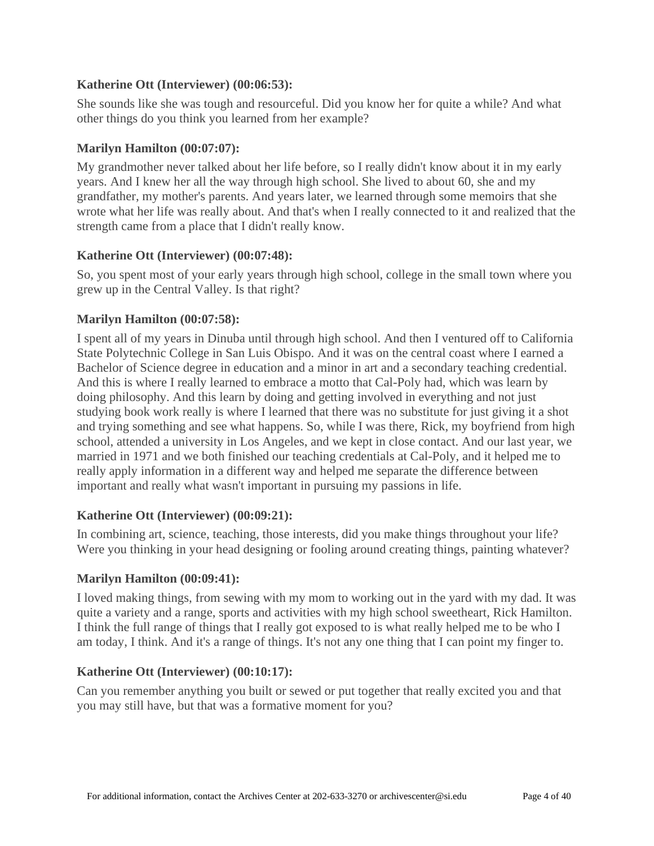### **Katherine Ott (Interviewer) [\(00:06:53\)](https://www.rev.com/transcript-editor/Edit?token=zhV0q6JIoGdFZeWDJRgf4Lyvi44Cy_lq4p8rRQLdffPdDEiZWlhY__6SQycuumxNkhTSUEQSSfmybCRViyA36jP0TTc&loadFrom=DocumentDeeplink&ts=413.69):**

She sounds like she was tough and resourceful. Did you know her for quite a while? And what other things do you think you learned from her example?

### **Marilyn Hamilton [\(00:07:07\)](https://www.rev.com/transcript-editor/Edit?token=EGndjFj14ioQN1OABVCLoohl0AWE7lg2wB2G-PsTk0gNj9JtceAfUMvAKuubySO8ABCH2sC9bUGKnAGsrPKa_NJ8-qI&loadFrom=DocumentDeeplink&ts=427.26):**

My grandmother never talked about her life before, so I really didn't know about it in my early years. And I knew her all the way through high school. She lived to about 60, she and my grandfather, my mother's parents. And years later, we learned through some memoirs that she wrote what her life was really about. And that's when I really connected to it and realized that the strength came from a place that I didn't really know.

### **Katherine Ott (Interviewer) [\(00:07:48\)](https://www.rev.com/transcript-editor/Edit?token=tmnBP9SRWfj20IyshTVtI7yvtfjH23HgkPaCl_k6EymKvrkH1cK_51KvGysog6wtEL35Rsrq9ug__7C8CdKeAL1VXuU&loadFrom=DocumentDeeplink&ts=468.76):**

So, you spent most of your early years through high school, college in the small town where you grew up in the Central Valley. Is that right?

## **Marilyn Hamilton [\(00:07:58\)](https://www.rev.com/transcript-editor/Edit?token=BzhD0E442ajbs2JX8Ge0RsvEMznies-JOxwOHvlmzA6KMoLOY3SiSlX2SACjzpeL_yMIBcv_jM0wMTsC3Y2YFedgH0c&loadFrom=DocumentDeeplink&ts=478.5):**

I spent all of my years in Dinuba until through high school. And then I ventured off to California State Polytechnic College in San Luis Obispo. And it was on the central coast where I earned a Bachelor of Science degree in education and a minor in art and a secondary teaching credential. And this is where I really learned to embrace a motto that Cal-Poly had, which was learn by doing philosophy. And this learn by doing and getting involved in everything and not just studying book work really is where I learned that there was no substitute for just giving it a shot and trying something and see what happens. So, while I was there, Rick, my boyfriend from high school, attended a university in Los Angeles, and we kept in close contact. And our last year, we married in 1971 and we both finished our teaching credentials at Cal-Poly, and it helped me to really apply information in a different way and helped me separate the difference between important and really what wasn't important in pursuing my passions in life.

### **Katherine Ott (Interviewer) [\(00:09:21\)](https://www.rev.com/transcript-editor/Edit?token=hWnIrDzYaUXOQvH6dGQYsVNJEwRtnQVvuziWkIrg-23l7ZSQasyfg-a70by37tjDKWczjZ2TUucGG_Dv2FyxW_gfmJY&loadFrom=DocumentDeeplink&ts=561.76):**

In combining art, science, teaching, those interests, did you make things throughout your life? Were you thinking in your head designing or fooling around creating things, painting whatever?

## **Marilyn Hamilton [\(00:09:41\)](https://www.rev.com/transcript-editor/Edit?token=DtBOugQvnraKQYYdb2GAu_IQltDZYEbSkOT9lR-L9XulCzDMguXKx0ikbj1qPynMa6IKup_zG2bnaHwx3pkRfDtBkUk&loadFrom=DocumentDeeplink&ts=581.49):**

I loved making things, from sewing with my mom to working out in the yard with my dad. It was quite a variety and a range, sports and activities with my high school sweetheart, Rick Hamilton. I think the full range of things that I really got exposed to is what really helped me to be who I am today, I think. And it's a range of things. It's not any one thing that I can point my finger to.

### **Katherine Ott (Interviewer) [\(00:10:17\)](https://www.rev.com/transcript-editor/Edit?token=1Pku2Wj8TxLmFc862Ehm2ofxRsaWZuXQmzkPGurQr_NDMp8pFduPORLFp3arElBzf2WzN_UmPKkI4npgu22G9vqrYfo&loadFrom=DocumentDeeplink&ts=617.59):**

Can you remember anything you built or sewed or put together that really excited you and that you may still have, but that was a formative moment for you?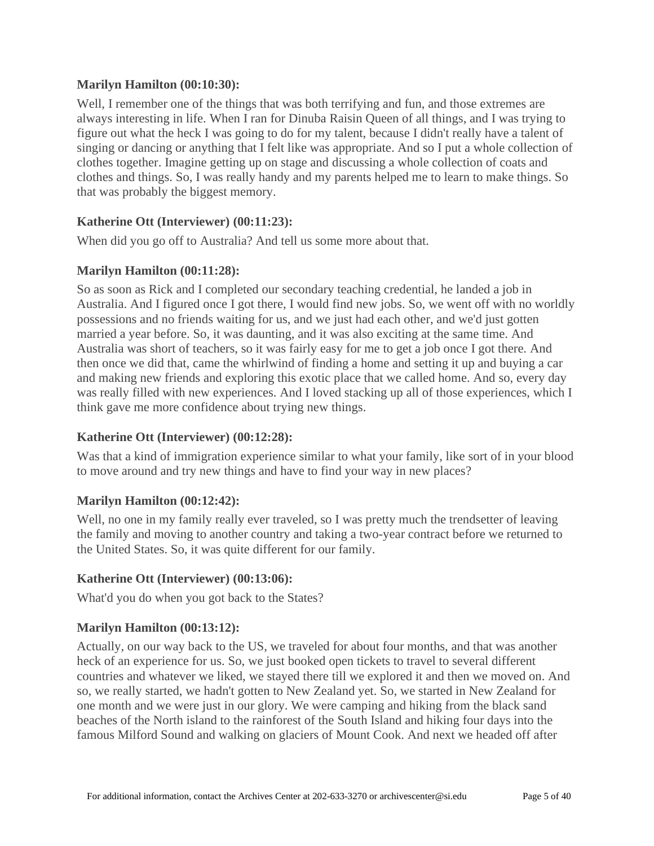## **Marilyn Hamilton [\(00:10:30\)](https://www.rev.com/transcript-editor/Edit?token=3pPrJdGrhl5wnZoNl3py6oWNnOzk72ib4ZuJ6B8Tj_e7tXn_XaQSGNV9wBn8IjrGHr6GvL_7Z-VNOvyEu1EGeZzq1TM&loadFrom=DocumentDeeplink&ts=630.84):**

Well, I remember one of the things that was both terrifying and fun, and those extremes are always interesting in life. When I ran for Dinuba Raisin Queen of all things, and I was trying to figure out what the heck I was going to do for my talent, because I didn't really have a talent of singing or dancing or anything that I felt like was appropriate. And so I put a whole collection of clothes together. Imagine getting up on stage and discussing a whole collection of coats and clothes and things. So, I was really handy and my parents helped me to learn to make things. So that was probably the biggest memory.

### **Katherine Ott (Interviewer) [\(00:11:23\)](https://www.rev.com/transcript-editor/Edit?token=2pHUz5SLM0bgVZTSCNLL_GcWwP1ZIS4aODE-emSiXlISmS278KXw3t1lm1c9kyh10UuzKYNfBdXutYhQmZHmEy1WjPY&loadFrom=DocumentDeeplink&ts=683.75):**

When did you go off to Australia? And tell us some more about that.

### **Marilyn Hamilton [\(00:11:28\)](https://www.rev.com/transcript-editor/Edit?token=IXIxmNX271O0i9vv0jj21sIaibWT1VfPfij-_5KZ4PRf8MxAloF829XxohzYVXqy63idqob0gWI3i4UAYhI9cWd74_c&loadFrom=DocumentDeeplink&ts=688.22):**

So as soon as Rick and I completed our secondary teaching credential, he landed a job in Australia. And I figured once I got there, I would find new jobs. So, we went off with no worldly possessions and no friends waiting for us, and we just had each other, and we'd just gotten married a year before. So, it was daunting, and it was also exciting at the same time. And Australia was short of teachers, so it was fairly easy for me to get a job once I got there. And then once we did that, came the whirlwind of finding a home and setting it up and buying a car and making new friends and exploring this exotic place that we called home. And so, every day was really filled with new experiences. And I loved stacking up all of those experiences, which I think gave me more confidence about trying new things.

## **Katherine Ott (Interviewer) [\(00:12:28\)](https://www.rev.com/transcript-editor/Edit?token=Wk0vFQG1W1lzCoFwrCvTZltSi0JVCSiXSYQvIVHy4RV_pRj2wAn_lS67SemDpYsopCGXc1nmmiUBworIexa0tt7Js5E&loadFrom=DocumentDeeplink&ts=748.36):**

Was that a kind of immigration experience similar to what your family, like sort of in your blood to move around and try new things and have to find your way in new places?

### **Marilyn Hamilton [\(00:12:42\)](https://www.rev.com/transcript-editor/Edit?token=EsxXKvZgYDQp5ocsA8IxOsWNYy_yPZ3c--ysRR3zE8MxvHMuZsewr6B3DydsAOnjbawLaGu1KXDsvz6pCO_Z-WKW0qs&loadFrom=DocumentDeeplink&ts=762.55):**

Well, no one in my family really ever traveled, so I was pretty much the trendsetter of leaving the family and moving to another country and taking a two-year contract before we returned to the United States. So, it was quite different for our family.

### **Katherine Ott (Interviewer) [\(00:13:06\)](https://www.rev.com/transcript-editor/Edit?token=ZuVEaU9E61XFMrIrn5SIejoAx9jsAnWJG-dk-BJ-cT7-Nkxa8RrkSAfFa1FB_5neTCnaMcrYn543d_YYkEAOamOmaaA&loadFrom=DocumentDeeplink&ts=786.56):**

What'd you do when you got back to the States?

## **Marilyn Hamilton [\(00:13:12\)](https://www.rev.com/transcript-editor/Edit?token=K_pzWRryvmTISsD0F35pCSvjBQYpG-2TqVVEPqpXpEgh9g6CVw-dguMWASNQsiwzttgzyXT-5XMjfzJwEMC2w0Lss3Y&loadFrom=DocumentDeeplink&ts=792.08):**

Actually, on our way back to the US, we traveled for about four months, and that was another heck of an experience for us. So, we just booked open tickets to travel to several different countries and whatever we liked, we stayed there till we explored it and then we moved on. And so, we really started, we hadn't gotten to New Zealand yet. So, we started in New Zealand for one month and we were just in our glory. We were camping and hiking from the black sand beaches of the North island to the rainforest of the South Island and hiking four days into the famous Milford Sound and walking on glaciers of Mount Cook. And next we headed off after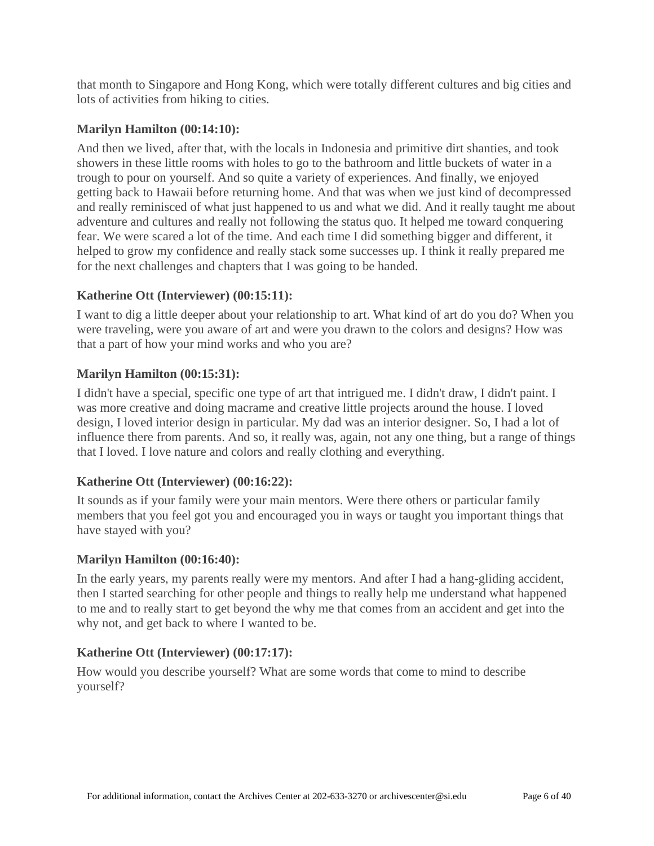that month to Singapore and Hong Kong, which were totally different cultures and big cities and lots of activities from hiking to cities.

## **Marilyn Hamilton [\(00:14:10\)](https://www.rev.com/transcript-editor/Edit?token=l6zrQQ0MtKizjM0UxGgb4aUFiSrcDM0mIJqoKrsjtlRcnzhtVa1l9UXwQ41a7RlyertqV7hkTXwSA9U0bOpfJ4INEMg&loadFrom=DocumentDeeplink&ts=850.72):**

And then we lived, after that, with the locals in Indonesia and primitive dirt shanties, and took showers in these little rooms with holes to go to the bathroom and little buckets of water in a trough to pour on yourself. And so quite a variety of experiences. And finally, we enjoyed getting back to Hawaii before returning home. And that was when we just kind of decompressed and really reminisced of what just happened to us and what we did. And it really taught me about adventure and cultures and really not following the status quo. It helped me toward conquering fear. We were scared a lot of the time. And each time I did something bigger and different, it helped to grow my confidence and really stack some successes up. I think it really prepared me for the next challenges and chapters that I was going to be handed.

### **Katherine Ott (Interviewer) [\(00:15:11\)](https://www.rev.com/transcript-editor/Edit?token=hz5IJdpbxDV8O6vEWBxTa8T5S3FMfWC81bDTxgatLOmBt3K6SpjRfx9ueRzDvOGgtIIO6CF4f9TudCooO8Gq2PLs-vA&loadFrom=DocumentDeeplink&ts=911.39):**

I want to dig a little deeper about your relationship to art. What kind of art do you do? When you were traveling, were you aware of art and were you drawn to the colors and designs? How was that a part of how your mind works and who you are?

### **Marilyn Hamilton [\(00:15:31\)](https://www.rev.com/transcript-editor/Edit?token=89j9NCjDlweY6Yr3nvtahF3RiTLe2DuMH4u4Y--uTHBGq2cL73vG4W6gW4RzPPYyAEzTY017E1p-IeV5D7BV6fjFgYI&loadFrom=DocumentDeeplink&ts=931.35):**

I didn't have a special, specific one type of art that intrigued me. I didn't draw, I didn't paint. I was more creative and doing macrame and creative little projects around the house. I loved design, I loved interior design in particular. My dad was an interior designer. So, I had a lot of influence there from parents. And so, it really was, again, not any one thing, but a range of things that I loved. I love nature and colors and really clothing and everything.

## **Katherine Ott (Interviewer) [\(00:16:22\)](https://www.rev.com/transcript-editor/Edit?token=MskH99SEmSeApJLrvl3nMlHtdHr2gRW-wpgcuIWc2GV58Clive82Fen_jrMHIT_7fQByiqkVplATyvVYPezT2wXe2DI&loadFrom=DocumentDeeplink&ts=982.57):**

It sounds as if your family were your main mentors. Were there others or particular family members that you feel got you and encouraged you in ways or taught you important things that have stayed with you?

### **Marilyn Hamilton [\(00:16:40\)](https://www.rev.com/transcript-editor/Edit?token=rsLPfTAab5o5DVPYdIF5ChPFYhz2erSs6DOrs9Kat2mRE_KZ5xkv_TC1HhJd5ZgIREmHJ4urQ078yWyziXQGBbTytmw&loadFrom=DocumentDeeplink&ts=1000.91):**

In the early years, my parents really were my mentors. And after I had a hang-gliding accident, then I started searching for other people and things to really help me understand what happened to me and to really start to get beyond the why me that comes from an accident and get into the why not, and get back to where I wanted to be.

## **Katherine Ott (Interviewer) [\(00:17:17\)](https://www.rev.com/transcript-editor/Edit?token=KasT5KumNPAPgedPRpvGr04x_2ugx15XP4b72KlUcgcjc25SfrEkWeL2gzTMpF6tvrdD53C3VfGHf7OOloZuJygxIw0&loadFrom=DocumentDeeplink&ts=1037.57):**

How would you describe yourself? What are some words that come to mind to describe yourself?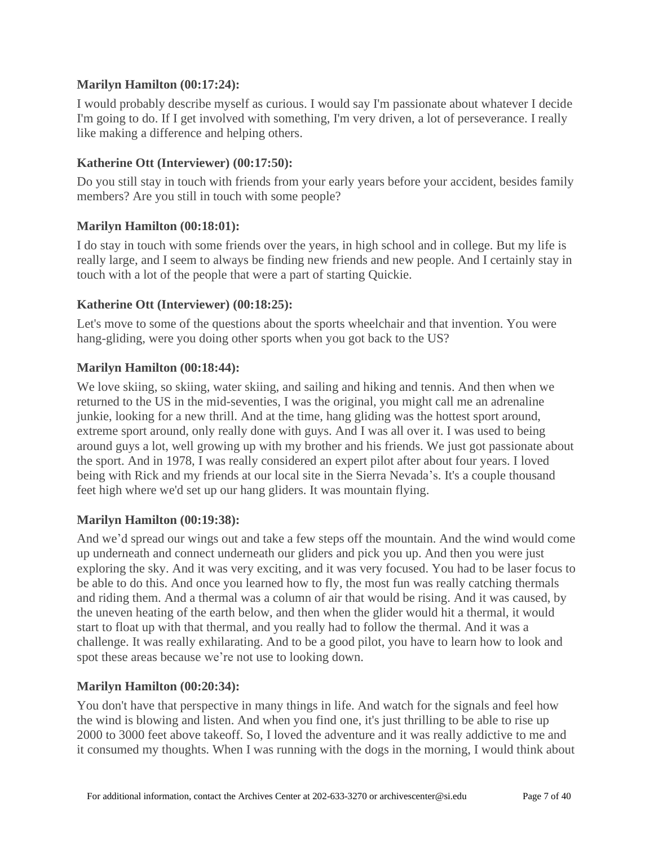## **Marilyn Hamilton [\(00:17:24\)](https://www.rev.com/transcript-editor/Edit?token=ZoYTEb8C2MubSBLDtXnFJ7TKXiQZQrm3aeGltchZPinU3nCqUcdbWQkuzItRzrKDwEg8H7BWIpSakHV9vV7i7U1SLac&loadFrom=DocumentDeeplink&ts=1044.56):**

I would probably describe myself as curious. I would say I'm passionate about whatever I decide I'm going to do. If I get involved with something, I'm very driven, a lot of perseverance. I really like making a difference and helping others.

### **Katherine Ott (Interviewer) [\(00:17:50\)](https://www.rev.com/transcript-editor/Edit?token=EnNFE1-rjjVpIJajIL70TFfqCpVSY0VQR3130zUdZlxsOJ71VlU6KXUUFKeCU05Dd10CgccMcFyreIWuaAs_Twlf_5U&loadFrom=DocumentDeeplink&ts=1070.84):**

Do you still stay in touch with friends from your early years before your accident, besides family members? Are you still in touch with some people?

### **Marilyn Hamilton [\(00:18:01\)](https://www.rev.com/transcript-editor/Edit?token=oTVvmEPF4xbikn3D9quhtDghVLE9Om0_ZQvz7TZI8rbKEVshFZd1mBY_TZjMBesDuFJJhAJGosxkb32jgG25zxE3aJc&loadFrom=DocumentDeeplink&ts=1081.61):**

I do stay in touch with some friends over the years, in high school and in college. But my life is really large, and I seem to always be finding new friends and new people. And I certainly stay in touch with a lot of the people that were a part of starting Quickie.

### **Katherine Ott (Interviewer) [\(00:18:25\)](https://www.rev.com/transcript-editor/Edit?token=M16hKxJNqtHYDD5RPcfpDV6AS4DBXJteyZZHkEFfYO5HASJRjkdysJLvajkofg2ETTQ6sde3rAnST1DUCMes-UzVkBs&loadFrom=DocumentDeeplink&ts=1105.75):**

Let's move to some of the questions about the sports wheelchair and that invention. You were hang-gliding, were you doing other sports when you got back to the US?

### **Marilyn Hamilton [\(00:18:44\)](https://www.rev.com/transcript-editor/Edit?token=KyH47if_TEMaK8504l9AtxMQntEzeojSmAzEKv-F_G_pmCTWPZTIJJ-yxuTrTp3kj2akKeD56JfCcNSWyI09Um_DU5g&loadFrom=DocumentDeeplink&ts=1124.01):**

We love skiing, so skiing, water skiing, and sailing and hiking and tennis. And then when we returned to the US in the mid-seventies, I was the original, you might call me an adrenaline junkie, looking for a new thrill. And at the time, hang gliding was the hottest sport around, extreme sport around, only really done with guys. And I was all over it. I was used to being around guys a lot, well growing up with my brother and his friends. We just got passionate about the sport. And in 1978, I was really considered an expert pilot after about four years. I loved being with Rick and my friends at our local site in the Sierra Nevada's. It's a couple thousand feet high where we'd set up our hang gliders. It was mountain flying.

### **Marilyn Hamilton [\(00:19:38\)](https://www.rev.com/transcript-editor/Edit?token=7zjg_frWyEFNLOIIz4Mz5KZrAONg6_58YRySKJPDwgwn44mjK7nZUnCbO_Ut5UAQnfNsJnnk6jcIg7AIZklXjwgHiis&loadFrom=DocumentDeeplink&ts=1178.38):**

And we'd spread our wings out and take a few steps off the mountain. And the wind would come up underneath and connect underneath our gliders and pick you up. And then you were just exploring the sky. And it was very exciting, and it was very focused. You had to be laser focus to be able to do this. And once you learned how to fly, the most fun was really catching thermals and riding them. And a thermal was a column of air that would be rising. And it was caused, by the uneven heating of the earth below, and then when the glider would hit a thermal, it would start to float up with that thermal, and you really had to follow the thermal. And it was a challenge. It was really exhilarating. And to be a good pilot, you have to learn how to look and spot these areas because we're not use to looking down.

### **Marilyn Hamilton [\(00:20:34\)](https://www.rev.com/transcript-editor/Edit?token=kSNncp9TcYKADhDonjVYyPEbwC54mqQiG_IMa1IX_BFyLfJh4KQ3c-_l3hKz5LoEd1ahN4OrFIh4HBGHPXvrDgHf4Ug&loadFrom=DocumentDeeplink&ts=1234.88):**

You don't have that perspective in many things in life. And watch for the signals and feel how the wind is blowing and listen. And when you find one, it's just thrilling to be able to rise up 2000 to 3000 feet above takeoff. So, I loved the adventure and it was really addictive to me and it consumed my thoughts. When I was running with the dogs in the morning, I would think about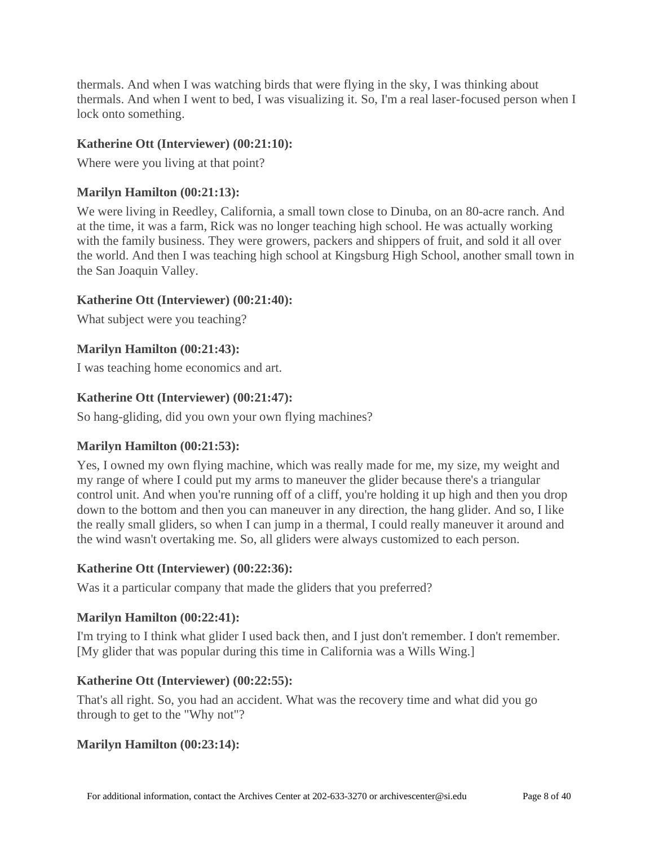thermals. And when I was watching birds that were flying in the sky, I was thinking about thermals. And when I went to bed, I was visualizing it. So, I'm a real laser-focused person when I lock onto something.

## **Katherine Ott (Interviewer) [\(00:21:10\)](https://www.rev.com/transcript-editor/Edit?token=0L7MvqCJY5g43mS8LtDBGXIk6fD5NjrKOPseoGz-qcpZLXtxOQOWtgfR_oAKyg0Cvgs0vbpslrYDfukW8RjhcgtyWKo&loadFrom=DocumentDeeplink&ts=1270.92):**

Where were you living at that point?

### **Marilyn Hamilton [\(00:21:13\)](https://www.rev.com/transcript-editor/Edit?token=UjlA6Hr7CNb3F_-zPHCrEVDfPdALnEsu1K8rhGYIXP1lZ9MBuira36eMiAC5sYQ-r9z9b2ouv4kDAPhYcLQvndaSPvk&loadFrom=DocumentDeeplink&ts=1273.5):**

We were living in Reedley, California, a small town close to Dinuba, on an 80-acre ranch. And at the time, it was a farm, Rick was no longer teaching high school. He was actually working with the family business. They were growers, packers and shippers of fruit, and sold it all over the world. And then I was teaching high school at Kingsburg High School, another small town in the San Joaquin Valley.

### **Katherine Ott (Interviewer) [\(00:21:40\)](https://www.rev.com/transcript-editor/Edit?token=EVO67lEbH0wXoyJJnJ37Av88HPGXv-Zj-RzCt4Y0IuKPjXFT2OZzWCcjzcO6BveGzjB5yXeLBYEo9cKtP0pB1kdpfe0&loadFrom=DocumentDeeplink&ts=1300.74):**

What subject were you teaching?

### **Marilyn Hamilton [\(00:21:43\)](https://www.rev.com/transcript-editor/Edit?token=2kNv73UGnh0gleMOGmEAv4NjVSN95MqycYLOmnDCjMg2pydtEXAxzMEpKxnV8KdOR20r43OXNhfoX8-EDSVtYlEMaws&loadFrom=DocumentDeeplink&ts=1303.03):**

I was teaching home economics and art.

### **Katherine Ott (Interviewer) [\(00:21:47\)](https://www.rev.com/transcript-editor/Edit?token=2wSRBafXmjbR_-75t__gAjCJAsj_kY0ojec2F1ZG_uTXYgaeE49KnaHIMXf6Z3KxaSh_vKgHoD_jA-4H1W8RkO1Y7zQ&loadFrom=DocumentDeeplink&ts=1307.66):**

So hang-gliding, did you own your own flying machines?

### **Marilyn Hamilton [\(00:21:53\)](https://www.rev.com/transcript-editor/Edit?token=vEVlUsKfZrSfdG0pXcGxXLhFPJnQYB3v_-rwvpQ99jcnIQbWDnZi8Aog_DC8MTkAQ5e5adUnpR_kx7-C43DqMS-lI_Y&loadFrom=DocumentDeeplink&ts=1313.99):**

Yes, I owned my own flying machine, which was really made for me, my size, my weight and my range of where I could put my arms to maneuver the glider because there's a triangular control unit. And when you're running off of a cliff, you're holding it up high and then you drop down to the bottom and then you can maneuver in any direction, the hang glider. And so, I like the really small gliders, so when I can jump in a thermal, I could really maneuver it around and the wind wasn't overtaking me. So, all gliders were always customized to each person.

### **Katherine Ott (Interviewer) [\(00:22:36\)](https://www.rev.com/transcript-editor/Edit?token=eICLS8IuR69HVAG4QNCCqdZSts6N6PJdwRR5uZU9Uu9Ps8BFNGjHnti0ADsdsDXOzTuhRsJwMlK1gEQsVAxoU54Z-fA&loadFrom=DocumentDeeplink&ts=1356.68):**

Was it a particular company that made the gliders that you preferred?

### **Marilyn Hamilton [\(00:22:41\)](https://www.rev.com/transcript-editor/Edit?token=69h0VD31HO8OC3n0Mnxc0shWymsDwmkl0a0kzbOWA8NyTIXS0TxFsaYHDfvwehdSRrGi3D4Ppu6uX4MhIV1aXDjn35M&loadFrom=DocumentDeeplink&ts=1361.53):**

I'm trying to I think what glider I used back then, and I just don't remember. I don't remember. [My glider that was popular during this time in California was a Wills Wing.]

### **Katherine Ott (Interviewer) [\(00:22:55\)](https://www.rev.com/transcript-editor/Edit?token=Wii4-BC4-YCXAxmmKwn4UTYOmpOov_t27YbMwtrh3P69Garw7G4S5Xa-OsD44Wj0W0FKg2-5XD1Cj-4DHghWhfGVhYQ&loadFrom=DocumentDeeplink&ts=1375.36):**

That's all right. So, you had an accident. What was the recovery time and what did you go through to get to the "Why not"?

### **Marilyn Hamilton [\(00:23:14\)](https://www.rev.com/transcript-editor/Edit?token=__j8XB_Otp8w-knjq95NYXOGNUFgU5zYVu3X0B0xB5SNqpYwJMg-YBHdm5GGIGY_s1Cf8iFAFaVt_cAgur9aVRHp2mc&loadFrom=DocumentDeeplink&ts=1394.31):**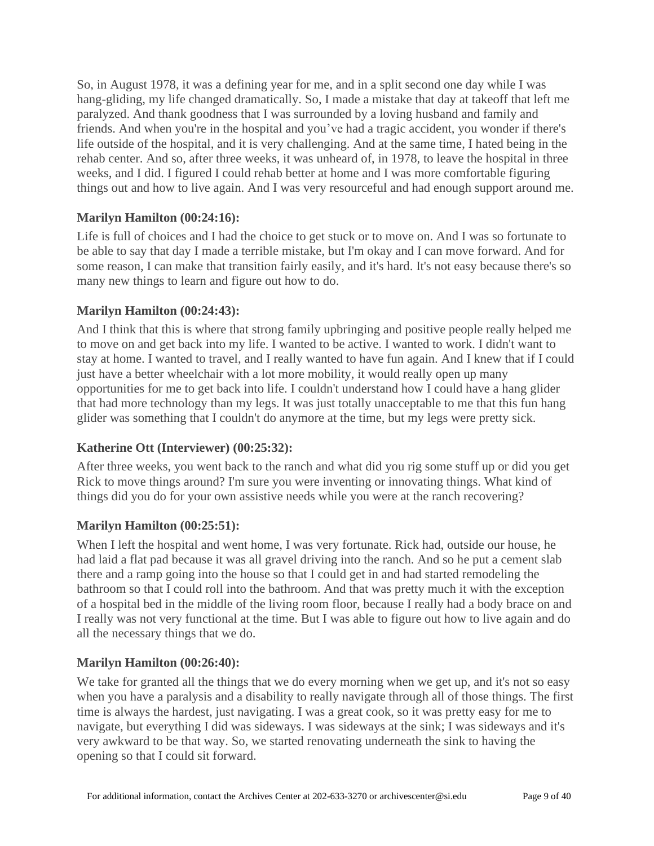So, in August 1978, it was a defining year for me, and in a split second one day while I was hang-gliding, my life changed dramatically. So, I made a mistake that day at takeoff that left me paralyzed. And thank goodness that I was surrounded by a loving husband and family and friends. And when you're in the hospital and you've had a tragic accident, you wonder if there's life outside of the hospital, and it is very challenging. And at the same time, I hated being in the rehab center. And so, after three weeks, it was unheard of, in 1978, to leave the hospital in three weeks, and I did. I figured I could rehab better at home and I was more comfortable figuring things out and how to live again. And I was very resourceful and had enough support around me.

## **Marilyn Hamilton [\(00:24:16\)](https://www.rev.com/transcript-editor/Edit?token=oJnSHVmMD7CTmHCzB178YqoGwjXDT-6SsbEJvfaLwW_DqSgCQg5-63oorMzjREGaiHuI4figyZGE-Rs6IQd-BQn7W3U&loadFrom=DocumentDeeplink&ts=1456.54):**

Life is full of choices and I had the choice to get stuck or to move on. And I was so fortunate to be able to say that day I made a terrible mistake, but I'm okay and I can move forward. And for some reason, I can make that transition fairly easily, and it's hard. It's not easy because there's so many new things to learn and figure out how to do.

### **Marilyn Hamilton [\(00:24:43\)](https://www.rev.com/transcript-editor/Edit?token=-XVkHkhcxYwlCxGo_R46-EwvKiTr7QCglb6okDcQxpE7HFZcrxQDzmAGAGBSyovI9GYwvSFMiKurIzq6on5kyuvOkfg&loadFrom=DocumentDeeplink&ts=1483.54):**

And I think that this is where that strong family upbringing and positive people really helped me to move on and get back into my life. I wanted to be active. I wanted to work. I didn't want to stay at home. I wanted to travel, and I really wanted to have fun again. And I knew that if I could just have a better wheelchair with a lot more mobility, it would really open up many opportunities for me to get back into life. I couldn't understand how I could have a hang glider that had more technology than my legs. It was just totally unacceptable to me that this fun hang glider was something that I couldn't do anymore at the time, but my legs were pretty sick.

### **Katherine Ott (Interviewer) [\(00:25:32\)](https://www.rev.com/transcript-editor/Edit?token=vywpilGEFP5jSdNl_KQlISYSqfJ94_VfG0hSCtBis-ZdaQSKGIGzQDvY1ligPTUuq33WLJ4FK9lxOc4ykf-2Kieg67c&loadFrom=DocumentDeeplink&ts=1532.64):**

After three weeks, you went back to the ranch and what did you rig some stuff up or did you get Rick to move things around? I'm sure you were inventing or innovating things. What kind of things did you do for your own assistive needs while you were at the ranch recovering?

### **Marilyn Hamilton [\(00:25:51\)](https://www.rev.com/transcript-editor/Edit?token=FqFYfWIMemQA6MOJ0RGp0w26ToK8lnK36Hx7JYVM_C05mue6M2RdPwzl2Vcl9TW4DqV7oZCyqTHL0txXjVTdBtN11cQ&loadFrom=DocumentDeeplink&ts=1551.82):**

When I left the hospital and went home, I was very fortunate. Rick had, outside our house, he had laid a flat pad because it was all gravel driving into the ranch. And so he put a cement slab there and a ramp going into the house so that I could get in and had started remodeling the bathroom so that I could roll into the bathroom. And that was pretty much it with the exception of a hospital bed in the middle of the living room floor, because I really had a body brace on and I really was not very functional at the time. But I was able to figure out how to live again and do all the necessary things that we do.

### **Marilyn Hamilton [\(00:26:40\)](https://www.rev.com/transcript-editor/Edit?token=mnWy7RJC_HguelE9FchYl-PUkRNeM3UKPpy0vjzG16nJV7U45se8zTGFPg8FImlS7fDvb4UWgT0oLb2RU8k9gC4ZLoM&loadFrom=DocumentDeeplink&ts=1600.03):**

We take for granted all the things that we do every morning when we get up, and it's not so easy when you have a paralysis and a disability to really navigate through all of those things. The first time is always the hardest, just navigating. I was a great cook, so it was pretty easy for me to navigate, but everything I did was sideways. I was sideways at the sink; I was sideways and it's very awkward to be that way. So, we started renovating underneath the sink to having the opening so that I could sit forward.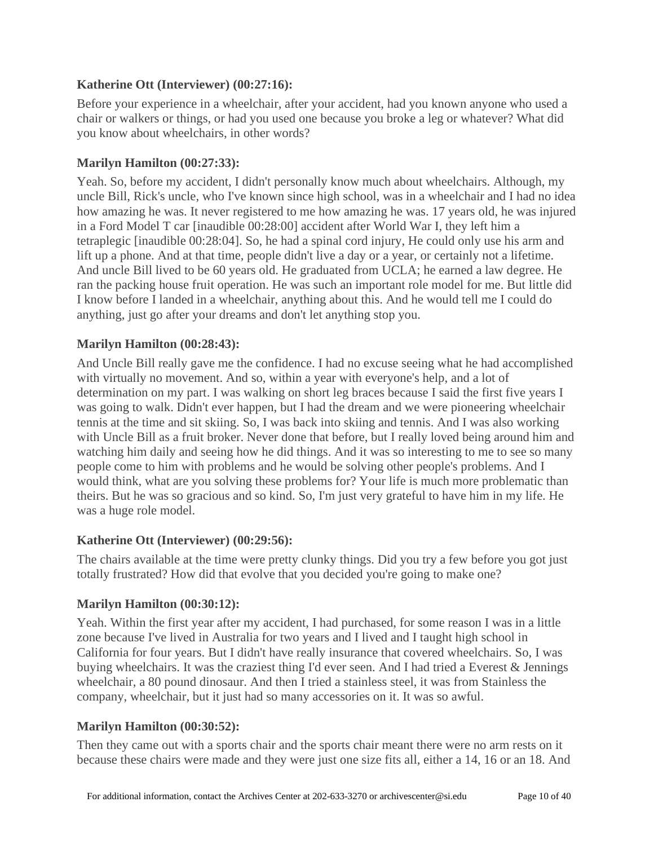## **Katherine Ott (Interviewer) [\(00:27:16\)](https://www.rev.com/transcript-editor/Edit?token=YW4dH9zUTbt9x4xFPacaeYYSlpMoeHF7VDiPi34q076FKC3fd6IXM_Ip66dZjSYwZjE5PfLYkqpojh-H2AMctuBDm4c&loadFrom=DocumentDeeplink&ts=1636.33):**

Before your experience in a wheelchair, after your accident, had you known anyone who used a chair or walkers or things, or had you used one because you broke a leg or whatever? What did you know about wheelchairs, in other words?

### **Marilyn Hamilton [\(00:27:33\)](https://www.rev.com/transcript-editor/Edit?token=JsRNuhw6C3_xvGNGJZfmSn3IuJ8X8qHxAGPfCoh-aqx_99vdjVXD__aP0OioRszou4DRx2RQnvvXSTwaA8pO0283UsM&loadFrom=DocumentDeeplink&ts=1653.41):**

Yeah. So, before my accident, I didn't personally know much about wheelchairs. Although, my uncle Bill, Rick's uncle, who I've known since high school, was in a wheelchair and I had no idea how amazing he was. It never registered to me how amazing he was. 17 years old, he was injured in a Ford Model T car [inaudible 00:28:00] accident after World War I, they left him a tetraplegic [inaudible 00:28:04]. So, he had a spinal cord injury, He could only use his arm and lift up a phone. And at that time, people didn't live a day or a year, or certainly not a lifetime. And uncle Bill lived to be 60 years old. He graduated from UCLA; he earned a law degree. He ran the packing house fruit operation. He was such an important role model for me. But little did I know before I landed in a wheelchair, anything about this. And he would tell me I could do anything, just go after your dreams and don't let anything stop you.

### **Marilyn Hamilton [\(00:28:43\)](https://www.rev.com/transcript-editor/Edit?token=H9aegoDNKizCc-S3-_GiO6-sRsYXkyeqgj4cikTG6HAFAyVy-dXLux-JMWoZPttNQjIi4AVfvhXNfxlkf27pgZ-o2BE&loadFrom=DocumentDeeplink&ts=1723.6):**

And Uncle Bill really gave me the confidence. I had no excuse seeing what he had accomplished with virtually no movement. And so, within a year with everyone's help, and a lot of determination on my part. I was walking on short leg braces because I said the first five years I was going to walk. Didn't ever happen, but I had the dream and we were pioneering wheelchair tennis at the time and sit skiing. So, I was back into skiing and tennis. And I was also working with Uncle Bill as a fruit broker. Never done that before, but I really loved being around him and watching him daily and seeing how he did things. And it was so interesting to me to see so many people come to him with problems and he would be solving other people's problems. And I would think, what are you solving these problems for? Your life is much more problematic than theirs. But he was so gracious and so kind. So, I'm just very grateful to have him in my life. He was a huge role model.

### **Katherine Ott (Interviewer) [\(00:29:56\)](https://www.rev.com/transcript-editor/Edit?token=F5cpNloYsvS6g02HbFmQ9K_w0_Bdl9K5y1CWTH1mNJx5lqc0RrmkxCfpI2hA1rLGWEJYF-pYGcWZsYeeYcICgyqqXU0&loadFrom=DocumentDeeplink&ts=1796.53):**

The chairs available at the time were pretty clunky things. Did you try a few before you got just totally frustrated? How did that evolve that you decided you're going to make one?

### **Marilyn Hamilton [\(00:30:12\)](https://www.rev.com/transcript-editor/Edit?token=bXC7lY7Hokytm8FL1rG-8u5gkPvFyd9bWl9G6Y2KGQqEmSnCsWy5eydydSvYroJJFw6wg5bb541w1yWX2BzrU_otmwY&loadFrom=DocumentDeeplink&ts=1812.7):**

Yeah. Within the first year after my accident, I had purchased, for some reason I was in a little zone because I've lived in Australia for two years and I lived and I taught high school in California for four years. But I didn't have really insurance that covered wheelchairs. So, I was buying wheelchairs. It was the craziest thing I'd ever seen. And I had tried a Everest & Jennings wheelchair, a 80 pound dinosaur. And then I tried a stainless steel, it was from Stainless the company, wheelchair, but it just had so many accessories on it. It was so awful.

## **Marilyn Hamilton [\(00:30:52\)](https://www.rev.com/transcript-editor/Edit?token=f3nTwls8acOQkcXlHWTUGSxjpmefCsFu5_dspY28M6FVLeKMbtqvLbBJlFPnUtiYKlEPYKpju03jZ5MuPj6JfwqqCWQ&loadFrom=DocumentDeeplink&ts=1852.74):**

Then they came out with a sports chair and the sports chair meant there were no arm rests on it because these chairs were made and they were just one size fits all, either a 14, 16 or an 18. And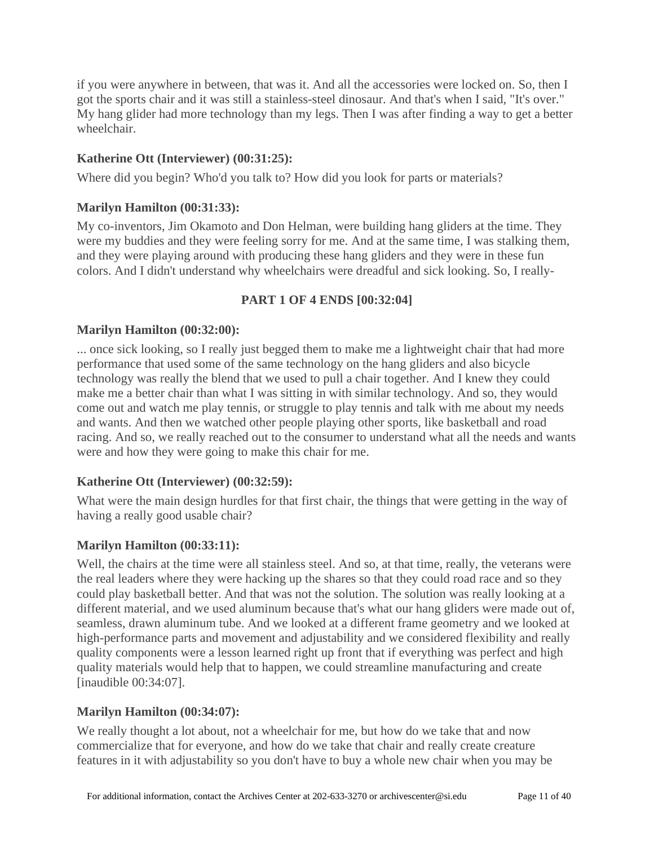if you were anywhere in between, that was it. And all the accessories were locked on. So, then I got the sports chair and it was still a stainless-steel dinosaur. And that's when I said, "It's over." My hang glider had more technology than my legs. Then I was after finding a way to get a better wheelchair.

## **Katherine Ott (Interviewer) [\(00:31:25\)](https://www.rev.com/transcript-editor/Edit?token=EeCucb0xQmHaoqmBzwgwQplD1gN6mphlbzUr5S97hoSxn1RK4QRn3UuBqCLg0IKgB-6sNTRh2de_bSdnRhwgXBcosas&loadFrom=DocumentDeeplink&ts=1885.45):**

Where did you begin? Who'd you talk to? How did you look for parts or materials?

### **Marilyn Hamilton [\(00:31:33\)](https://www.rev.com/transcript-editor/Edit?token=s8E-63jp38mZsZv896gp12dfY39CLB9aqpuCigsogjh7KDqsMxdKIYBlvClCcBMCijeZMqrlCMXjxml4qHqqi22ej7I&loadFrom=DocumentDeeplink&ts=1893.6):**

My co-inventors, Jim Okamoto and Don Helman, were building hang gliders at the time. They were my buddies and they were feeling sorry for me. And at the same time, I was stalking them, and they were playing around with producing these hang gliders and they were in these fun colors. And I didn't understand why wheelchairs were dreadful and sick looking. So, I really-

### **PART 1 OF 4 ENDS [00:32:04]**

### **Marilyn Hamilton [\(00:32:00\)](https://www.rev.com/transcript-editor/Edit?token=BmWPnpvmF7N8eCwvOcdWjJsnnQ7q9xX7OMnYYxy_Gmq_-Rg2Ti9e3gMIhVSOmkHuND3Fd4AoxZQG-O7rNLNGZudWeKM&loadFrom=DocumentDeeplink&ts=1920.44):**

... once sick looking, so I really just begged them to make me a lightweight chair that had more performance that used some of the same technology on the hang gliders and also bicycle technology was really the blend that we used to pull a chair together. And I knew they could make me a better chair than what I was sitting in with similar technology. And so, they would come out and watch me play tennis, or struggle to play tennis and talk with me about my needs and wants. And then we watched other people playing other sports, like basketball and road racing. And so, we really reached out to the consumer to understand what all the needs and wants were and how they were going to make this chair for me.

## **Katherine Ott (Interviewer) [\(00:32:59\)](https://www.rev.com/transcript-editor/Edit?token=niU2BpKMIvCmcAM5jOGfi_CTriWNko3omOfCEWJy_Tno76HucKG-Qb7qAsa4_CtjnAnlaw7j8POT2xTxXKmbPjbBRvU&loadFrom=DocumentDeeplink&ts=1979.67):**

What were the main design hurdles for that first chair, the things that were getting in the way of having a really good usable chair?

### **Marilyn Hamilton [\(00:33:11\)](https://www.rev.com/transcript-editor/Edit?token=CzEMcwStOxmjyFWhPi8AmxtzG-FttC5ifxdvBnsdTlj0c5ck5oP3rOzR3WknqLfrmHNjiWG3rHg98d5lKVyUmFSnFBw&loadFrom=DocumentDeeplink&ts=1991.42):**

Well, the chairs at the time were all stainless steel. And so, at that time, really, the veterans were the real leaders where they were hacking up the shares so that they could road race and so they could play basketball better. And that was not the solution. The solution was really looking at a different material, and we used aluminum because that's what our hang gliders were made out of, seamless, drawn aluminum tube. And we looked at a different frame geometry and we looked at high-performance parts and movement and adjustability and we considered flexibility and really quality components were a lesson learned right up front that if everything was perfect and high quality materials would help that to happen, we could streamline manufacturing and create [inaudible 00:34:07].

### **Marilyn Hamilton [\(00:34:07\)](https://www.rev.com/transcript-editor/Edit?token=PFgnia3_VAoVz8fYB3l0AzbMuoHi7TKVRwSHFUWViRj4l5PrsiblqPIOREgfv8QTXRerrgVy40h58yHoAg-d8cmnN88&loadFrom=DocumentDeeplink&ts=2047.76):**

We really thought a lot about, not a wheelchair for me, but how do we take that and now commercialize that for everyone, and how do we take that chair and really create creature features in it with adjustability so you don't have to buy a whole new chair when you may be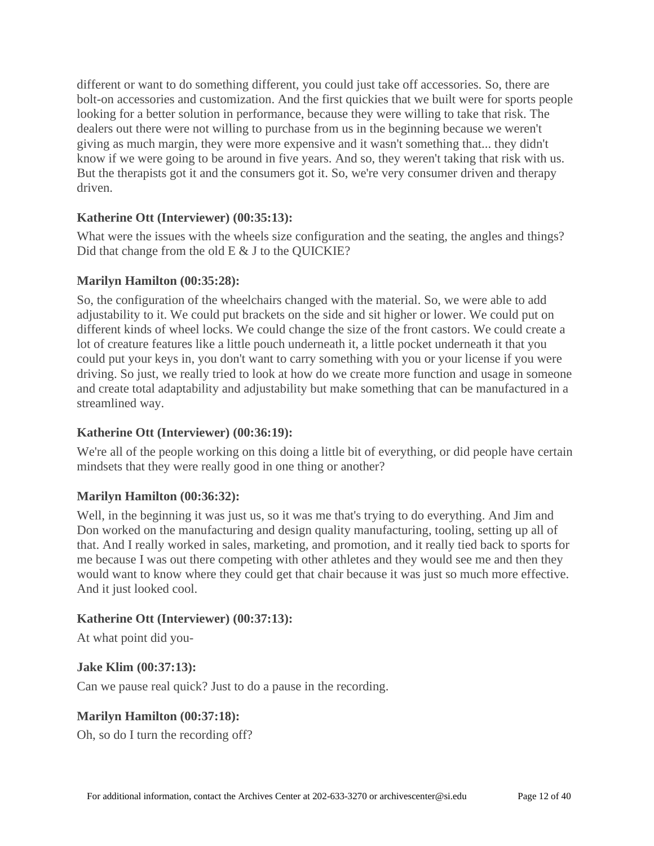different or want to do something different, you could just take off accessories. So, there are bolt-on accessories and customization. And the first quickies that we built were for sports people looking for a better solution in performance, because they were willing to take that risk. The dealers out there were not willing to purchase from us in the beginning because we weren't giving as much margin, they were more expensive and it wasn't something that... they didn't know if we were going to be around in five years. And so, they weren't taking that risk with us. But the therapists got it and the consumers got it. So, we're very consumer driven and therapy driven.

### **Katherine Ott (Interviewer) [\(00:35:13\)](https://www.rev.com/transcript-editor/Edit?token=CX9q5C_UeqnyAn-b1CucZV28SxMaguS-JydDm0xR-WndUiS-xeajtg2-AaW89cc4GgE4mlCdmDlQ7x7pJqVH2dWOmHc&loadFrom=DocumentDeeplink&ts=2113.64):**

What were the issues with the wheels size configuration and the seating, the angles and things? Did that change from the old E & J to the QUICKIE?

### **Marilyn Hamilton [\(00:35:28\)](https://www.rev.com/transcript-editor/Edit?token=wweVP-zI0DkjD5iRDOlawGJzPfKKbYKeF-TSpTZ-zRQE_nOs0iiWAZxy3k3dPIzp410DeAOiju8LZIGXt6Dvx1Tx7EU&loadFrom=DocumentDeeplink&ts=2128.76):**

So, the configuration of the wheelchairs changed with the material. So, we were able to add adjustability to it. We could put brackets on the side and sit higher or lower. We could put on different kinds of wheel locks. We could change the size of the front castors. We could create a lot of creature features like a little pouch underneath it, a little pocket underneath it that you could put your keys in, you don't want to carry something with you or your license if you were driving. So just, we really tried to look at how do we create more function and usage in someone and create total adaptability and adjustability but make something that can be manufactured in a streamlined way.

## **Katherine Ott (Interviewer) [\(00:36:19\)](https://www.rev.com/transcript-editor/Edit?token=x9PnRci64GXNVvv_sMt0GpYgMAuMMv5mF0cL2_HGJBHuAgxXr-nKCKXFwsRnM-s6ByMAc96s1ogAPt2VBzGWhkFDsy0&loadFrom=DocumentDeeplink&ts=2179.07):**

We're all of the people working on this doing a little bit of everything, or did people have certain mindsets that they were really good in one thing or another?

### **Marilyn Hamilton [\(00:36:32\)](https://www.rev.com/transcript-editor/Edit?token=5UlVTFf8_6kxAnvAbRi8Ah8lO-Geh_9NwV6BRVtz5DntkefU4TIdbBr6FYWqa6ZIx0QY7JW9_E5QZaFWt2mRc-SADHo&loadFrom=DocumentDeeplink&ts=2192.22):**

Well, in the beginning it was just us, so it was me that's trying to do everything. And Jim and Don worked on the manufacturing and design quality manufacturing, tooling, setting up all of that. And I really worked in sales, marketing, and promotion, and it really tied back to sports for me because I was out there competing with other athletes and they would see me and then they would want to know where they could get that chair because it was just so much more effective. And it just looked cool.

### **Katherine Ott (Interviewer) [\(00:37:13\)](https://www.rev.com/transcript-editor/Edit?token=xIF0IvdyQV3ukBIr8HwhDqADU9ob1pZh-J9NNJnS_dH2ttopktPKaLS8suOnStBwoTt5Gbt6yxu4_XV8pJbHCKocw4c&loadFrom=DocumentDeeplink&ts=2233.07):**

At what point did you-

**Jake Klim [\(00:37:13\)](https://www.rev.com/transcript-editor/Edit?token=cuR8cPRXPqSF2PgU-gEbZCTzFMnA7Yp1cCiiD352hryvgRs-i4eGxT3iViNUnlXIee_YOB9w8k94bD9VNapUV2oSaLQ&loadFrom=DocumentDeeplink&ts=2233.88):**

Can we pause real quick? Just to do a pause in the recording.

## **Marilyn Hamilton [\(00:37:18\)](https://www.rev.com/transcript-editor/Edit?token=ZYhinYdfjIVdNOhk6JlIF7CGIK0KBl7YFn99jaUJotyz7MA01BcouFKYm60uLj5Wa6VeJLiuHp67ZAgFaiSd8niGfrg&loadFrom=DocumentDeeplink&ts=2238.48):**

Oh, so do I turn the recording off?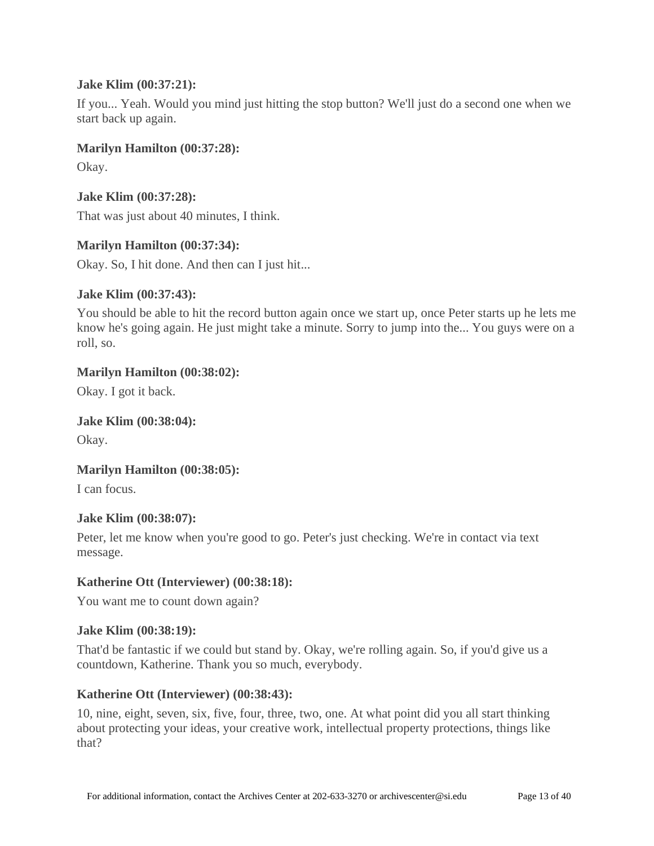### **Jake Klim [\(00:37:21\)](https://www.rev.com/transcript-editor/Edit?token=6LXAo6k3TLB1B4aJV89aDnm2d1kkL6SgPdo7RGbJQbWFkE8qh-4sq6ISaJoBmwNI8NWwsIecuQ2LFyQ7SenZsdL6zqE&loadFrom=DocumentDeeplink&ts=2241.44):**

If you... Yeah. Would you mind just hitting the stop button? We'll just do a second one when we start back up again.

### **Marilyn Hamilton [\(00:37:28\)](https://www.rev.com/transcript-editor/Edit?token=qZXPKTsYCYt0kyrZ5u38DrHbeEgzfXrEDt0liv4LbC99N4Yg0qIZ0KDRcqQh05wvlTrASh_FbLKn1JkHHiC0fwZt5jU&loadFrom=DocumentDeeplink&ts=2248.2):**

Okay.

**Jake Klim [\(00:37:28\)](https://www.rev.com/transcript-editor/Edit?token=q_CkhXkM94k5soT0GwFytfm5Xil7g8ncvtzJk_eVvAKQPYKnf45eYJvDibGna1PC1s6hYSljPioRrNtTw-lrfmcoZo4&loadFrom=DocumentDeeplink&ts=2248.76):**

That was just about 40 minutes, I think.

# **Marilyn Hamilton [\(00:37:34\)](https://www.rev.com/transcript-editor/Edit?token=1UNep-57XNnz-m1I-C2s-WYCFft2gg9n36IGdxR7-BT7TksGFy2faI6eoygjGZl7lunJYU3gIM-O5K7_q5Vs_kirFQY&loadFrom=DocumentDeeplink&ts=2254.21):**

Okay. So, I hit done. And then can I just hit...

## **Jake Klim [\(00:37:43\)](https://www.rev.com/transcript-editor/Edit?token=80cnvq5t4kH_iHKgeY4gPe5TRgCgYJvCHNJXL8tz3llwdfAozeabdFmSN3nuOOkLvjwxdQNEHoSRZUcsAG0WvM3arYg&loadFrom=DocumentDeeplink&ts=2263.01):**

You should be able to hit the record button again once we start up, once Peter starts up he lets me know he's going again. He just might take a minute. Sorry to jump into the... You guys were on a roll, so.

## **Marilyn Hamilton [\(00:38:02\)](https://www.rev.com/transcript-editor/Edit?token=PkIdHAut4jrabL39JVkNHEq7GyLvREVPcQWi4B1d_SoCIfeoGY3-2G65FIMHVbi4JAwpXpE-7vXd-rKxP457yhTAWCs&loadFrom=DocumentDeeplink&ts=2282.52):**

Okay. I got it back.

## **Jake Klim [\(00:38:04\)](https://www.rev.com/transcript-editor/Edit?token=uJDlH5uwe1hhnbtNFwWOXqScisCrrKFJ4eEpkpvgm_XQK-rTbpB85oAn-UjmrvW5-qg2mI_LhnLRnUj7e4zXo15nNeg&loadFrom=DocumentDeeplink&ts=2284.01):**

Okay.

## **Marilyn Hamilton [\(00:38:05\)](https://www.rev.com/transcript-editor/Edit?token=3_j_AGNscmRYM0880vJ1gU_KrhLgysde4ukQCoHHlDDUlhuJ2sn8iuZqfrYpLRWEJgAKtAKtJvshaRTsVKD7OX4pJ6Y&loadFrom=DocumentDeeplink&ts=2285.2):**

I can focus.

## **Jake Klim [\(00:38:07\)](https://www.rev.com/transcript-editor/Edit?token=i5rLkmXt7TSgosvOs74haF2cZc1x5B3g220l5KSNg9Fu0DP3loR__yazlX-PhDmvAfg6_B2oVxCqyeEqt7U_T0GobeM&loadFrom=DocumentDeeplink&ts=2287.4):**

Peter, let me know when you're good to go. Peter's just checking. We're in contact via text message.

## **Katherine Ott (Interviewer) [\(00:38:18\)](https://www.rev.com/transcript-editor/Edit?token=OAvH8E1eHa2_0Sl-mCiC9CeIaoWbdQFWwa5aPGk-_fn_pCRoTXboJu5LxOnkM_toqb3-QJS7CTADIoZmvWqdXiOAg4E&loadFrom=DocumentDeeplink&ts=2298.03):**

You want me to count down again?

### **Jake Klim [\(00:38:19\)](https://www.rev.com/transcript-editor/Edit?token=jiCrn7jnD_kAcKSs-raSXqFw6d7V7FjkemBzhsoaRniv8PzQaHoZZLjBhZbi9e0wL0xw3YDpSy0ehSWZyrBE6LtPYCc&loadFrom=DocumentDeeplink&ts=2299.97):**

That'd be fantastic if we could but stand by. Okay, we're rolling again. So, if you'd give us a countdown, Katherine. Thank you so much, everybody.

## **Katherine Ott (Interviewer) [\(00:38:43\)](https://www.rev.com/transcript-editor/Edit?token=3xwr4eqU2Svay2Up7gmpZ1mPso_fS_4iJO2kgQK9aRn-BTFIJ95tPSJcbNr6z486v3DYan3Cs8gaMzWgNcjx2Un4BcI&loadFrom=DocumentDeeplink&ts=2323.39):**

10, nine, eight, seven, six, five, four, three, two, one. At what point did you all start thinking about protecting your ideas, your creative work, intellectual property protections, things like that?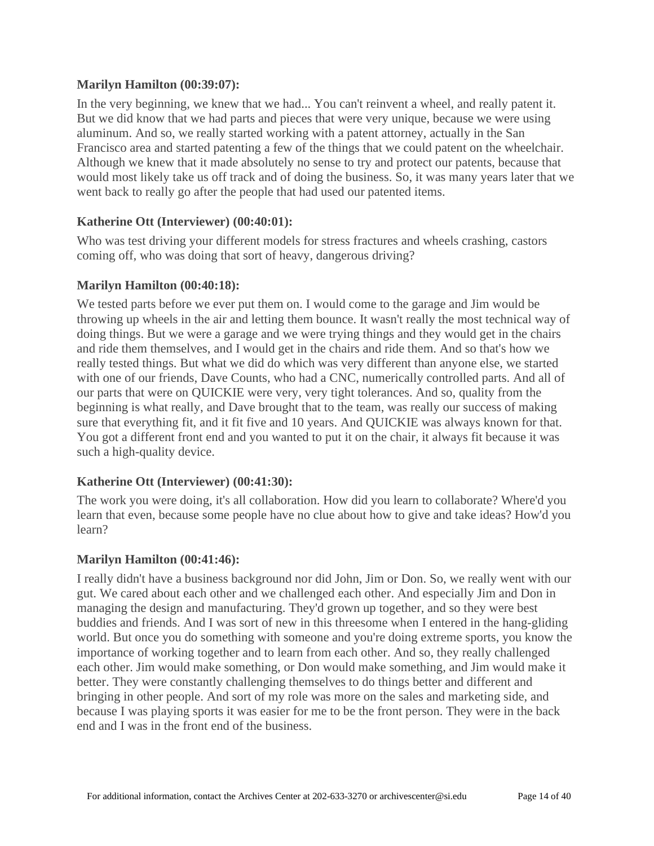### **Marilyn Hamilton [\(00:39:07\)](https://www.rev.com/transcript-editor/Edit?token=32yGMiEsn_QVsRiF4sc-dQj_WOtPFjM4m-V9vupX0SKNQbdUm9UD9pQ0WXBNs6LnKFGl69CYpXLVTGndBh6RtPt7FYg&loadFrom=DocumentDeeplink&ts=2347.03):**

In the very beginning, we knew that we had... You can't reinvent a wheel, and really patent it. But we did know that we had parts and pieces that were very unique, because we were using aluminum. And so, we really started working with a patent attorney, actually in the San Francisco area and started patenting a few of the things that we could patent on the wheelchair. Although we knew that it made absolutely no sense to try and protect our patents, because that would most likely take us off track and of doing the business. So, it was many years later that we went back to really go after the people that had used our patented items.

## **Katherine Ott (Interviewer) [\(00:40:01\)](https://www.rev.com/transcript-editor/Edit?token=F8h4Dg20oQCX0_HKW_5pFhRMdIdWyRgGIFoukC9FQZvoGMDCU3GtRpR3lDptFpermax5Kn6LXOVJyoGoWcXp_rQCqnI&loadFrom=DocumentDeeplink&ts=2401.25):**

Who was test driving your different models for stress fractures and wheels crashing, castors coming off, who was doing that sort of heavy, dangerous driving?

### **Marilyn Hamilton [\(00:40:18\)](https://www.rev.com/transcript-editor/Edit?token=Nhf1842H4YsbGmRUVLqlhu-ySI3aiDz0fD3qiSELiDgPCagF4IZrScGah1yx3uLWzDNTzdWX6q2kfPvpeBMtcsj1Zmk&loadFrom=DocumentDeeplink&ts=2418.31):**

We tested parts before we ever put them on. I would come to the garage and Jim would be throwing up wheels in the air and letting them bounce. It wasn't really the most technical way of doing things. But we were a garage and we were trying things and they would get in the chairs and ride them themselves, and I would get in the chairs and ride them. And so that's how we really tested things. But what we did do which was very different than anyone else, we started with one of our friends, Dave Counts, who had a CNC, numerically controlled parts. And all of our parts that were on QUICKIE were very, very tight tolerances. And so, quality from the beginning is what really, and Dave brought that to the team, was really our success of making sure that everything fit, and it fit five and 10 years. And QUICKIE was always known for that. You got a different front end and you wanted to put it on the chair, it always fit because it was such a high-quality device.

### **Katherine Ott (Interviewer) [\(00:41:30\)](https://www.rev.com/transcript-editor/Edit?token=z7bEEl3FexNZsgIT-_FIg4WknJ42U779Ei7xZL41Yja0OaOpnysJRYKW1Mi_a6D4vb_D9EkNEwLKsP3GH-AOxklZnWQ&loadFrom=DocumentDeeplink&ts=2490.64):**

The work you were doing, it's all collaboration. How did you learn to collaborate? Where'd you learn that even, because some people have no clue about how to give and take ideas? How'd you learn?

## **Marilyn Hamilton [\(00:41:46\)](https://www.rev.com/transcript-editor/Edit?token=hjnwnytT5m-3hL-ShsqDDxJu5ku-cZ90zM6ROCbSGAqWZkYpFAxEw7-Gj5jp9Al9ZitawxyJqp5jMzKW3z1ZQwIpP_8&loadFrom=DocumentDeeplink&ts=2506.01):**

I really didn't have a business background nor did John, Jim or Don. So, we really went with our gut. We cared about each other and we challenged each other. And especially Jim and Don in managing the design and manufacturing. They'd grown up together, and so they were best buddies and friends. And I was sort of new in this threesome when I entered in the hang-gliding world. But once you do something with someone and you're doing extreme sports, you know the importance of working together and to learn from each other. And so, they really challenged each other. Jim would make something, or Don would make something, and Jim would make it better. They were constantly challenging themselves to do things better and different and bringing in other people. And sort of my role was more on the sales and marketing side, and because I was playing sports it was easier for me to be the front person. They were in the back end and I was in the front end of the business.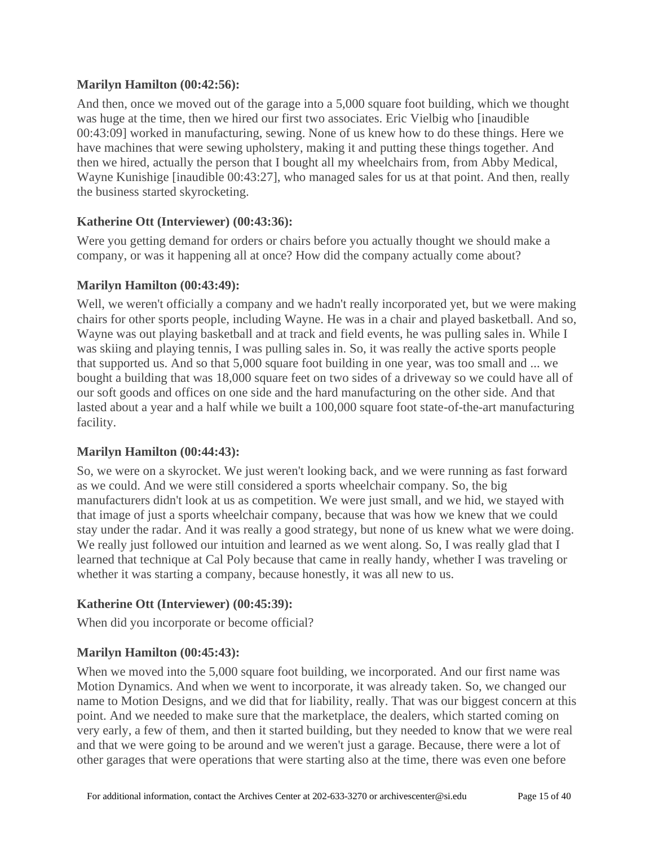## **Marilyn Hamilton [\(00:42:56\)](https://www.rev.com/transcript-editor/Edit?token=kzMWfU81vYnNeIsbfwpQXzVfH6o8oTm7GjGVhAVSSsmpss6_V91HfaANknTglY0m7upEfpGI2jTIJj6sz8e9DMzET68&loadFrom=DocumentDeeplink&ts=2576.22):**

And then, once we moved out of the garage into a 5,000 square foot building, which we thought was huge at the time, then we hired our first two associates. Eric Vielbig who [inaudible 00:43:09] worked in manufacturing, sewing. None of us knew how to do these things. Here we have machines that were sewing upholstery, making it and putting these things together. And then we hired, actually the person that I bought all my wheelchairs from, from Abby Medical, Wayne Kunishige [inaudible 00:43:27], who managed sales for us at that point. And then, really the business started skyrocketing.

### **Katherine Ott (Interviewer) [\(00:43:36\)](https://www.rev.com/transcript-editor/Edit?token=YnpNjVcz0_-Fy1c8YnolRlDU5LvKHrXj_gHUEl90mbYFWxjzxnmGDYVBaYZ-lWBAg5LRSxI8t5SjtXxtWknEzr3Rpyw&loadFrom=DocumentDeeplink&ts=2616.32):**

Were you getting demand for orders or chairs before you actually thought we should make a company, or was it happening all at once? How did the company actually come about?

### **Marilyn Hamilton [\(00:43:49\)](https://www.rev.com/transcript-editor/Edit?token=LDtva0yC8q7poZVlLB33rZl2PqFadl0zYWO6KgGKGKPTw0wbcQIYVKnt2TXZFKRspggfDO-nMadbJ8nOieQfov__E2o&loadFrom=DocumentDeeplink&ts=2629.46):**

Well, we weren't officially a company and we hadn't really incorporated yet, but we were making chairs for other sports people, including Wayne. He was in a chair and played basketball. And so, Wayne was out playing basketball and at track and field events, he was pulling sales in. While I was skiing and playing tennis, I was pulling sales in. So, it was really the active sports people that supported us. And so that 5,000 square foot building in one year, was too small and ... we bought a building that was 18,000 square feet on two sides of a driveway so we could have all of our soft goods and offices on one side and the hard manufacturing on the other side. And that lasted about a year and a half while we built a 100,000 square foot state-of-the-art manufacturing facility.

## **Marilyn Hamilton [\(00:44:43\)](https://www.rev.com/transcript-editor/Edit?token=NksSjDcMysL5KJViGW6yLJGMe4EJSmtlLAZAbCulDNbYzVWMDbxqtuaWAnVkpykE6uV2_NqvmCVYwEIyylnGZH7KIB8&loadFrom=DocumentDeeplink&ts=2683.9):**

So, we were on a skyrocket. We just weren't looking back, and we were running as fast forward as we could. And we were still considered a sports wheelchair company. So, the big manufacturers didn't look at us as competition. We were just small, and we hid, we stayed with that image of just a sports wheelchair company, because that was how we knew that we could stay under the radar. And it was really a good strategy, but none of us knew what we were doing. We really just followed our intuition and learned as we went along. So, I was really glad that I learned that technique at Cal Poly because that came in really handy, whether I was traveling or whether it was starting a company, because honestly, it was all new to us.

## **Katherine Ott (Interviewer) [\(00:45:39\)](https://www.rev.com/transcript-editor/Edit?token=055BbV6yAxcMTVUQSHQCNmsZkk-izglZFMNAmfBDWcVFuUjOe7NJfdIGPwlZKRaWwIRlIYKJfD1nOF-t0IZKJJVMRMw&loadFrom=DocumentDeeplink&ts=2739.72):**

When did you incorporate or become official?

## **Marilyn Hamilton [\(00:45:43\)](https://www.rev.com/transcript-editor/Edit?token=JL4VERsnUzEUZOgaj7dupikTavn_Rwyo10BuEahMmYfDf51-UyAiN5PPkyabbi4qXRwvXEhIBdofRfmTZov3A6hI1PE&loadFrom=DocumentDeeplink&ts=2743.95):**

When we moved into the 5,000 square foot building, we incorporated. And our first name was Motion Dynamics. And when we went to incorporate, it was already taken. So, we changed our name to Motion Designs, and we did that for liability, really. That was our biggest concern at this point. And we needed to make sure that the marketplace, the dealers, which started coming on very early, a few of them, and then it started building, but they needed to know that we were real and that we were going to be around and we weren't just a garage. Because, there were a lot of other garages that were operations that were starting also at the time, there was even one before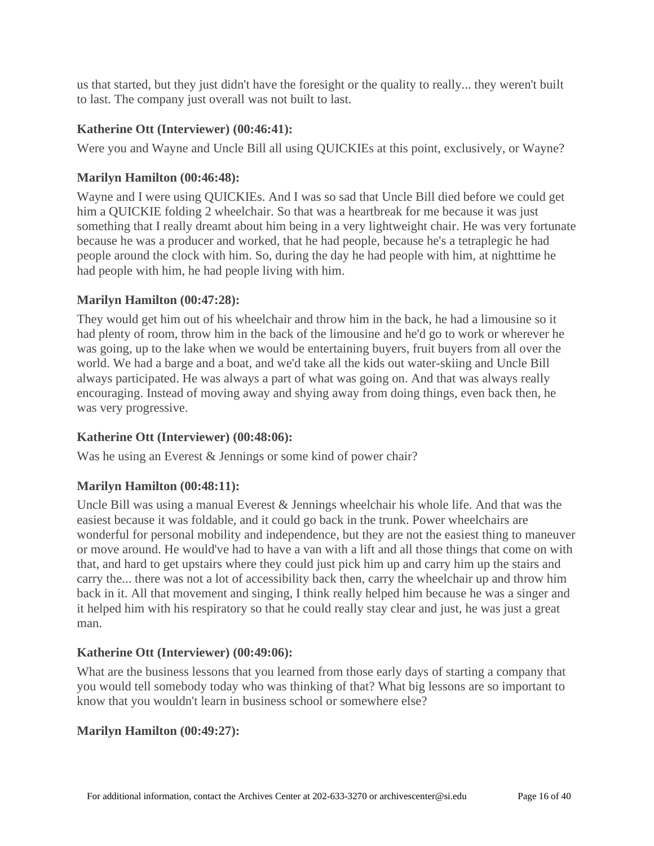us that started, but they just didn't have the foresight or the quality to really... they weren't built to last. The company just overall was not built to last.

## **Katherine Ott (Interviewer) [\(00:46:41\)](https://www.rev.com/transcript-editor/Edit?token=1vr23TYkqR_pTnLnVe7wip_34GayzxrK8pc2sXEt2ZqnQPd-73hsDYOrh8JsxSBlX5z7x5u5YMpx7euSQQmD2WwUGH8&loadFrom=DocumentDeeplink&ts=2801.73):**

Were you and Wayne and Uncle Bill all using QUICKIEs at this point, exclusively, or Wayne?

## **Marilyn Hamilton [\(00:46:48\)](https://www.rev.com/transcript-editor/Edit?token=U7tbxaNUgZAmjnyatqfRrqC6rpV6RxDYPU7t7SuL_utmMra582AXEynT3QLL8vOwEzW-JJKOvu4pB7TdeFAg3i_zBLM&loadFrom=DocumentDeeplink&ts=2808.87):**

Wayne and I were using QUICKIEs. And I was so sad that Uncle Bill died before we could get him a QUICKIE folding 2 wheelchair. So that was a heartbreak for me because it was just something that I really dreamt about him being in a very lightweight chair. He was very fortunate because he was a producer and worked, that he had people, because he's a tetraplegic he had people around the clock with him. So, during the day he had people with him, at nighttime he had people with him, he had people living with him.

### **Marilyn Hamilton [\(00:47:28\)](https://www.rev.com/transcript-editor/Edit?token=CKk26FpqAxNFsE9di61H_cO8oA7Usaw7uu4I2-NB1XYQ-92se28mf1FQaGZ0N-qaL5YtzxDCS6YBGQFVYKJY5E-Bxes&loadFrom=DocumentDeeplink&ts=2848.56):**

They would get him out of his wheelchair and throw him in the back, he had a limousine so it had plenty of room, throw him in the back of the limousine and he'd go to work or wherever he was going, up to the lake when we would be entertaining buyers, fruit buyers from all over the world. We had a barge and a boat, and we'd take all the kids out water-skiing and Uncle Bill always participated. He was always a part of what was going on. And that was always really encouraging. Instead of moving away and shying away from doing things, even back then, he was very progressive.

## **Katherine Ott (Interviewer) [\(00:48:06\)](https://www.rev.com/transcript-editor/Edit?token=rMgVsW66dL_-5C-vaN-ZinOT9xIiMVeu1bamBa5YKr6QvrLwDNNFs7JTpgP9A4T4VEtabr1XqpcklAbJppjsaw-Zrps&loadFrom=DocumentDeeplink&ts=2886.46):**

Was he using an Everest & Jennings or some kind of power chair?

## **Marilyn Hamilton [\(00:48:11\)](https://www.rev.com/transcript-editor/Edit?token=LIZNAMTXC9HhediVnEqVaH_8WFHKdCsmnY2xB8vwBPlBhDcMP0b7PBQm58x79QZliB7UetlTACmJCA0vbzvRvwhoFJs&loadFrom=DocumentDeeplink&ts=2891.41):**

Uncle Bill was using a manual Everest & Jennings wheelchair his whole life. And that was the easiest because it was foldable, and it could go back in the trunk. Power wheelchairs are wonderful for personal mobility and independence, but they are not the easiest thing to maneuver or move around. He would've had to have a van with a lift and all those things that come on with that, and hard to get upstairs where they could just pick him up and carry him up the stairs and carry the... there was not a lot of accessibility back then, carry the wheelchair up and throw him back in it. All that movement and singing, I think really helped him because he was a singer and it helped him with his respiratory so that he could really stay clear and just, he was just a great man.

## **Katherine Ott (Interviewer) [\(00:49:06\)](https://www.rev.com/transcript-editor/Edit?token=0IWD3uZScaz58XL19fGoWal3mJIbfsEs7ZExvXW-UvDKzl9b5u_qGq0RlM5jQEe91uNTeF6QvP-nNyxNTVhpN1AYjyk&loadFrom=DocumentDeeplink&ts=2946.86):**

What are the business lessons that you learned from those early days of starting a company that you would tell somebody today who was thinking of that? What big lessons are so important to know that you wouldn't learn in business school or somewhere else?

### **Marilyn Hamilton [\(00:49:27\)](https://www.rev.com/transcript-editor/Edit?token=3UPPYCMg8MUT1dbuEZ8svLIt7ckk-RYFFsWMNAgNIkybWX9VYMZu5DQGhSHzJtl5eFcEMx-Yw5lkL0XSvMqXUlVhrw8&loadFrom=DocumentDeeplink&ts=2967.43):**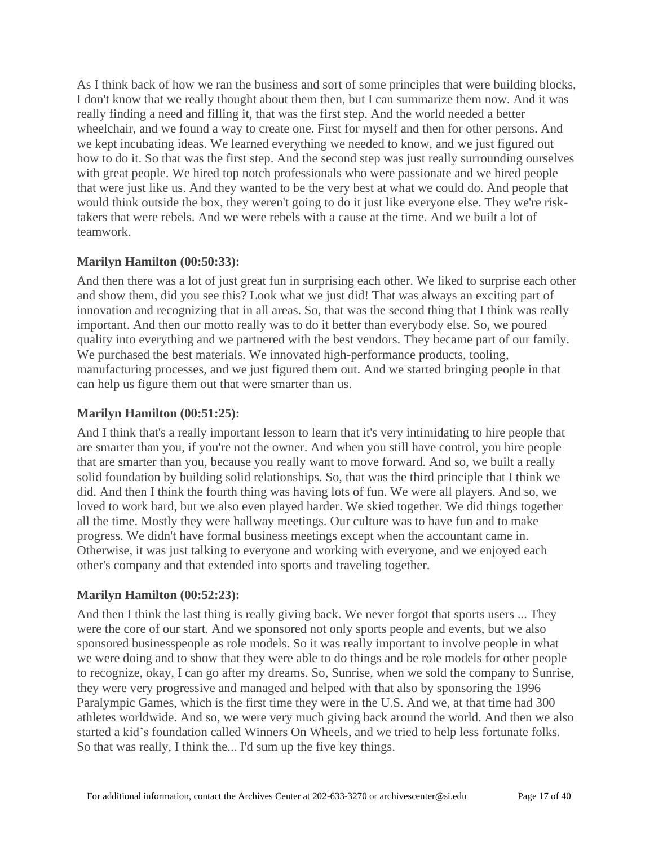As I think back of how we ran the business and sort of some principles that were building blocks, I don't know that we really thought about them then, but I can summarize them now. And it was really finding a need and filling it, that was the first step. And the world needed a better wheelchair, and we found a way to create one. First for myself and then for other persons. And we kept incubating ideas. We learned everything we needed to know, and we just figured out how to do it. So that was the first step. And the second step was just really surrounding ourselves with great people. We hired top notch professionals who were passionate and we hired people that were just like us. And they wanted to be the very best at what we could do. And people that would think outside the box, they weren't going to do it just like everyone else. They we're risktakers that were rebels. And we were rebels with a cause at the time. And we built a lot of teamwork.

## **Marilyn Hamilton [\(00:50:33\)](https://www.rev.com/transcript-editor/Edit?token=YpiVntdAKV0-VQx6IsbhcB-IL0dj6HxudlSwSpZy8pFij3dfLiF0z1lwcfzChYZ8zBQ1-eNkT5eGC_YG1Rmjto95VGg&loadFrom=DocumentDeeplink&ts=3033.4):**

And then there was a lot of just great fun in surprising each other. We liked to surprise each other and show them, did you see this? Look what we just did! That was always an exciting part of innovation and recognizing that in all areas. So, that was the second thing that I think was really important. And then our motto really was to do it better than everybody else. So, we poured quality into everything and we partnered with the best vendors. They became part of our family. We purchased the best materials. We innovated high-performance products, tooling, manufacturing processes, and we just figured them out. And we started bringing people in that can help us figure them out that were smarter than us.

## **Marilyn Hamilton [\(00:51:25\)](https://www.rev.com/transcript-editor/Edit?token=eMiSByfMjfN0EJmHs0c5ojAtArLe6k2r3zP_H6xX_avgbQo91549EXkcvtluLyt9D-0SMGMjbXogmtr7ttDn6bg54Do&loadFrom=DocumentDeeplink&ts=3085.87):**

And I think that's a really important lesson to learn that it's very intimidating to hire people that are smarter than you, if you're not the owner. And when you still have control, you hire people that are smarter than you, because you really want to move forward. And so, we built a really solid foundation by building solid relationships. So, that was the third principle that I think we did. And then I think the fourth thing was having lots of fun. We were all players. And so, we loved to work hard, but we also even played harder. We skied together. We did things together all the time. Mostly they were hallway meetings. Our culture was to have fun and to make progress. We didn't have formal business meetings except when the accountant came in. Otherwise, it was just talking to everyone and working with everyone, and we enjoyed each other's company and that extended into sports and traveling together.

## **Marilyn Hamilton [\(00:52:23\)](https://www.rev.com/transcript-editor/Edit?token=fTZLhCch52Tz6S141enXxmB-D-cVAE7V8-ZvcI1DcI9jTIOW_vgThn-LcXfykj-6reuxG0j3GPE4auW3rKyeP2k-rlc&loadFrom=DocumentDeeplink&ts=3143.51):**

And then I think the last thing is really giving back. We never forgot that sports users ... They were the core of our start. And we sponsored not only sports people and events, but we also sponsored businesspeople as role models. So it was really important to involve people in what we were doing and to show that they were able to do things and be role models for other people to recognize, okay, I can go after my dreams. So, Sunrise, when we sold the company to Sunrise, they were very progressive and managed and helped with that also by sponsoring the 1996 Paralympic Games, which is the first time they were in the U.S. And we, at that time had 300 athletes worldwide. And so, we were very much giving back around the world. And then we also started a kid's foundation called Winners On Wheels, and we tried to help less fortunate folks. So that was really, I think the... I'd sum up the five key things.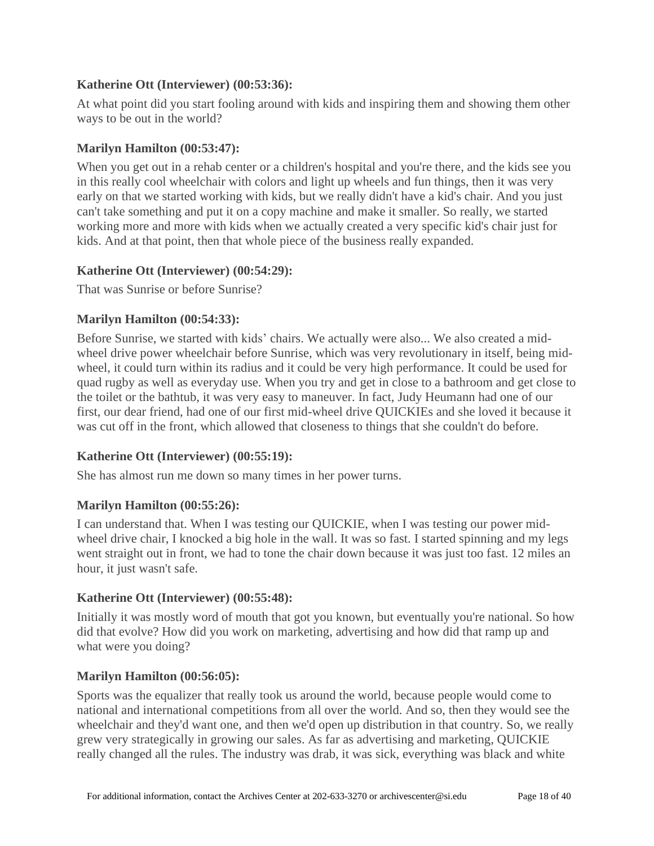## **Katherine Ott (Interviewer) [\(00:53:36\)](https://www.rev.com/transcript-editor/Edit?token=j-yP1u0rJHZUykLwRJ4_VgTAW9gmP5nqmJbaWUeZua7njfs8D_8zTDTzc4m_njNBgKiHyqpjWrweuqH19E64EmkJJ7c&loadFrom=DocumentDeeplink&ts=3216.25):**

At what point did you start fooling around with kids and inspiring them and showing them other ways to be out in the world?

### **Marilyn Hamilton [\(00:53:47\)](https://www.rev.com/transcript-editor/Edit?token=zRG6JI2KAW9oQpZgyb5ocWZ-kyF9Wd1kPN9w9SJ9qhRAEtG2M-5XZRoYk_6GM8IltSaNEOe55Xae1pLPuu7D9dLldsQ&loadFrom=DocumentDeeplink&ts=3227.63):**

When you get out in a rehab center or a children's hospital and you're there, and the kids see you in this really cool wheelchair with colors and light up wheels and fun things, then it was very early on that we started working with kids, but we really didn't have a kid's chair. And you just can't take something and put it on a copy machine and make it smaller. So really, we started working more and more with kids when we actually created a very specific kid's chair just for kids. And at that point, then that whole piece of the business really expanded.

### **Katherine Ott (Interviewer) [\(00:54:29\)](https://www.rev.com/transcript-editor/Edit?token=PyLhnfE6ZnMRSjoK8ng2cV5C8dORsjEPiRZkS5OMkca7K40pSGWLax6i8hhNE2QGG1345NNLMOmg-HfOdfzUd87Ugno&loadFrom=DocumentDeeplink&ts=3269.98):**

That was Sunrise or before Sunrise?

## **Marilyn Hamilton [\(00:54:33\)](https://www.rev.com/transcript-editor/Edit?token=60REh5-wsBEJyC9Po0yplChhdqFADYlIjwMhZJJsojubfzyVBno2HTZvDyLUBfpuPQlzRpoAJ21xoUcfgL-u0jVYTfs&loadFrom=DocumentDeeplink&ts=3273.69):**

Before Sunrise, we started with kids' chairs. We actually were also... We also created a midwheel drive power wheelchair before Sunrise, which was very revolutionary in itself, being midwheel, it could turn within its radius and it could be very high performance. It could be used for quad rugby as well as everyday use. When you try and get in close to a bathroom and get close to the toilet or the bathtub, it was very easy to maneuver. In fact, Judy Heumann had one of our first, our dear friend, had one of our first mid-wheel drive QUICKIEs and she loved it because it was cut off in the front, which allowed that closeness to things that she couldn't do before.

### **Katherine Ott (Interviewer) [\(00:55:19\)](https://www.rev.com/transcript-editor/Edit?token=IASpFz98wRA0VnpTxtyJid7JaQlM2CtNqbmJtPnNFeD4sCW4VS3-T_rI8LkcXvmsQd-dC2TejyHkL5HrYYbZxEb4XYE&loadFrom=DocumentDeeplink&ts=3319.53):**

She has almost run me down so many times in her power turns.

## **Marilyn Hamilton [\(00:55:26\)](https://www.rev.com/transcript-editor/Edit?token=LcgXU8L3YZnCCE68yOadtee2OD4s_mCcM1W_LfpY9KWCD0qUt0O9JTyiUUUOai5rKQm1KcbusNbAoyIg5ZNdBZjNToA&loadFrom=DocumentDeeplink&ts=3326.04):**

I can understand that. When I was testing our QUICKIE, when I was testing our power midwheel drive chair, I knocked a big hole in the wall. It was so fast. I started spinning and my legs went straight out in front, we had to tone the chair down because it was just too fast. 12 miles an hour, it just wasn't safe.

### **Katherine Ott (Interviewer) [\(00:55:48\)](https://www.rev.com/transcript-editor/Edit?token=EOTeH9-71Yb4o8KUrZRxZGQEC2EQwh4rrehx8a57_keNRJv1_oDs6UQ4VTOpR5rDoEbFWCfIEmUYKm2LoRmaLpvCfw0&loadFrom=DocumentDeeplink&ts=3348.64):**

Initially it was mostly word of mouth that got you known, but eventually you're national. So how did that evolve? How did you work on marketing, advertising and how did that ramp up and what were you doing?

### **Marilyn Hamilton [\(00:56:05\)](https://www.rev.com/transcript-editor/Edit?token=aTv-u5TM71UtULm1pslFmlVZ1zNLNwCH3uR3jwDU7VPKkMB3xLXBmTPxb3eL7wK2_9YFwjVCmctkGWTX9cFJ6sX5NuU&loadFrom=DocumentDeeplink&ts=3365.19):**

Sports was the equalizer that really took us around the world, because people would come to national and international competitions from all over the world. And so, then they would see the wheelchair and they'd want one, and then we'd open up distribution in that country. So, we really grew very strategically in growing our sales. As far as advertising and marketing, QUICKIE really changed all the rules. The industry was drab, it was sick, everything was black and white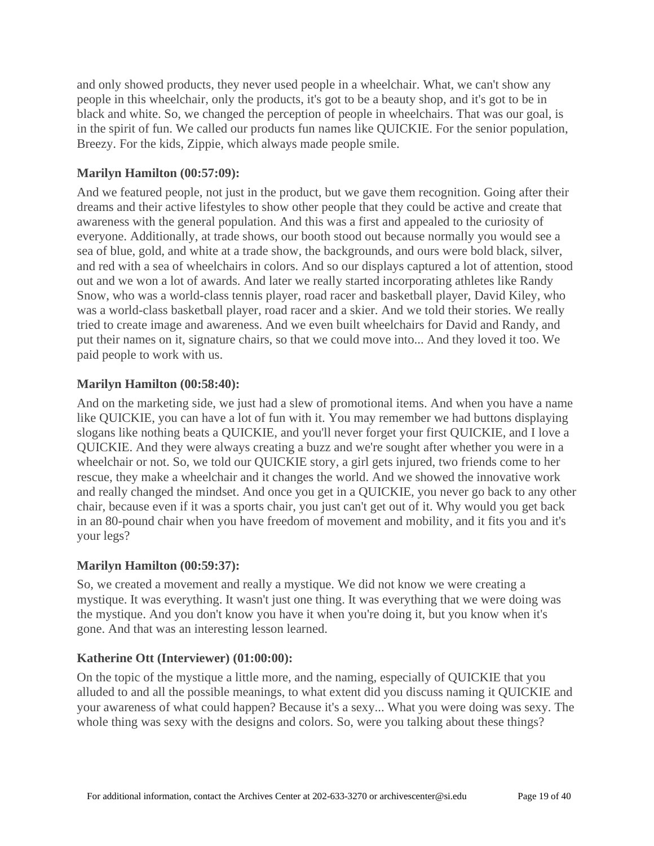and only showed products, they never used people in a wheelchair. What, we can't show any people in this wheelchair, only the products, it's got to be a beauty shop, and it's got to be in black and white. So, we changed the perception of people in wheelchairs. That was our goal, is in the spirit of fun. We called our products fun names like QUICKIE. For the senior population, Breezy. For the kids, Zippie, which always made people smile.

## **Marilyn Hamilton [\(00:57:09\)](https://www.rev.com/transcript-editor/Edit?token=4o1L9cRLfRQWQy39S-m64Rn-AeGZCHjtLjx9KJ5RlP6BXpZnobg2x1oKkNS0MC95CdSYFKtVeaOlAzHfvryP3UKvwWU&loadFrom=DocumentDeeplink&ts=3429.13):**

And we featured people, not just in the product, but we gave them recognition. Going after their dreams and their active lifestyles to show other people that they could be active and create that awareness with the general population. And this was a first and appealed to the curiosity of everyone. Additionally, at trade shows, our booth stood out because normally you would see a sea of blue, gold, and white at a trade show, the backgrounds, and ours were bold black, silver, and red with a sea of wheelchairs in colors. And so our displays captured a lot of attention, stood out and we won a lot of awards. And later we really started incorporating athletes like Randy Snow, who was a world-class tennis player, road racer and basketball player, David Kiley, who was a world-class basketball player, road racer and a skier. And we told their stories. We really tried to create image and awareness. And we even built wheelchairs for David and Randy, and put their names on it, signature chairs, so that we could move into... And they loved it too. We paid people to work with us.

### **Marilyn Hamilton [\(00:58:40\)](https://www.rev.com/transcript-editor/Edit?token=bZ-0HURWKtYYRY8eKiv78I-OQaZTW1L9LZI9yLAS9j2K_-4_VAejZIpTHkOHG15qVy8_8GtMFs7tFOaV-4RPEJfNM5Y&loadFrom=DocumentDeeplink&ts=3520.44):**

And on the marketing side, we just had a slew of promotional items. And when you have a name like QUICKIE, you can have a lot of fun with it. You may remember we had buttons displaying slogans like nothing beats a QUICKIE, and you'll never forget your first QUICKIE, and I love a QUICKIE. And they were always creating a buzz and we're sought after whether you were in a wheelchair or not. So, we told our QUICKIE story, a girl gets injured, two friends come to her rescue, they make a wheelchair and it changes the world. And we showed the innovative work and really changed the mindset. And once you get in a QUICKIE, you never go back to any other chair, because even if it was a sports chair, you just can't get out of it. Why would you get back in an 80-pound chair when you have freedom of movement and mobility, and it fits you and it's your legs?

### **Marilyn Hamilton [\(00:59:37\)](https://www.rev.com/transcript-editor/Edit?token=Yywv5YixCz_hRXcyI8OMurneZ2y1ojCmcWK_c4t_2r6aunXRYa0de4bdUOMxsP_yWbD7igu3q1-nmXnVOecYjvOIFHs&loadFrom=DocumentDeeplink&ts=3577.55):**

So, we created a movement and really a mystique. We did not know we were creating a mystique. It was everything. It wasn't just one thing. It was everything that we were doing was the mystique. And you don't know you have it when you're doing it, but you know when it's gone. And that was an interesting lesson learned.

### **Katherine Ott (Interviewer) [\(01:00:00\)](https://www.rev.com/transcript-editor/Edit?token=kq4JdT94j9yVdgLCqmsaIJmp6jXCKh79ikJISZotjeP0hu9_-86_1538SX58x9WACpkHcNK2cFaydcG1bFnXd8_oybU&loadFrom=DocumentDeeplink&ts=3600.03):**

On the topic of the mystique a little more, and the naming, especially of QUICKIE that you alluded to and all the possible meanings, to what extent did you discuss naming it QUICKIE and your awareness of what could happen? Because it's a sexy... What you were doing was sexy. The whole thing was sexy with the designs and colors. So, were you talking about these things?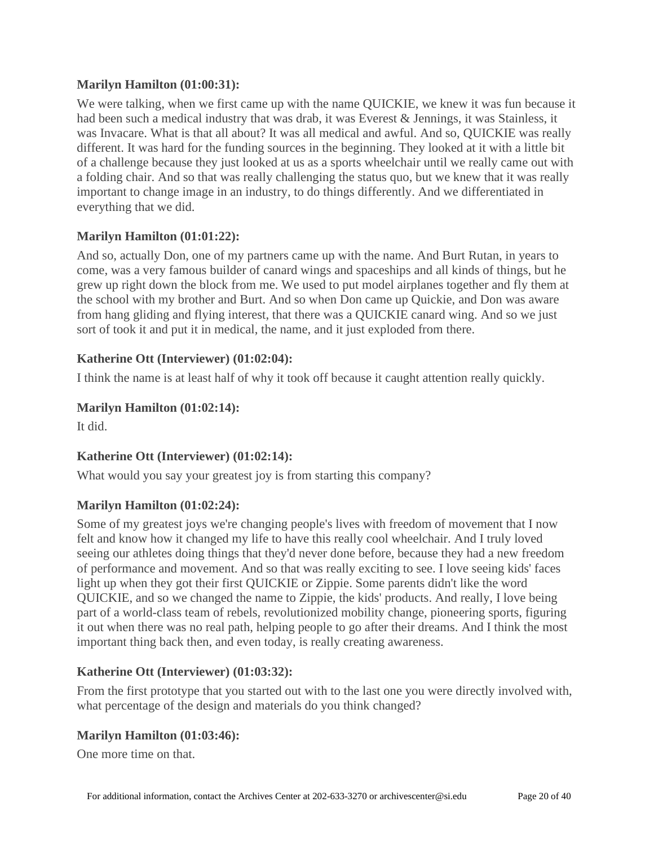## **Marilyn Hamilton [\(01:00:31\)](https://www.rev.com/transcript-editor/Edit?token=wo3YmtXn1PZSo-UH5_icxiq6z0A7B-oeLR7N7gD2Je-tnFtpTjZm1ZpitXFJg9tVn2okLfbh48XaT7JJ0JPsIalPLC4&loadFrom=DocumentDeeplink&ts=3631.58):**

We were talking, when we first came up with the name QUICKIE, we knew it was fun because it had been such a medical industry that was drab, it was Everest & Jennings, it was Stainless, it was Invacare. What is that all about? It was all medical and awful. And so, QUICKIE was really different. It was hard for the funding sources in the beginning. They looked at it with a little bit of a challenge because they just looked at us as a sports wheelchair until we really came out with a folding chair. And so that was really challenging the status quo, but we knew that it was really important to change image in an industry, to do things differently. And we differentiated in everything that we did.

### **Marilyn Hamilton [\(01:01:22\)](https://www.rev.com/transcript-editor/Edit?token=Lqniza-1LuWSeJ8vZkmLPIKcZA2coTvb-feN5Yv1MOPBOwtBLxbn0md05XyIbPJKYMip-hHSN-EDB_nIpWEKA5JjjIA&loadFrom=DocumentDeeplink&ts=3682.32):**

And so, actually Don, one of my partners came up with the name. And Burt Rutan, in years to come, was a very famous builder of canard wings and spaceships and all kinds of things, but he grew up right down the block from me. We used to put model airplanes together and fly them at the school with my brother and Burt. And so when Don came up Quickie, and Don was aware from hang gliding and flying interest, that there was a QUICKIE canard wing. And so we just sort of took it and put it in medical, the name, and it just exploded from there.

### **Katherine Ott (Interviewer) [\(01:02:04\)](https://www.rev.com/transcript-editor/Edit?token=rUVoTkat-dNad92Yzloj8_CjfzXBWz7id7GYB2b5TWFBizkTk6uBG59GCQYu1jIJxXiggN8X8Tnwy4Nj78iDzK_YpLM&loadFrom=DocumentDeeplink&ts=3724.55):**

I think the name is at least half of why it took off because it caught attention really quickly.

### **Marilyn Hamilton [\(01:02:14\)](https://www.rev.com/transcript-editor/Edit?token=b0cFeLI3PUcmAIXLKrsy2UNwp22tsDDCPG9M_kWDADcg8ZJEjEHIZZ7z0qqRR1Tph9pb60CM1RqhtJkDzXeEtajnnV8&loadFrom=DocumentDeeplink&ts=3734.14):**

It did.

## **Katherine Ott (Interviewer) [\(01:02:14\)](https://www.rev.com/transcript-editor/Edit?token=gukU6sckT3yxUXuuENDwR9q4msURNe7IX3pCElGp0a5yMHgXtSM_HM9udkIb2zzkrSUAxdMtelMtGIY4ubwz9o5fdlM&loadFrom=DocumentDeeplink&ts=3734.33):**

What would you say your greatest joy is from starting this company?

## **Marilyn Hamilton [\(01:02:24\)](https://www.rev.com/transcript-editor/Edit?token=7GvX2hhghRNYUZ56aKPIqLQiGor7R_qkUc4-T6sw1gfec0ipA3Nit2VJFGF4vBWk0gruEPMxBDQ4RZ3RgaA_U5VHWqQ&loadFrom=DocumentDeeplink&ts=3744.79):**

Some of my greatest joys we're changing people's lives with freedom of movement that I now felt and know how it changed my life to have this really cool wheelchair. And I truly loved seeing our athletes doing things that they'd never done before, because they had a new freedom of performance and movement. And so that was really exciting to see. I love seeing kids' faces light up when they got their first QUICKIE or Zippie. Some parents didn't like the word QUICKIE, and so we changed the name to Zippie, the kids' products. And really, I love being part of a world-class team of rebels, revolutionized mobility change, pioneering sports, figuring it out when there was no real path, helping people to go after their dreams. And I think the most important thing back then, and even today, is really creating awareness.

### **Katherine Ott (Interviewer) [\(01:03:32\)](https://www.rev.com/transcript-editor/Edit?token=MiJtveErDeWsekILvgETn2-PKAKo6cxVtLegWloqtogw5cNU2tcR7OZmk7VDKdYsxybE-E_gZn56mJM-vKlpevycJN8&loadFrom=DocumentDeeplink&ts=3812.24):**

From the first prototype that you started out with to the last one you were directly involved with, what percentage of the design and materials do you think changed?

## **Marilyn Hamilton [\(01:03:46\)](https://www.rev.com/transcript-editor/Edit?token=6oCxAjfjOF2zxZOd7BdnKgBH002ABimMGo2HgZHI0D_MQp4tnuxwpDdSPF__mOkh68bVnPgNzk7ALn4TTLZhd8ZC7es&loadFrom=DocumentDeeplink&ts=3826.46):**

One more time on that.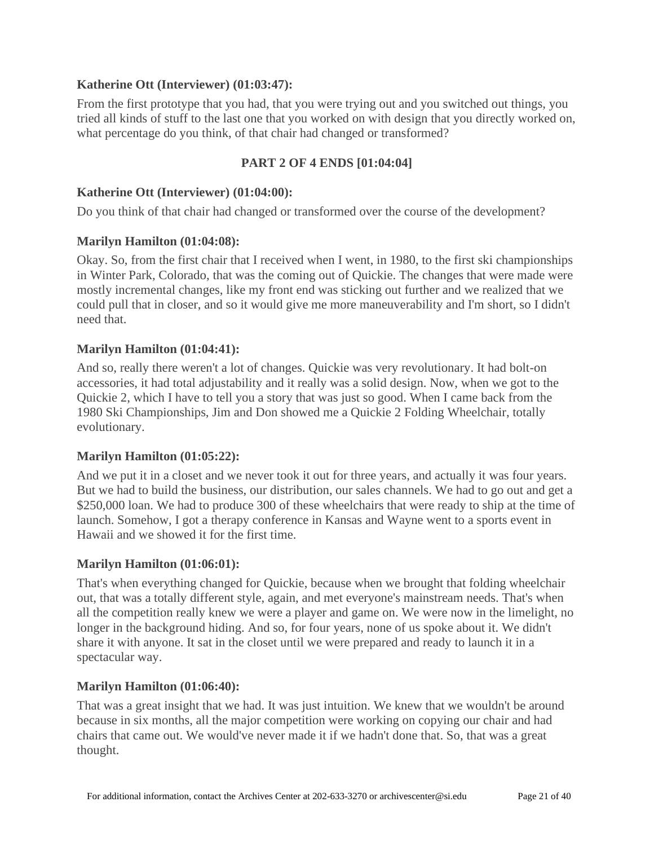### **Katherine Ott (Interviewer) [\(01:03:47\)](https://www.rev.com/transcript-editor/Edit?token=g_fUrSXQMB3b6b4_qQ8prdrcOClcRBcaVMO4XCb1NqH3YjXqkACFuy7HO8u0OgJJybkeBj8Eh5PA4dkKRF5Tr_raJ1Q&loadFrom=DocumentDeeplink&ts=3827.97):**

From the first prototype that you had, that you were trying out and you switched out things, you tried all kinds of stuff to the last one that you worked on with design that you directly worked on, what percentage do you think, of that chair had changed or transformed?

### **PART 2 OF 4 ENDS [01:04:04]**

#### **Katherine Ott (Interviewer) [\(01:04:00\)](https://www.rev.com/transcript-editor/Edit?token=xFZzHbEtWe8dOQRnvp51jqU_VrQilGo6zndfE-AvrTBiJgFu5ELm64_MKCsHQvdn377xJ2z-sz2e45ZR0pEaSVRiBGg&loadFrom=DocumentDeeplink&ts=3840.04):**

Do you think of that chair had changed or transformed over the course of the development?

#### **Marilyn Hamilton [\(01:04:08\)](https://www.rev.com/transcript-editor/Edit?token=mWmcKVv8PXRjEsJIc-o958CpzpoEK4VbPAb9MMHpFS6ti_jVFpbUxI-THBN8hS7eR3tckgyRUmCpab6ojkUV4NE7wVQ&loadFrom=DocumentDeeplink&ts=3848.61):**

Okay. So, from the first chair that I received when I went, in 1980, to the first ski championships in Winter Park, Colorado, that was the coming out of Quickie. The changes that were made were mostly incremental changes, like my front end was sticking out further and we realized that we could pull that in closer, and so it would give me more maneuverability and I'm short, so I didn't need that.

### **Marilyn Hamilton [\(01:04:41\)](https://www.rev.com/transcript-editor/Edit?token=MOjIlF2SUlUgVBWmRTaYGtCOujksoIEU-1jYPXN_tgFRazMs4XcUzFsNWoeOSK61ln3u9A6JH7WScHUG15kDl3mqL8Q&loadFrom=DocumentDeeplink&ts=3881.11):**

And so, really there weren't a lot of changes. Quickie was very revolutionary. It had bolt-on accessories, it had total adjustability and it really was a solid design. Now, when we got to the Quickie 2, which I have to tell you a story that was just so good. When I came back from the 1980 Ski Championships, Jim and Don showed me a Quickie 2 Folding Wheelchair, totally evolutionary.

### **Marilyn Hamilton [\(01:05:22\)](https://www.rev.com/transcript-editor/Edit?token=fC_rixZJz9SXLxIv3yejmpMaxk1CioHTY0-HrsACfToz5gvhFKnJSDg1hEEll5XHHePq2c42lxInmoUQ7-HUPwZaKK4&loadFrom=DocumentDeeplink&ts=3922.94):**

And we put it in a closet and we never took it out for three years, and actually it was four years. But we had to build the business, our distribution, our sales channels. We had to go out and get a \$250,000 loan. We had to produce 300 of these wheelchairs that were ready to ship at the time of launch. Somehow, I got a therapy conference in Kansas and Wayne went to a sports event in Hawaii and we showed it for the first time.

### **Marilyn Hamilton [\(01:06:01\)](https://www.rev.com/transcript-editor/Edit?token=Nzu6b4vEFyeJtHc-077A0yAUCi4v5x0smUz0ak1h7Ee5Usar4lPczgDe4dQIpke9uPAE98pCIWv2-1m-tspWzmy2Wq0&loadFrom=DocumentDeeplink&ts=3961.89):**

That's when everything changed for Quickie, because when we brought that folding wheelchair out, that was a totally different style, again, and met everyone's mainstream needs. That's when all the competition really knew we were a player and game on. We were now in the limelight, no longer in the background hiding. And so, for four years, none of us spoke about it. We didn't share it with anyone. It sat in the closet until we were prepared and ready to launch it in a spectacular way.

#### **Marilyn Hamilton [\(01:06:40\)](https://www.rev.com/transcript-editor/Edit?token=Kktg3ufIsghz9O65OfC5EGOJ45N3diruW0cYlqyoJ2vd0kUWeLDuAchJsa5Rzg1yZTyyBc0X0TfMZeRgg-k6X6AydKM&loadFrom=DocumentDeeplink&ts=4000.42):**

That was a great insight that we had. It was just intuition. We knew that we wouldn't be around because in six months, all the major competition were working on copying our chair and had chairs that came out. We would've never made it if we hadn't done that. So, that was a great thought.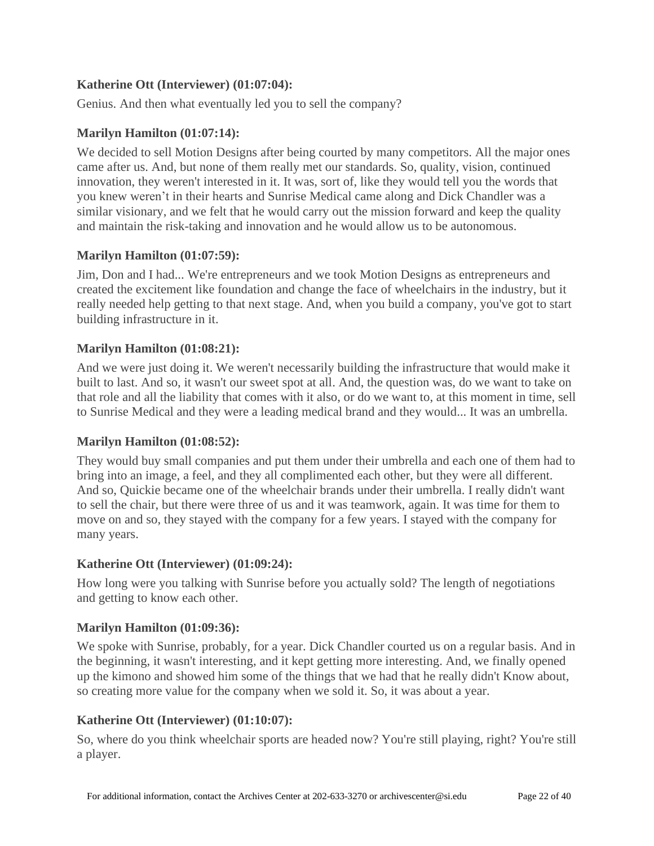## **Katherine Ott (Interviewer) [\(01:07:04\)](https://www.rev.com/transcript-editor/Edit?token=8vEPVf1oK_jknsQ0EkZNZtRQnjx_V9CA09cdv0cAOrICYPQmYxx3Gr4r9uszBVst483kQ5Yk6h1KN6efDZTCN84eVpA&loadFrom=DocumentDeeplink&ts=4024.81):**

Genius. And then what eventually led you to sell the company?

### **Marilyn Hamilton [\(01:07:14\)](https://www.rev.com/transcript-editor/Edit?token=VMphrD0Zn7hqSlWg4jG79m7o7jfvobfSQYCNUKrQ6Ch3D7iiD5HOMTItlj9x-HQmfSNWYUTnXyKg1aXsocKw5qdIiac&loadFrom=DocumentDeeplink&ts=4034.22):**

We decided to sell Motion Designs after being courted by many competitors. All the major ones came after us. And, but none of them really met our standards. So, quality, vision, continued innovation, they weren't interested in it. It was, sort of, like they would tell you the words that you knew weren't in their hearts and Sunrise Medical came along and Dick Chandler was a similar visionary, and we felt that he would carry out the mission forward and keep the quality and maintain the risk-taking and innovation and he would allow us to be autonomous.

### **Marilyn Hamilton [\(01:07:59\)](https://www.rev.com/transcript-editor/Edit?token=J1KfUdyOQaRmtUzJlOyaFloK2iPGkubHU4Idtb_Aye_9fyAbFLeULJdtwRctqZtYwHzerz9ZpKHm7eZWHiDBHWMOa_M&loadFrom=DocumentDeeplink&ts=4079.95):**

Jim, Don and I had... We're entrepreneurs and we took Motion Designs as entrepreneurs and created the excitement like foundation and change the face of wheelchairs in the industry, but it really needed help getting to that next stage. And, when you build a company, you've got to start building infrastructure in it.

### **Marilyn Hamilton [\(01:08:21\)](https://www.rev.com/transcript-editor/Edit?token=GdYJupgeCrx51jEzFtRcoffEg97VAFuIEi8KZsVnmnS3klLAK_ieR0nl604MhOQ2LluBRnuEwngdjcp-QaOTf4YKO4k&loadFrom=DocumentDeeplink&ts=4101.7):**

And we were just doing it. We weren't necessarily building the infrastructure that would make it built to last. And so, it wasn't our sweet spot at all. And, the question was, do we want to take on that role and all the liability that comes with it also, or do we want to, at this moment in time, sell to Sunrise Medical and they were a leading medical brand and they would... It was an umbrella.

### **Marilyn Hamilton [\(01:08:52\)](https://www.rev.com/transcript-editor/Edit?token=bIdq24nuDsA44h52J0zt0M9wdyA8C9Ep9PRN8EjLBRBi3bubK7Dg0CpI_CetMVQgF6II_zpwVN6JForBej-T9pvpiEw&loadFrom=DocumentDeeplink&ts=4132.45):**

They would buy small companies and put them under their umbrella and each one of them had to bring into an image, a feel, and they all complimented each other, but they were all different. And so, Quickie became one of the wheelchair brands under their umbrella. I really didn't want to sell the chair, but there were three of us and it was teamwork, again. It was time for them to move on and so, they stayed with the company for a few years. I stayed with the company for many years.

### **Katherine Ott (Interviewer) [\(01:09:24\)](https://www.rev.com/transcript-editor/Edit?token=Cl2kWDOld7ChcHLz8twOpIPra8qPZB7XP-6qLtTh-8Go7JWacu1Zs1EAtf4uAjkeraLmpN7VKNqxkrIvmQBZwqNy0Eg&loadFrom=DocumentDeeplink&ts=4164.9):**

How long were you talking with Sunrise before you actually sold? The length of negotiations and getting to know each other.

### **Marilyn Hamilton [\(01:09:36\)](https://www.rev.com/transcript-editor/Edit?token=tT95MhGBDvlq54D5W7jSzSdrPb-RfGkdx-bq4jJ8LQ_XOhJ1iaZ56ZZwO2oMeSuloDZbGgsxqd4EiIqJtSu9MOUuW48&loadFrom=DocumentDeeplink&ts=4176.4):**

We spoke with Sunrise, probably, for a year. Dick Chandler courted us on a regular basis. And in the beginning, it wasn't interesting, and it kept getting more interesting. And, we finally opened up the kimono and showed him some of the things that we had that he really didn't Know about, so creating more value for the company when we sold it. So, it was about a year.

### **Katherine Ott (Interviewer) [\(01:10:07\)](https://www.rev.com/transcript-editor/Edit?token=PxbuzGZV2yWc_9XUl68r_an7V5d98kUXf-Tndb5fnuUh8Zx28AVRKzH9IvY-c9kzcgHP8-p9Ko_w_n0eIH5fl8x1srg&loadFrom=DocumentDeeplink&ts=4207.17):**

So, where do you think wheelchair sports are headed now? You're still playing, right? You're still a player.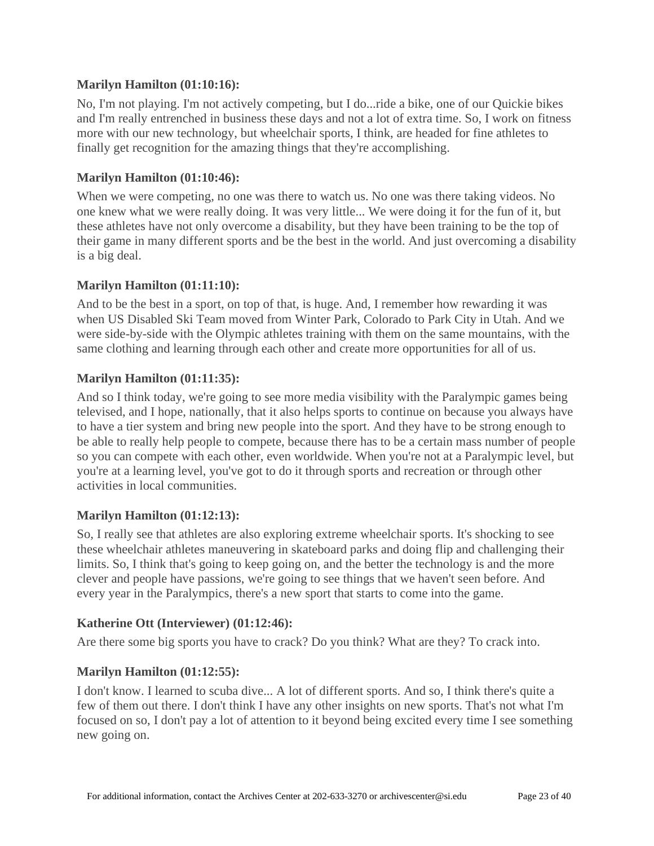### **Marilyn Hamilton [\(01:10:16\)](https://www.rev.com/transcript-editor/Edit?token=LG8C9auvZFAe11NcgHiu273I3nvh8rW0pQoX1_VuWjVQxzEtwDj9ayo8_CgdM2em0IjB9AxdqIBaL_INGBMGmddqI1o&loadFrom=DocumentDeeplink&ts=4216.07):**

No, I'm not playing. I'm not actively competing, but I do...ride a bike, one of our Quickie bikes and I'm really entrenched in business these days and not a lot of extra time. So, I work on fitness more with our new technology, but wheelchair sports, I think, are headed for fine athletes to finally get recognition for the amazing things that they're accomplishing.

### **Marilyn Hamilton [\(01:10:46\)](https://www.rev.com/transcript-editor/Edit?token=ekrOFrM081nbIp4Y4qoaCgDmLd3WuKomsk30LvuE5k9UU34QdeEoY_I4roqbdE7_7jR3TcfykKjsRNcYibQjnDqp9mI&loadFrom=DocumentDeeplink&ts=4246.53):**

When we were competing, no one was there to watch us. No one was there taking videos. No one knew what we were really doing. It was very little... We were doing it for the fun of it, but these athletes have not only overcome a disability, but they have been training to be the top of their game in many different sports and be the best in the world. And just overcoming a disability is a big deal.

### **Marilyn Hamilton [\(01:11:10\)](https://www.rev.com/transcript-editor/Edit?token=-WrrFM2nBDTJQIpN6efgaR1wonkA2_BM_4j1Y5SdZedf2dfSIHx5mz_wUpm8ZyzRuaI96TpGRSCmMCEE82e13-_dvJw&loadFrom=DocumentDeeplink&ts=4270.95):**

And to be the best in a sport, on top of that, is huge. And, I remember how rewarding it was when US Disabled Ski Team moved from Winter Park, Colorado to Park City in Utah. And we were side-by-side with the Olympic athletes training with them on the same mountains, with the same clothing and learning through each other and create more opportunities for all of us.

### **Marilyn Hamilton [\(01:11:35\)](https://www.rev.com/transcript-editor/Edit?token=Scn7b8f40ecFPYqSA3TtKESvAspwcO7warGFTa4EEc6JtY_nxyNOfwf8KhAxTU0RTsT1YVq4PEGuEBEzAdEuRWti7TE&loadFrom=DocumentDeeplink&ts=4295.39):**

And so I think today, we're going to see more media visibility with the Paralympic games being televised, and I hope, nationally, that it also helps sports to continue on because you always have to have a tier system and bring new people into the sport. And they have to be strong enough to be able to really help people to compete, because there has to be a certain mass number of people so you can compete with each other, even worldwide. When you're not at a Paralympic level, but you're at a learning level, you've got to do it through sports and recreation or through other activities in local communities.

### **Marilyn Hamilton [\(01:12:13\)](https://www.rev.com/transcript-editor/Edit?token=NU4KPQTBZfzOq2KYZU63Aq1kyn5i1Zau0kFXEY7VYB2A4nuXl3g_nY0i2iUpC_zKZn0-lL3QhHNFv-Ga3JOHdd0z1TI&loadFrom=DocumentDeeplink&ts=4333.31):**

So, I really see that athletes are also exploring extreme wheelchair sports. It's shocking to see these wheelchair athletes maneuvering in skateboard parks and doing flip and challenging their limits. So, I think that's going to keep going on, and the better the technology is and the more clever and people have passions, we're going to see things that we haven't seen before. And every year in the Paralympics, there's a new sport that starts to come into the game.

### **Katherine Ott (Interviewer) [\(01:12:46\)](https://www.rev.com/transcript-editor/Edit?token=NsCpzjQNlLGzd5ZPpuDJVELcjvkl7BbgZWgJnjvFIifE8_4KaSemUc5SKipcCr-wAZbUaiuw-0LBVE7e-9B2EoAu1JE&loadFrom=DocumentDeeplink&ts=4366.07):**

Are there some big sports you have to crack? Do you think? What are they? To crack into.

### **Marilyn Hamilton [\(01:12:55\)](https://www.rev.com/transcript-editor/Edit?token=hBhCyOLIrCnjakC9G1_671j0JHL_QuvHihMnbO2i1ypOTpxw9d_z_UChUgojQhbmW6vcjst3M6joCeaTQEgvDxu4usA&loadFrom=DocumentDeeplink&ts=4375.06):**

I don't know. I learned to scuba dive... A lot of different sports. And so, I think there's quite a few of them out there. I don't think I have any other insights on new sports. That's not what I'm focused on so, I don't pay a lot of attention to it beyond being excited every time I see something new going on.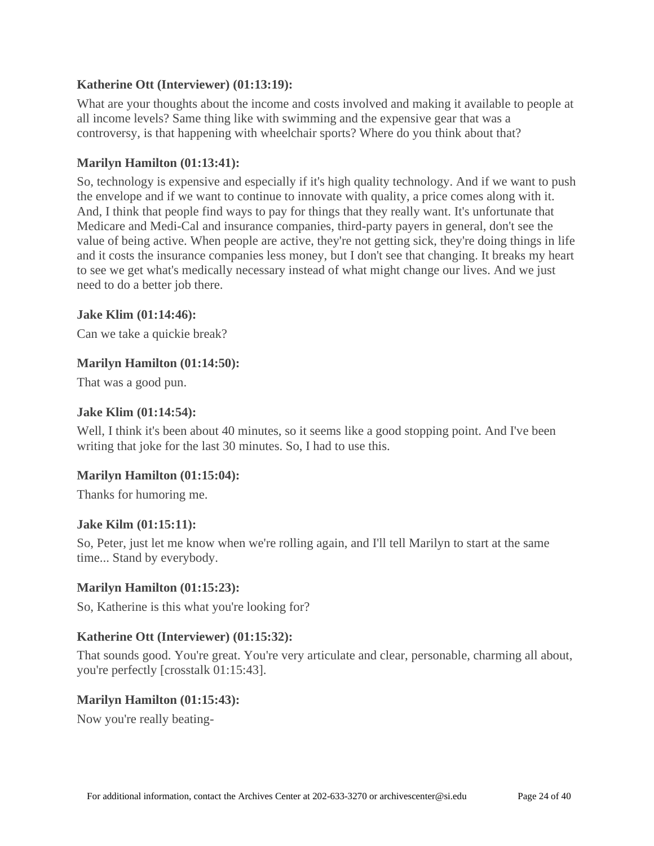### **Katherine Ott (Interviewer) [\(01:13:19\)](https://www.rev.com/transcript-editor/Edit?token=_JYBFGkpQMV26a0g_NJ6F0OC1jgcwxp3wjy7IGjzFeAqJiVzPPkrkwgbw34YTutGmIlgEfWO_VmdwXqcN7MaMFy1g2Y&loadFrom=DocumentDeeplink&ts=4399.9):**

What are your thoughts about the income and costs involved and making it available to people at all income levels? Same thing like with swimming and the expensive gear that was a controversy, is that happening with wheelchair sports? Where do you think about that?

### **Marilyn Hamilton [\(01:13:41\)](https://www.rev.com/transcript-editor/Edit?token=7HjyFr7YHoMvezqbAXXXs4X6kgzZWcurY-IfMQzZ-1kLR5Lv-pJKx9NTQ_WyjzK3a5Uei8mLPMmY7unBadhwnRo2PzY&loadFrom=DocumentDeeplink&ts=4421.7):**

So, technology is expensive and especially if it's high quality technology. And if we want to push the envelope and if we want to continue to innovate with quality, a price comes along with it. And, I think that people find ways to pay for things that they really want. It's unfortunate that Medicare and Medi-Cal and insurance companies, third-party payers in general, don't see the value of being active. When people are active, they're not getting sick, they're doing things in life and it costs the insurance companies less money, but I don't see that changing. It breaks my heart to see we get what's medically necessary instead of what might change our lives. And we just need to do a better job there.

### **Jake Klim [\(01:14:46\)](https://www.rev.com/transcript-editor/Edit?token=feCF8YL5oPfspv2kfMTLs3aC1UDAdvqXfAHHY3RTKen195W-5K-pOSKQwEdw9ASGaxhHiZc3aIJbHzHTkmjuCJviecY&loadFrom=DocumentDeeplink&ts=4486.24):**

Can we take a quickie break?

### **Marilyn Hamilton [\(01:14:50\)](https://www.rev.com/transcript-editor/Edit?token=ATClNW74twFL9YwEftucv8SwiZ8RHRI4nVPmJrp0eAW-mXXAZcWv37B9eVFZ7ps5eJjw7UpJAqcx_J02H4qDSOBT-xs&loadFrom=DocumentDeeplink&ts=4490.63):**

That was a good pun.

### **Jake Klim [\(01:14:54\)](https://www.rev.com/transcript-editor/Edit?token=IFm-WNuzBjlAYEv2yDb5CEUo99gMRXLHlCipBZZm_SWDPbMO_W1zbk5CDwTUTG1ERbfGCjFP6UbMpMK7vZdWH_4NO2c&loadFrom=DocumentDeeplink&ts=4494.72):**

Well, I think it's been about 40 minutes, so it seems like a good stopping point. And I've been writing that joke for the last 30 minutes. So, I had to use this.

### **Marilyn Hamilton [\(01:15:04\)](https://www.rev.com/transcript-editor/Edit?token=dsHSBI8V3VirihoSX-CIt-efnzQef9F9H8F1GeBlmWs9veqHcwN9RIzq8G9LsJRWSQPC4oTYDaiBzmUIbs9_3u04-7Q&loadFrom=DocumentDeeplink&ts=4504.86):**

Thanks for humoring me.

### **Jake Kilm [\(01:15:11\)](https://www.rev.com/transcript-editor/Edit?token=7xhK3vNkOoId1RIyeIXM_7cQhM8L74YAwZn9-iL9-9g8t4EWMSaiQH_O2_xwrwaNQ-LAfIOEyhuMB_WT35iKxj2FUhA&loadFrom=DocumentDeeplink&ts=4511):**

So, Peter, just let me know when we're rolling again, and I'll tell Marilyn to start at the same time... Stand by everybody.

### **Marilyn Hamilton [\(01:15:23\)](https://www.rev.com/transcript-editor/Edit?token=5lsUsob7e9YY_k3bt04A3JjB2hmOwQ9hHrPIF87quVf8XrMyLjpsPWJ5H4FPmuna58wHq_l-IA9nBf3GjXA_Sm3fT24&loadFrom=DocumentDeeplink&ts=4523.67):**

So, Katherine is this what you're looking for?

### **Katherine Ott (Interviewer) [\(01:15:32\)](https://www.rev.com/transcript-editor/Edit?token=PoAIbOAGFEyPDMRuWM3y09eEbhQM3vsnHaqZOuVhF5SLW73oGP5E7lr-CnlUR-eoRDDOjWbvyLgwUlznEL1Q9JyfNyI&loadFrom=DocumentDeeplink&ts=4532.93):**

That sounds good. You're great. You're very articulate and clear, personable, charming all about, you're perfectly [crosstalk 01:15:43].

### **Marilyn Hamilton [\(01:15:43\)](https://www.rev.com/transcript-editor/Edit?token=qvtAyC3oC-T1q4YJ_d3weurudrnNwJ4un34R-BqB_m7Fxt80L-PnzhJc0EH_U3Z2hfIwiowCv6MxgzDSnq2QjfrU3o4&loadFrom=DocumentDeeplink&ts=4543.4):**

Now you're really beating-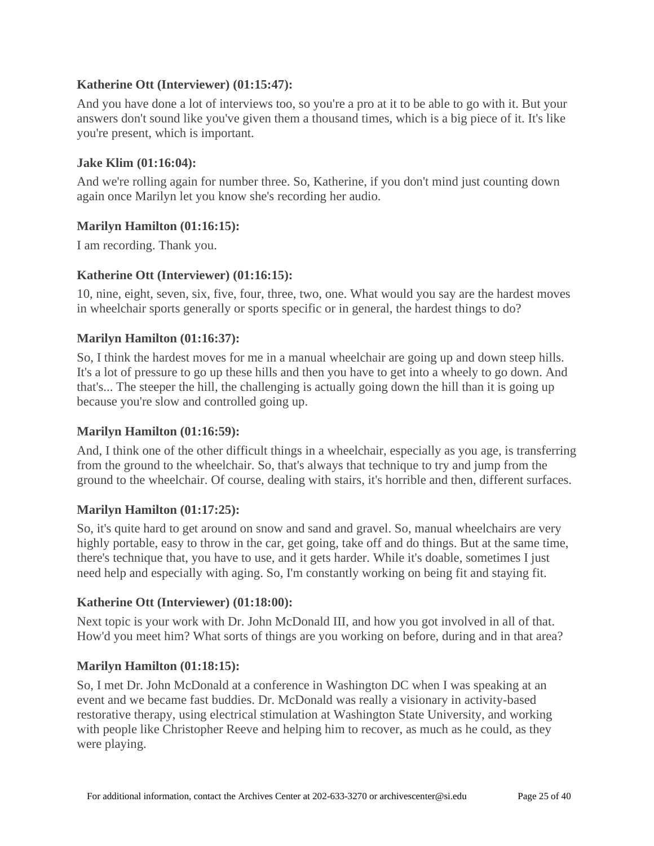### **Katherine Ott (Interviewer) [\(01:15:47\)](https://www.rev.com/transcript-editor/Edit?token=T33reOQQwQDbRo_QcIrBrdRkdK61V-X8Cxg0oECY7O4TDEEklvIF5_3AcxcVId-plMvq3FOlKYK0MAaqLP8QkaHspSA&loadFrom=DocumentDeeplink&ts=4547.55):**

And you have done a lot of interviews too, so you're a pro at it to be able to go with it. But your answers don't sound like you've given them a thousand times, which is a big piece of it. It's like you're present, which is important.

### **Jake Klim [\(01:16:04\)](https://www.rev.com/transcript-editor/Edit?token=Y7Hb65BdFHcGdX1HtzAJ7Cj46R4APMnnV-I-wvPstdDdGHF_bcLef_INR7AdUKjujIkYJJ-t8oe_sfoyFYQxWpShJ5Y&loadFrom=DocumentDeeplink&ts=4564.45):**

And we're rolling again for number three. So, Katherine, if you don't mind just counting down again once Marilyn let you know she's recording her audio.

### **Marilyn Hamilton [\(01:16:15\)](https://www.rev.com/transcript-editor/Edit?token=aCGAXZji6wiFLr-3h6ULoQx0TZBY8zyic1AppVGuCGSN4aDHl09E9Gu8XQAwEL9fdX4f9HxFijSS_ARlSRsFWJzphHc&loadFrom=DocumentDeeplink&ts=4575.72):**

I am recording. Thank you.

### **Katherine Ott (Interviewer) [\(01:16:15\)](https://www.rev.com/transcript-editor/Edit?token=YtusnOxtSOWAFAmHflQ0oXuqusggjSgkvjhT9gnc2jKoeOJhqiVomt2YRxeybo_zGKN_kI7x2Ch5YJ6Tn6Y_5sCEpWE&loadFrom=DocumentDeeplink&ts=4575.83):**

10, nine, eight, seven, six, five, four, three, two, one. What would you say are the hardest moves in wheelchair sports generally or sports specific or in general, the hardest things to do?

### **Marilyn Hamilton [\(01:16:37\)](https://www.rev.com/transcript-editor/Edit?token=orRsQwk24wmfUXtACE49jsp5zAJ-cTThS4sxuEisPsw_O6qz7lvz93Y5L0aD211qMxHFkyZII5DQEUfLDbtELl_coXw&loadFrom=DocumentDeeplink&ts=4597.65):**

So, I think the hardest moves for me in a manual wheelchair are going up and down steep hills. It's a lot of pressure to go up these hills and then you have to get into a wheely to go down. And that's... The steeper the hill, the challenging is actually going down the hill than it is going up because you're slow and controlled going up.

### **Marilyn Hamilton [\(01:16:59\)](https://www.rev.com/transcript-editor/Edit?token=ZVx4aRnCmjYZltj2MHcAfWlSuyXLaANUIek33H-JwO3Xafc39G9gkM0Qb9xNdLiA_dl9Xx-jbPBm9hX0OfJJqps6Ta8&loadFrom=DocumentDeeplink&ts=4619.07):**

And, I think one of the other difficult things in a wheelchair, especially as you age, is transferring from the ground to the wheelchair. So, that's always that technique to try and jump from the ground to the wheelchair. Of course, dealing with stairs, it's horrible and then, different surfaces.

### **Marilyn Hamilton [\(01:17:25\)](https://www.rev.com/transcript-editor/Edit?token=kgD9r04ZQXSzavmKX2PDbllu4LaTjPzFaOGXCo4Vl1O3wZJL1hdWqBYx1WojsavHt4CfxKCMcjA92eOB0FeAAVm7y7U&loadFrom=DocumentDeeplink&ts=4645.73):**

So, it's quite hard to get around on snow and sand and gravel. So, manual wheelchairs are very highly portable, easy to throw in the car, get going, take off and do things. But at the same time, there's technique that, you have to use, and it gets harder. While it's doable, sometimes I just need help and especially with aging. So, I'm constantly working on being fit and staying fit.

### **Katherine Ott (Interviewer) [\(01:18:00\)](https://www.rev.com/transcript-editor/Edit?token=Ia1qPdj3iFxlqFv5SM7dDdGlWqwMHGdNNUbdM8pvG2fDVAiIPGd_RDX9CMW6BdB23I12yKgRPXSBcmERkNWSUhATQtk&loadFrom=DocumentDeeplink&ts=4680.4):**

Next topic is your work with Dr. John McDonald III, and how you got involved in all of that. How'd you meet him? What sorts of things are you working on before, during and in that area?

### **Marilyn Hamilton [\(01:18:15\)](https://www.rev.com/transcript-editor/Edit?token=ZzVT-D6uf_fCLAIJckt5mR0RL_bQvxpifNZRTUk1ggd0H80Vk2mEGwA9cM2A2bGP_V8IpXZHqNeZ39Ox-qrnUsv9OGg&loadFrom=DocumentDeeplink&ts=4695.04):**

So, I met Dr. John McDonald at a conference in Washington DC when I was speaking at an event and we became fast buddies. Dr. McDonald was really a visionary in activity-based restorative therapy, using electrical stimulation at Washington State University, and working with people like Christopher Reeve and helping him to recover, as much as he could, as they were playing.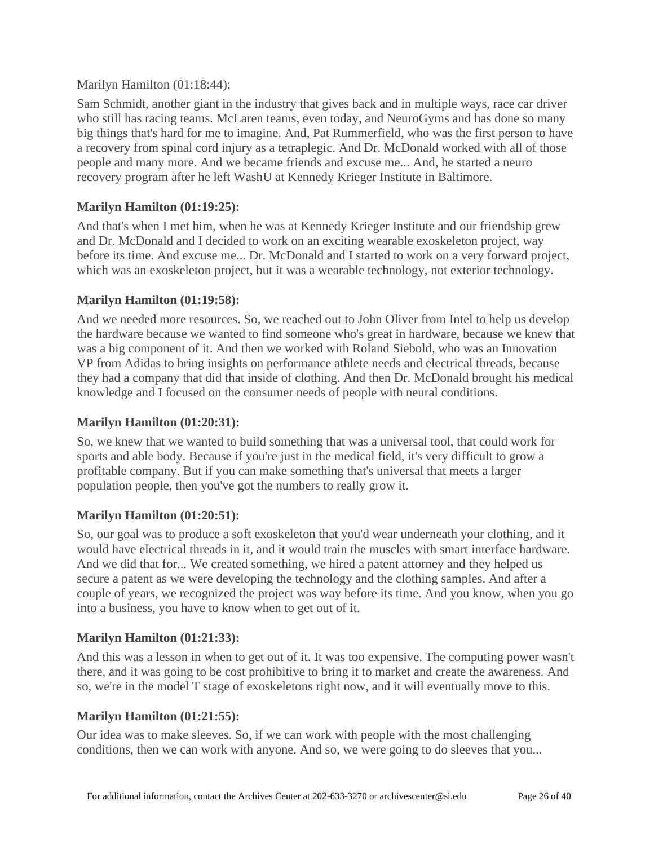### Marilyn Hamilton [\(01:18:44\)](https://www.rev.com/transcript-editor/Edit?token=2hIPLgTCx7z9wfFMLNl27XBRQUdymZKV1AniSd5Et3I3B4i1dbli_4N0OnRBZypwU5f37PTuX9c4f7Tu0L59ev_Xwrs&loadFrom=DocumentDeeplink&ts=4724.12):

Sam Schmidt, another giant in the industry that gives back and in multiple ways, race car driver who still has racing teams. McLaren teams, even today, and NeuroGyms and has done so many big things that's hard for me to imagine. And, Pat Rummerfield, who was the first person to have a recovery from spinal cord injury as a tetraplegic. And Dr. McDonald worked with all of those people and many more. And we became friends and excuse me... And, he started a neuro recovery program after he left WashU at Kennedy Krieger Institute in Baltimore.

## **Marilyn Hamilton [\(01:19:25\)](https://www.rev.com/transcript-editor/Edit?token=rSnaRdFbYJDKi5kN1WC45ARXlahXJennOrGGiLhwi_PGeonZerUBIDp0fKADDvTXQj4Ku0quaqlodnusYgeZwLLPVv4&loadFrom=DocumentDeeplink&ts=4765.26):**

And that's when I met him, when he was at Kennedy Krieger Institute and our friendship grew and Dr. McDonald and I decided to work on an exciting wearable exoskeleton project, way before its time. And excuse me... Dr. McDonald and I started to work on a very forward project, which was an exoskeleton project, but it was a wearable technology, not exterior technology.

## **Marilyn Hamilton [\(01:19:58\)](https://www.rev.com/transcript-editor/Edit?token=uVgkS2eBF0_W0FDJaz_vOxJJ9W4N0b07pF9iYEYsQTfGBtu8JuMdGT_RopdGxu2qgnNENVp81YhRzf8oU3eT7wiAcgg&loadFrom=DocumentDeeplink&ts=4798.34):**

And we needed more resources. So, we reached out to John Oliver from Intel to help us develop the hardware because we wanted to find someone who's great in hardware, because we knew that was a big component of it. And then we worked with Roland Siebold, who was an Innovation VP from Adidas to bring insights on performance athlete needs and electrical threads, because they had a company that did that inside of clothing. And then Dr. McDonald brought his medical knowledge and I focused on the consumer needs of people with neural conditions.

## **Marilyn Hamilton [\(01:20:31\)](https://www.rev.com/transcript-editor/Edit?token=2JSmw-EyrGw3KkADcyGgjR8HYopgJ-mE8VvdIH5L1UafBD72g1neqPAI8Cme_KRahsFniW9y43kkQLXwv80u8xbYdqU&loadFrom=DocumentDeeplink&ts=4831.45):**

So, we knew that we wanted to build something that was a universal tool, that could work for sports and able body. Because if you're just in the medical field, it's very difficult to grow a profitable company. But if you can make something that's universal that meets a larger population people, then you've got the numbers to really grow it.

### **Marilyn Hamilton [\(01:20:51\)](https://www.rev.com/transcript-editor/Edit?token=3UoXDhi7b3crU1SJoGsyojcShonmvVrHXnKWIgfQtOiz0K5yi4OJBMabUMckiyJR1_MttKjnShd_Zc3aXV9mEHNX9AA&loadFrom=DocumentDeeplink&ts=4851.76):**

So, our goal was to produce a soft exoskeleton that you'd wear underneath your clothing, and it would have electrical threads in it, and it would train the muscles with smart interface hardware. And we did that for... We created something, we hired a patent attorney and they helped us secure a patent as we were developing the technology and the clothing samples. And after a couple of years, we recognized the project was way before its time. And you know, when you go into a business, you have to know when to get out of it.

### **Marilyn Hamilton [\(01:21:33\)](https://www.rev.com/transcript-editor/Edit?token=9Mj1JVb1KLrtAIA2AV0nEAoo_zF6C1T-by7ORgMLlp5YsPNihhBQxJsP0MlN25lCpriluM3-yH6Z6b_hJH3ezw3Chuc&loadFrom=DocumentDeeplink&ts=4893.67):**

And this was a lesson in when to get out of it. It was too expensive. The computing power wasn't there, and it was going to be cost prohibitive to bring it to market and create the awareness. And so, we're in the model T stage of exoskeletons right now, and it will eventually move to this.

## **Marilyn Hamilton [\(01:21:55\)](https://www.rev.com/transcript-editor/Edit?token=HC5bGWGpCX4IWVxqEFnu4BtFCzkzeTFp6Mj-pHKAPHWlyeWZUTCuxTieHgFnqI-pOt55zvHAzjMY9i-KNrU1JnnYsZw&loadFrom=DocumentDeeplink&ts=4915.22):**

Our idea was to make sleeves. So, if we can work with people with the most challenging conditions, then we can work with anyone. And so, we were going to do sleeves that you...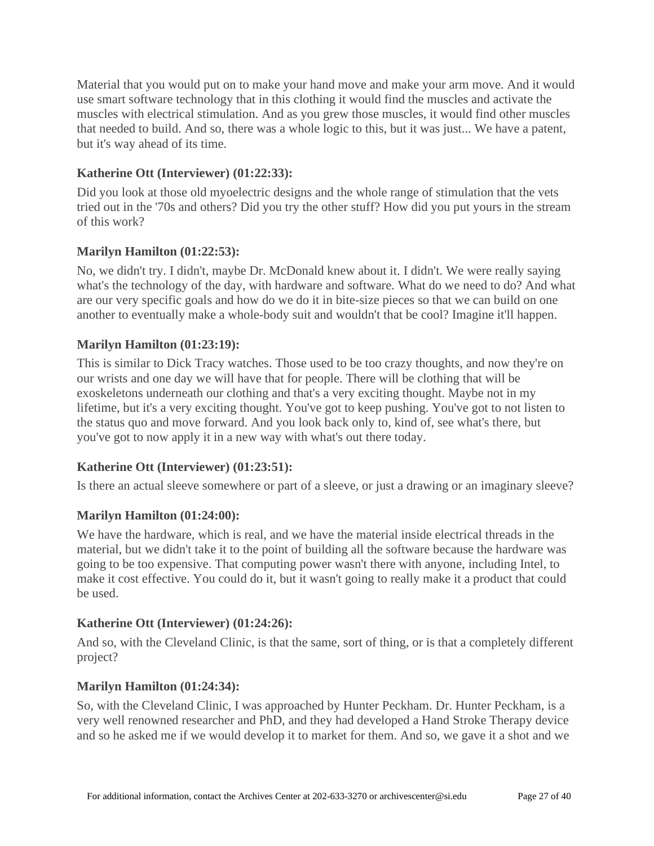Material that you would put on to make your hand move and make your arm move. And it would use smart software technology that in this clothing it would find the muscles and activate the muscles with electrical stimulation. And as you grew those muscles, it would find other muscles that needed to build. And so, there was a whole logic to this, but it was just... We have a patent, but it's way ahead of its time.

# **Katherine Ott (Interviewer) [\(01:22:33\)](https://www.rev.com/transcript-editor/Edit?token=lk6iQOccM6tp91-6PAbHai5VMQ7RcpwYQTdZNdTD_V7apBR3WRhcQd8rWWwFd6QFh6oGM_HzTUg04TDqd2NXdxMq7YU&loadFrom=DocumentDeeplink&ts=4953.86):**

Did you look at those old myoelectric designs and the whole range of stimulation that the vets tried out in the '70s and others? Did you try the other stuff? How did you put yours in the stream of this work?

## **Marilyn Hamilton [\(01:22:53\)](https://www.rev.com/transcript-editor/Edit?token=gT2-_Ei-LXPrpfHD5rtGZyHLIiSz5oFycSRX9N5m_ozyrHmIdx1LIge67BHEa2HI72mBTujMD0N2efP7_xDCYI5gXZE&loadFrom=DocumentDeeplink&ts=4973.66):**

No, we didn't try. I didn't, maybe Dr. McDonald knew about it. I didn't. We were really saying what's the technology of the day, with hardware and software. What do we need to do? And what are our very specific goals and how do we do it in bite-size pieces so that we can build on one another to eventually make a whole-body suit and wouldn't that be cool? Imagine it'll happen.

## **Marilyn Hamilton [\(01:23:19\)](https://www.rev.com/transcript-editor/Edit?token=LQccTNdJoVdsSOh0dh-CFivVMZWXg_nIqp_brTy3yayaSbhsDxvyceRhGT4p-EYhxXQEUX7Y32xIakfTuurINjysm2c&loadFrom=DocumentDeeplink&ts=4999.72):**

This is similar to Dick Tracy watches. Those used to be too crazy thoughts, and now they're on our wrists and one day we will have that for people. There will be clothing that will be exoskeletons underneath our clothing and that's a very exciting thought. Maybe not in my lifetime, but it's a very exciting thought. You've got to keep pushing. You've got to not listen to the status quo and move forward. And you look back only to, kind of, see what's there, but you've got to now apply it in a new way with what's out there today.

## **Katherine Ott (Interviewer) [\(01:23:51\)](https://www.rev.com/transcript-editor/Edit?token=FzvP1RQtEcPh4CmNBuFhbjk-TeT9IzQ5TyDG_4TqtKlbrmisoZvK2G7D6NPVJsD8a8LjXtEJlSiPByJsdQ8wC4jTc0w&loadFrom=DocumentDeeplink&ts=5031.53):**

Is there an actual sleeve somewhere or part of a sleeve, or just a drawing or an imaginary sleeve?

## **Marilyn Hamilton [\(01:24:00\)](https://www.rev.com/transcript-editor/Edit?token=zvXvd1hIo0VrMG5fXDh18l3FCK8s6tCT_azAy54p5PmWOr4o_QGP9UU2QISbyIXHmzfWzxwgVjLj6YX9LVwdsx1vJ2Q&loadFrom=DocumentDeeplink&ts=5040):**

We have the hardware, which is real, and we have the material inside electrical threads in the material, but we didn't take it to the point of building all the software because the hardware was going to be too expensive. That computing power wasn't there with anyone, including Intel, to make it cost effective. You could do it, but it wasn't going to really make it a product that could be used.

## **Katherine Ott (Interviewer) [\(01:24:26\)](https://www.rev.com/transcript-editor/Edit?token=HUool5aiXOyJobg0Pmna-KAsPur_aEcKPi9fE1kpjoUelWWGDeXekMIhR1WBr4Zbz8hvCxYRUYQGW75C2MM2cqHSn14&loadFrom=DocumentDeeplink&ts=5066.19):**

And so, with the Cleveland Clinic, is that the same, sort of thing, or is that a completely different project?

## **Marilyn Hamilton [\(01:24:34\)](https://www.rev.com/transcript-editor/Edit?token=LRbyJcyHmhigK9W-NG7K_C7HwiQMwHilCNfavVcfmRdWdw4eb89s1CKtJDIpKYS8pJpU7g6DXX9OPsfxSkFzvofu8Po&loadFrom=DocumentDeeplink&ts=5074.21):**

So, with the Cleveland Clinic, I was approached by Hunter Peckham. Dr. Hunter Peckham, is a very well renowned researcher and PhD, and they had developed a Hand Stroke Therapy device and so he asked me if we would develop it to market for them. And so, we gave it a shot and we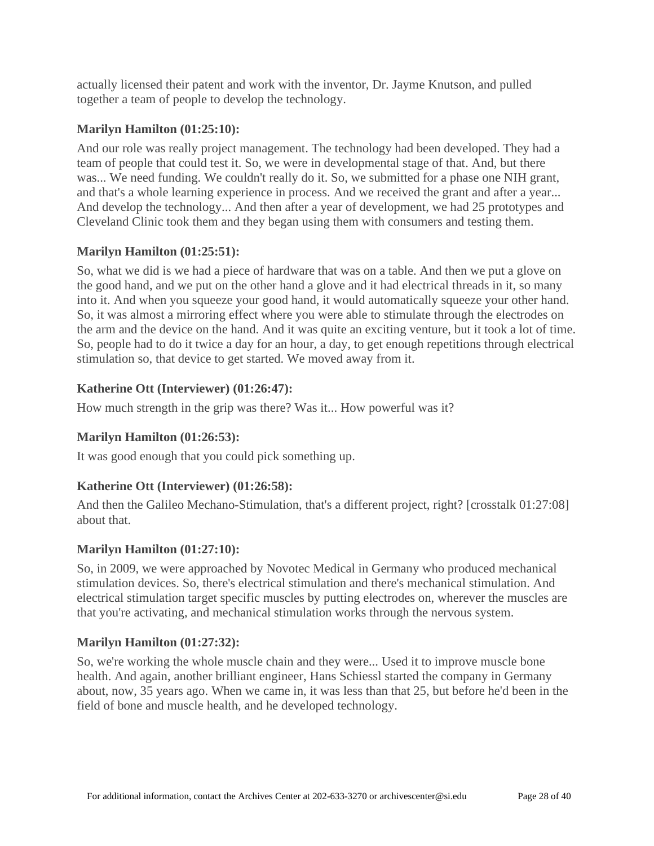actually licensed their patent and work with the inventor, Dr. Jayme Knutson, and pulled together a team of people to develop the technology.

# **Marilyn Hamilton [\(01:25:10\)](https://www.rev.com/transcript-editor/Edit?token=YJfkDkDg7SRxDDePsqTEFvlY3Uup6-meT6vjvR3dspds6_LcZ2xeWEvW4LhnHkEfRB7y2fHeIdMUiBZGlmjpuffNw24&loadFrom=DocumentDeeplink&ts=5110.17):**

And our role was really project management. The technology had been developed. They had a team of people that could test it. So, we were in developmental stage of that. And, but there was... We need funding. We couldn't really do it. So, we submitted for a phase one NIH grant, and that's a whole learning experience in process. And we received the grant and after a year... And develop the technology... And then after a year of development, we had 25 prototypes and Cleveland Clinic took them and they began using them with consumers and testing them.

## **Marilyn Hamilton [\(01:25:51\)](https://www.rev.com/transcript-editor/Edit?token=DnTIGKJlUM8pKhNuPHuHhLE3pojRY3p3uh4NTG-hka0i5wkSVch_QrpFNEbv6M0q6zxJIsqLeBiKxZv8dx617VA0ZVQ&loadFrom=DocumentDeeplink&ts=5151.24):**

So, what we did is we had a piece of hardware that was on a table. And then we put a glove on the good hand, and we put on the other hand a glove and it had electrical threads in it, so many into it. And when you squeeze your good hand, it would automatically squeeze your other hand. So, it was almost a mirroring effect where you were able to stimulate through the electrodes on the arm and the device on the hand. And it was quite an exciting venture, but it took a lot of time. So, people had to do it twice a day for an hour, a day, to get enough repetitions through electrical stimulation so, that device to get started. We moved away from it.

# **Katherine Ott (Interviewer) [\(01:26:47\)](https://www.rev.com/transcript-editor/Edit?token=f7oTg6h7PXFJMpQSZYA_VekHkHFjuxyfMzv65Tqr8oiehI-S3-CHBiiGiqmAIcBQDq-NbP2p_GG_R6VYAqGxs_SbPbg&loadFrom=DocumentDeeplink&ts=5207.37):**

How much strength in the grip was there? Was it... How powerful was it?

# **Marilyn Hamilton [\(01:26:53\)](https://www.rev.com/transcript-editor/Edit?token=75jKXmwGX2whougpQNl_99j7mj00rm4NiKAtMpfKG3NmpenVn3ysKD74xBqsF4d44EJmr2g4q0vE56371BBp2wYusXA&loadFrom=DocumentDeeplink&ts=5213.64):**

It was good enough that you could pick something up.

# **Katherine Ott (Interviewer) [\(01:26:58\)](https://www.rev.com/transcript-editor/Edit?token=4QI_ff4gfmXWQMA2GMymbNZS0O6n9SBuuWtQihwnpkPevzJ7jyqTJqrUoC4QJ5ALjzcfcV0vdcRCSpaeN7N_kAcTQxc&loadFrom=DocumentDeeplink&ts=5218.65):**

And then the Galileo Mechano-Stimulation, that's a different project, right? [crosstalk 01:27:08] about that.

## **Marilyn Hamilton [\(01:27:10\)](https://www.rev.com/transcript-editor/Edit?token=G6D7rMiBALfUBPRqVRRHHtuLJ74aEMS1rT1Uk2LRvlhdiLvby_D1nqQk_8l72V2TgBU5oww7i2ge5yXs6H5cCYcDL5M&loadFrom=DocumentDeeplink&ts=5230.06):**

So, in 2009, we were approached by Novotec Medical in Germany who produced mechanical stimulation devices. So, there's electrical stimulation and there's mechanical stimulation. And electrical stimulation target specific muscles by putting electrodes on, wherever the muscles are that you're activating, and mechanical stimulation works through the nervous system.

## **Marilyn Hamilton [\(01:27:32\)](https://www.rev.com/transcript-editor/Edit?token=23DuC_maVPtZWWmD4cnNcuhFTUwqBVmdTIARY2EAcE7EAak4uqecIKEnjkT2VplMIKkN43rEawS7rvqGErwknLa0vvM&loadFrom=DocumentDeeplink&ts=5252.69):**

So, we're working the whole muscle chain and they were... Used it to improve muscle bone health. And again, another brilliant engineer, Hans Schiessl started the company in Germany about, now, 35 years ago. When we came in, it was less than that 25, but before he'd been in the field of bone and muscle health, and he developed technology.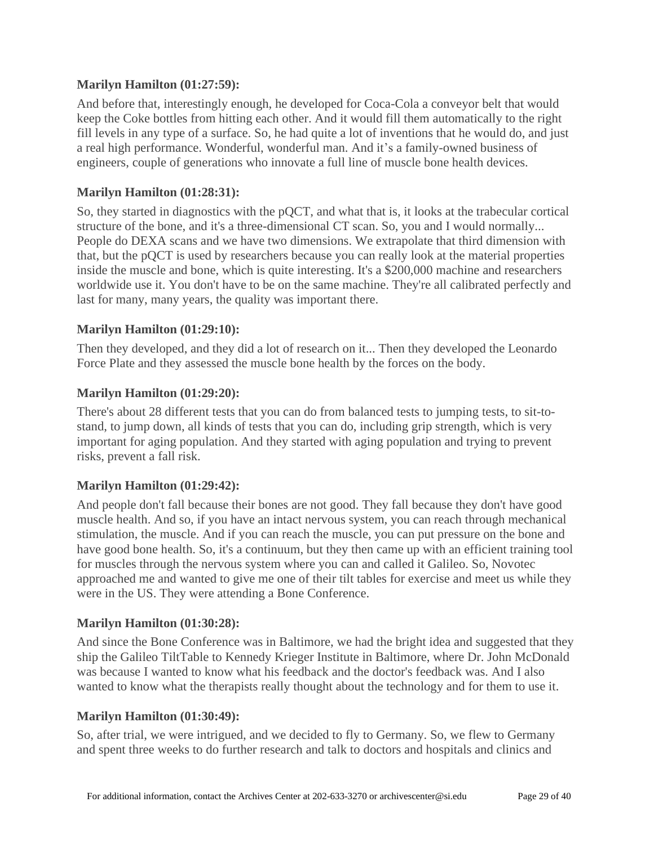### **Marilyn Hamilton [\(01:27:59\)](https://www.rev.com/transcript-editor/Edit?token=B2F-GxKjcbsNN5oiULXjUM4v7qPEDfEWRnoVEqVOv5If5e-DXYNQ50Dis518F_V3WfeTpzXmCLqRNRelzU72dyLJn_s&loadFrom=DocumentDeeplink&ts=5279.9):**

And before that, interestingly enough, he developed for Coca-Cola a conveyor belt that would keep the Coke bottles from hitting each other. And it would fill them automatically to the right fill levels in any type of a surface. So, he had quite a lot of inventions that he would do, and just a real high performance. Wonderful, wonderful man. And it's a family-owned business of engineers, couple of generations who innovate a full line of muscle bone health devices.

### **Marilyn Hamilton [\(01:28:31\)](https://www.rev.com/transcript-editor/Edit?token=k6Nxw7HF_hz-ikwZvuOYR_6iDFvCPCrhTuZ0haQSQcvn-wYueT2S6N0Qq1jtp9ClLHG_VBGUuatNEuSwmjVQ_Ucu7qk&loadFrom=DocumentDeeplink&ts=5311.57):**

So, they started in diagnostics with the pQCT, and what that is, it looks at the trabecular cortical structure of the bone, and it's a three-dimensional CT scan. So, you and I would normally... People do DEXA scans and we have two dimensions. We extrapolate that third dimension with that, but the pQCT is used by researchers because you can really look at the material properties inside the muscle and bone, which is quite interesting. It's a \$200,000 machine and researchers worldwide use it. You don't have to be on the same machine. They're all calibrated perfectly and last for many, many years, the quality was important there.

## **Marilyn Hamilton [\(01:29:10\)](https://www.rev.com/transcript-editor/Edit?token=TOIyBzlO2SIvNYzurvf2n417mhWRQJjeJx-9JBzvuNmtuJkYFIV2w4hZvzTLgSjvU1s3ERFA0g6eA7KzYVol7s_8-iw&loadFrom=DocumentDeeplink&ts=5350.57):**

Then they developed, and they did a lot of research on it... Then they developed the Leonardo Force Plate and they assessed the muscle bone health by the forces on the body.

### **Marilyn Hamilton [\(01:29:20\)](https://www.rev.com/transcript-editor/Edit?token=o8bvXKNQMgSfuWgv3AnEydby61W4CTw29BzAIFBwQHkY77-c3RxM1E8a0raMbXbZ6ZVhEhqqyhC7_gsYVMf1e5XkdbE&loadFrom=DocumentDeeplink&ts=5360.7):**

There's about 28 different tests that you can do from balanced tests to jumping tests, to sit-tostand, to jump down, all kinds of tests that you can do, including grip strength, which is very important for aging population. And they started with aging population and trying to prevent risks, prevent a fall risk.

## **Marilyn Hamilton [\(01:29:42\)](https://www.rev.com/transcript-editor/Edit?token=NXPwpCn4Kn-YsQSTXwidqVe_ywQSb8fgeotrxJ_CZ8RNAriw3b-7q6_IqHi_ATTj-6JzNqhGW2Ku51M_KcN2tMorm20&loadFrom=DocumentDeeplink&ts=5382.75):**

And people don't fall because their bones are not good. They fall because they don't have good muscle health. And so, if you have an intact nervous system, you can reach through mechanical stimulation, the muscle. And if you can reach the muscle, you can put pressure on the bone and have good bone health. So, it's a continuum, but they then came up with an efficient training tool for muscles through the nervous system where you can and called it Galileo. So, Novotec approached me and wanted to give me one of their tilt tables for exercise and meet us while they were in the US. They were attending a Bone Conference.

### **Marilyn Hamilton [\(01:30:28\)](https://www.rev.com/transcript-editor/Edit?token=y5h9xlybOQ8QY13LqLMFjIkEa_e0AqSZu9Oh8OGL38Eq_QjmJm4gHV7bWvlQeqmUUZWKVrqGyeNoDCo9jI6u09E-qjY&loadFrom=DocumentDeeplink&ts=5428.38):**

And since the Bone Conference was in Baltimore, we had the bright idea and suggested that they ship the Galileo TiltTable to Kennedy Krieger Institute in Baltimore, where Dr. John McDonald was because I wanted to know what his feedback and the doctor's feedback was. And I also wanted to know what the therapists really thought about the technology and for them to use it.

### **Marilyn Hamilton [\(01:30:49\)](https://www.rev.com/transcript-editor/Edit?token=jiTevAkGKmlj0KyqRkbIE7FuLMpYexFeM-ClmPnwzRrKUSgJSw_glht2l332UZxSA3kimiQNV-q0YeRhS5OsnPbE_Fg&loadFrom=DocumentDeeplink&ts=5449.21):**

So, after trial, we were intrigued, and we decided to fly to Germany. So, we flew to Germany and spent three weeks to do further research and talk to doctors and hospitals and clinics and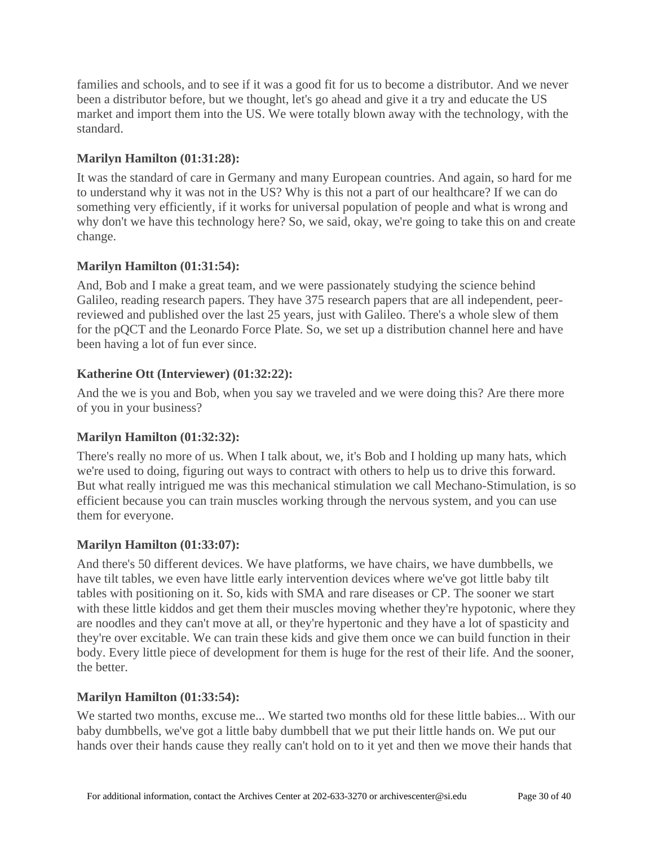families and schools, and to see if it was a good fit for us to become a distributor. And we never been a distributor before, but we thought, let's go ahead and give it a try and educate the US market and import them into the US. We were totally blown away with the technology, with the standard.

# **Marilyn Hamilton [\(01:31:28\)](https://www.rev.com/transcript-editor/Edit?token=CvhMgKAKetqPo-qoBD_QHvALrMFiOG3yruFsUImLUeHmfH8z6griTcO4NS1fsI7e6w5UKsdX36aaOyVhbn-kLN9IGrM&loadFrom=DocumentDeeplink&ts=5488.02):**

It was the standard of care in Germany and many European countries. And again, so hard for me to understand why it was not in the US? Why is this not a part of our healthcare? If we can do something very efficiently, if it works for universal population of people and what is wrong and why don't we have this technology here? So, we said, okay, we're going to take this on and create change.

## **Marilyn Hamilton [\(01:31:54\)](https://www.rev.com/transcript-editor/Edit?token=ohEx7pcjA0dnrgKZVhDChYYm8mYv5EqavVI6vE38ORyimj8aDd3w2Z-3Wm6FAsD1th0Wlo9kSkxY9-9965diiM0Fa-o&loadFrom=DocumentDeeplink&ts=5514.54):**

And, Bob and I make a great team, and we were passionately studying the science behind Galileo, reading research papers. They have 375 research papers that are all independent, peerreviewed and published over the last 25 years, just with Galileo. There's a whole slew of them for the pQCT and the Leonardo Force Plate. So, we set up a distribution channel here and have been having a lot of fun ever since.

## **Katherine Ott (Interviewer) [\(01:32:22\)](https://www.rev.com/transcript-editor/Edit?token=7CqtuRFX3ZBe4fNdWVD-xaHmXoOIxJk5tRQjk61cktQBdOAffAb2Q2GEI9GzB3Bmw_XZILTPqjOVi0EyPEhCbj1Z4To&loadFrom=DocumentDeeplink&ts=5542.82):**

And the we is you and Bob, when you say we traveled and we were doing this? Are there more of you in your business?

## **Marilyn Hamilton [\(01:32:32\)](https://www.rev.com/transcript-editor/Edit?token=imxjQk-FPTc0AJ0i94LJeS_n8MRTjRtWSQKaK5Bi56fRc7EZmj_on3KEZO2TfherKL4IiZNiFzwIKCoCYjKj-fa_VMM&loadFrom=DocumentDeeplink&ts=5552.3):**

There's really no more of us. When I talk about, we, it's Bob and I holding up many hats, which we're used to doing, figuring out ways to contract with others to help us to drive this forward. But what really intrigued me was this mechanical stimulation we call Mechano-Stimulation, is so efficient because you can train muscles working through the nervous system, and you can use them for everyone.

## **Marilyn Hamilton [\(01:33:07\)](https://www.rev.com/transcript-editor/Edit?token=IXc_-nRrRftf0X9mOQME18CBrl7wOc70YOL17ZXax2uveSx666YQUg73_ettlh79ndhkr6MDfWV7KONsKKtvPfabus8&loadFrom=DocumentDeeplink&ts=5587.09):**

And there's 50 different devices. We have platforms, we have chairs, we have dumbbells, we have tilt tables, we even have little early intervention devices where we've got little baby tilt tables with positioning on it. So, kids with SMA and rare diseases or CP. The sooner we start with these little kiddos and get them their muscles moving whether they're hypotonic, where they are noodles and they can't move at all, or they're hypertonic and they have a lot of spasticity and they're over excitable. We can train these kids and give them once we can build function in their body. Every little piece of development for them is huge for the rest of their life. And the sooner, the better.

## **Marilyn Hamilton [\(01:33:54\)](https://www.rev.com/transcript-editor/Edit?token=YOMfUeyO1SlGR9LJg3Q5EaY8kS7VydtRhdpugSIZXphxLkl_7hItlHaq2D-W6gSgYMs-tjzUgaowrJjht5QNo1812fM&loadFrom=DocumentDeeplink&ts=5634.07):**

We started two months, excuse me... We started two months old for these little babies... With our baby dumbbells, we've got a little baby dumbbell that we put their little hands on. We put our hands over their hands cause they really can't hold on to it yet and then we move their hands that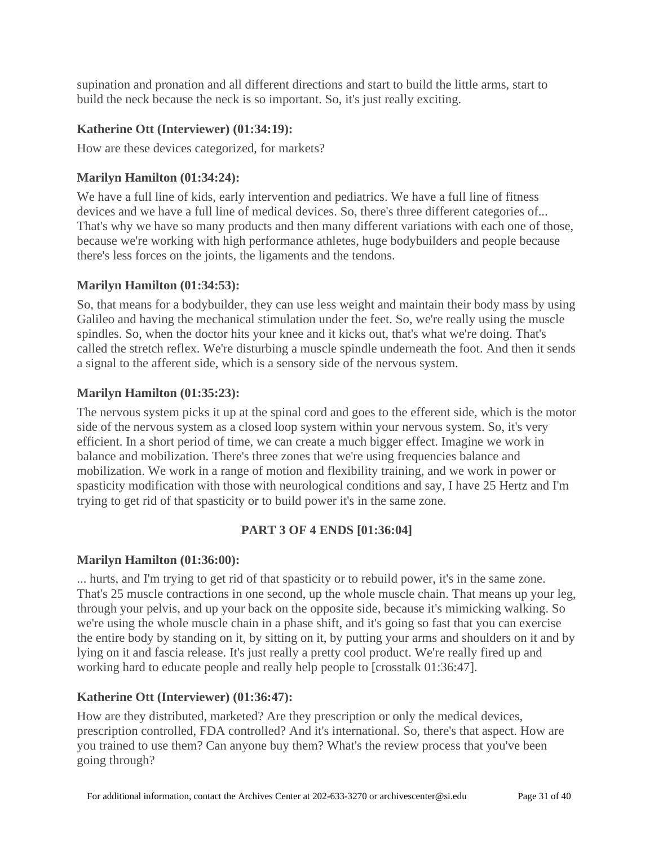supination and pronation and all different directions and start to build the little arms, start to build the neck because the neck is so important. So, it's just really exciting.

## **Katherine Ott (Interviewer) [\(01:34:19\)](https://www.rev.com/transcript-editor/Edit?token=3ilPkh5Gs0Vb_5EzkbEuJBjBUrhMAYeYTF5OaQy9OgvsvAOe2QSWwrBZIRWb-gY9flmcOcYbtLXXD-aRrqAhvPZSke8&loadFrom=DocumentDeeplink&ts=5659.25):**

How are these devices categorized, for markets?

# **Marilyn Hamilton [\(01:34:24\)](https://www.rev.com/transcript-editor/Edit?token=jiwaQSm1Pgvhx9pDiyciNJxZWpkeUPc6HBWy8U95LrRpw0rFO8ADM8kH17C_l0NV_Zc1RvOdbEnvDlHzXYiJbZLioBU&loadFrom=DocumentDeeplink&ts=5664.09):**

We have a full line of kids, early intervention and pediatrics. We have a full line of fitness devices and we have a full line of medical devices. So, there's three different categories of... That's why we have so many products and then many different variations with each one of those, because we're working with high performance athletes, huge bodybuilders and people because there's less forces on the joints, the ligaments and the tendons.

## **Marilyn Hamilton [\(01:34:53\)](https://www.rev.com/transcript-editor/Edit?token=tcfM90IoXkQqjWnhflBp5sJaYMw3gfhlpisxkKrzb7dF5rIyNfSXPsV-3nWw4ktvNDlzv0yudquJ0dP9TriMzc9Jrzw&loadFrom=DocumentDeeplink&ts=5693.94):**

So, that means for a bodybuilder, they can use less weight and maintain their body mass by using Galileo and having the mechanical stimulation under the feet. So, we're really using the muscle spindles. So, when the doctor hits your knee and it kicks out, that's what we're doing. That's called the stretch reflex. We're disturbing a muscle spindle underneath the foot. And then it sends a signal to the afferent side, which is a sensory side of the nervous system.

## **Marilyn Hamilton [\(01:35:23\)](https://www.rev.com/transcript-editor/Edit?token=OJvzJ_umAoLGUoSF_hjUZmIqExsBFAWDXRr9ah8AFjFFum5b6fjYBV2wDofxlJqXV-PpSX-huYqjMwVbhAO5XIcCKa8&loadFrom=DocumentDeeplink&ts=5723.48):**

The nervous system picks it up at the spinal cord and goes to the efferent side, which is the motor side of the nervous system as a closed loop system within your nervous system. So, it's very efficient. In a short period of time, we can create a much bigger effect. Imagine we work in balance and mobilization. There's three zones that we're using frequencies balance and mobilization. We work in a range of motion and flexibility training, and we work in power or spasticity modification with those with neurological conditions and say, I have 25 Hertz and I'm trying to get rid of that spasticity or to build power it's in the same zone.

# **PART 3 OF 4 ENDS [01:36:04]**

## **Marilyn Hamilton [\(01:36:00\)](https://www.rev.com/transcript-editor/Edit?token=kzW9FlfsZyeKhrHqybqb3CJyXNWwORVCtRDFWftRKNt7bnFZqBsONLg_7LRpHa84Bq5CJdiWUWujERsgndEbPVX9VT0&loadFrom=DocumentDeeplink&ts=5760.3):**

... hurts, and I'm trying to get rid of that spasticity or to rebuild power, it's in the same zone. That's 25 muscle contractions in one second, up the whole muscle chain. That means up your leg, through your pelvis, and up your back on the opposite side, because it's mimicking walking. So we're using the whole muscle chain in a phase shift, and it's going so fast that you can exercise the entire body by standing on it, by sitting on it, by putting your arms and shoulders on it and by lying on it and fascia release. It's just really a pretty cool product. We're really fired up and working hard to educate people and really help people to [crosstalk 01:36:47].

## **Katherine Ott (Interviewer) [\(01:36:47\)](https://www.rev.com/transcript-editor/Edit?token=y8u-EEq1HO6qx0PjveP5L_M4Y_07FFjvevoDuKEYHER_1ZhFR6SIwiAGx59ZKJxIz9jg74y-oqRY26rPOjzpQ2GkqHc&loadFrom=DocumentDeeplink&ts=5807.75):**

How are they distributed, marketed? Are they prescription or only the medical devices, prescription controlled, FDA controlled? And it's international. So, there's that aspect. How are you trained to use them? Can anyone buy them? What's the review process that you've been going through?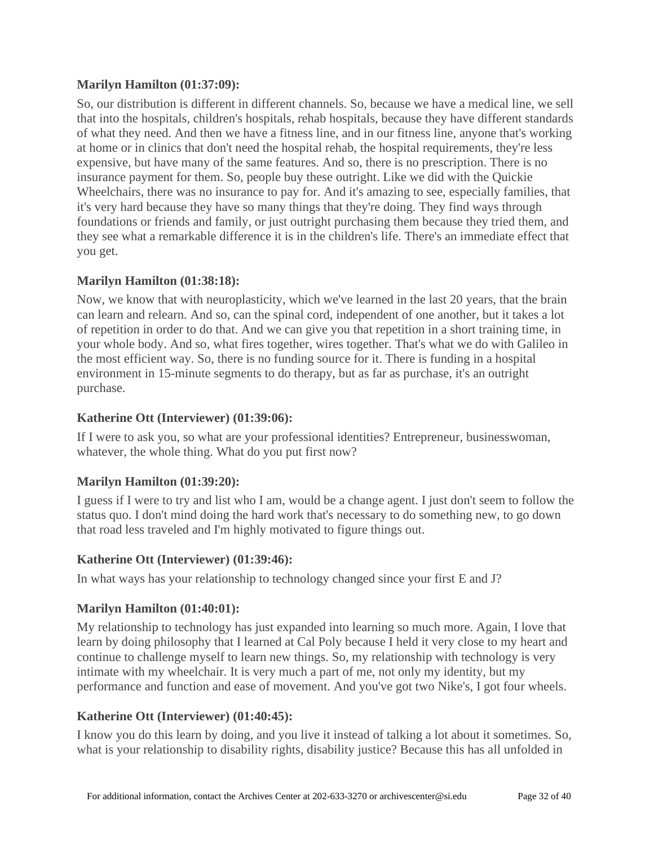## **Marilyn Hamilton [\(01:37:09\)](https://www.rev.com/transcript-editor/Edit?token=j87xWfaFYX8KK-QQcnVDl8FPd0qSrGiDhuYWF4rRavpZ328gX27BSqvKT9nMa9yfqBats2fCirq5inC7U1DOQq0S66s&loadFrom=DocumentDeeplink&ts=5829.63):**

So, our distribution is different in different channels. So, because we have a medical line, we sell that into the hospitals, children's hospitals, rehab hospitals, because they have different standards of what they need. And then we have a fitness line, and in our fitness line, anyone that's working at home or in clinics that don't need the hospital rehab, the hospital requirements, they're less expensive, but have many of the same features. And so, there is no prescription. There is no insurance payment for them. So, people buy these outright. Like we did with the Quickie Wheelchairs, there was no insurance to pay for. And it's amazing to see, especially families, that it's very hard because they have so many things that they're doing. They find ways through foundations or friends and family, or just outright purchasing them because they tried them, and they see what a remarkable difference it is in the children's life. There's an immediate effect that you get.

### **Marilyn Hamilton [\(01:38:18\)](https://www.rev.com/transcript-editor/Edit?token=UDHiW_i-nc1B81gH6YmeRCeKLo7soyNSrO_fsBqw_Uam74EvQyIo7EtFvbiXfBc7zbPABj5J_jUnXqyjlO9xeuZh16I&loadFrom=DocumentDeeplink&ts=5898.01):**

Now, we know that with neuroplasticity, which we've learned in the last 20 years, that the brain can learn and relearn. And so, can the spinal cord, independent of one another, but it takes a lot of repetition in order to do that. And we can give you that repetition in a short training time, in your whole body. And so, what fires together, wires together. That's what we do with Galileo in the most efficient way. So, there is no funding source for it. There is funding in a hospital environment in 15-minute segments to do therapy, but as far as purchase, it's an outright purchase.

### **Katherine Ott (Interviewer) [\(01:39:06\)](https://www.rev.com/transcript-editor/Edit?token=fuKqkNwgBpkBwCLffXDV3TUK3htv__FQFbJTtjZKWYNQGmM2aDKQXTn959QpqNhewrei2CYSEMqMiV-ps6gx6Pq1XLI&loadFrom=DocumentDeeplink&ts=5946.26):**

If I were to ask you, so what are your professional identities? Entrepreneur, businesswoman, whatever, the whole thing. What do you put first now?

## **Marilyn Hamilton [\(01:39:20\)](https://www.rev.com/transcript-editor/Edit?token=Uczysn4ZABg--vlAOvN--a9I0Z8OqTmBdJJtlHoLw6WUPHNrz7mjCdKPtrL63nd4KkV0hmMGjaG_e40pN3rM0kRoCek&loadFrom=DocumentDeeplink&ts=5960.75):**

I guess if I were to try and list who I am, would be a change agent. I just don't seem to follow the status quo. I don't mind doing the hard work that's necessary to do something new, to go down that road less traveled and I'm highly motivated to figure things out.

## **Katherine Ott (Interviewer) [\(01:39:46\)](https://www.rev.com/transcript-editor/Edit?token=70qSCKa4bue3Kjb2dqR9zSgGQqrcwjGz4HDT0nwiTQXtBKzzj4VrsAo41rHdIWRaiVTDYf_Z8DFtXj-jwL-QpTAIMlI&loadFrom=DocumentDeeplink&ts=5986.91):**

In what ways has your relationship to technology changed since your first E and J?

### **Marilyn Hamilton [\(01:40:01\)](https://www.rev.com/transcript-editor/Edit?token=kJOQSCRup8hsLhHvCkJVQOxWKND1gitSIoDrE5wp-iz_X5PDrfY8d9QyDWYOHxHcD1WwYiwbJWiUO34wuHeiRYiub4A&loadFrom=DocumentDeeplink&ts=6001.94):**

My relationship to technology has just expanded into learning so much more. Again, I love that learn by doing philosophy that I learned at Cal Poly because I held it very close to my heart and continue to challenge myself to learn new things. So, my relationship with technology is very intimate with my wheelchair. It is very much a part of me, not only my identity, but my performance and function and ease of movement. And you've got two Nike's, I got four wheels.

## **Katherine Ott (Interviewer) [\(01:40:45\)](https://www.rev.com/transcript-editor/Edit?token=t_gmdsMAbIr3GaNUYHCGo9m_lAHk9wK6JpjF_o_SMQOBSadQbkEFNmLg2uxH3SCOlYqFEpY3-DFSWG0Rf23WMm3jpug&loadFrom=DocumentDeeplink&ts=6045.26):**

I know you do this learn by doing, and you live it instead of talking a lot about it sometimes. So, what is your relationship to disability rights, disability justice? Because this has all unfolded in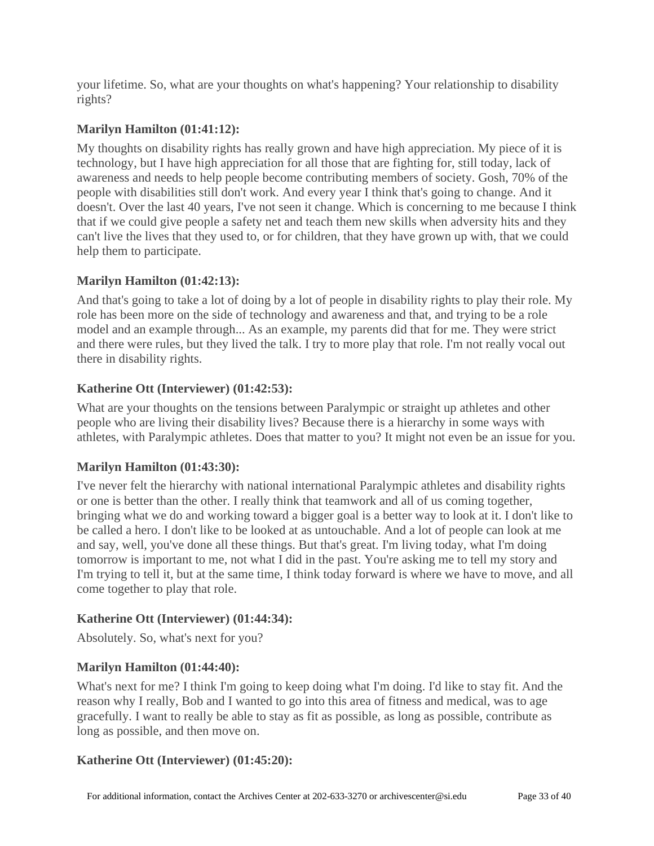your lifetime. So, what are your thoughts on what's happening? Your relationship to disability rights?

# **Marilyn Hamilton [\(01:41:12\)](https://www.rev.com/transcript-editor/Edit?token=HzfNIL-o1o4dYCm_A0O6TaM8wqgB_zRi4il4TJcGAaU2XwKF-GN1OKONBFGbq4PvDWqcc1BVq9rMBI-FcC12xdifprc&loadFrom=DocumentDeeplink&ts=6072.74):**

My thoughts on disability rights has really grown and have high appreciation. My piece of it is technology, but I have high appreciation for all those that are fighting for, still today, lack of awareness and needs to help people become contributing members of society. Gosh, 70% of the people with disabilities still don't work. And every year I think that's going to change. And it doesn't. Over the last 40 years, I've not seen it change. Which is concerning to me because I think that if we could give people a safety net and teach them new skills when adversity hits and they can't live the lives that they used to, or for children, that they have grown up with, that we could help them to participate.

## **Marilyn Hamilton [\(01:42:13\)](https://www.rev.com/transcript-editor/Edit?token=CwSuCHkQ5s40ia6wxYww9SnqGt96_cKZlFbytAtENkA8UoUJ7Q89IAarV69dz175FZ50J08lVWtgBaTJkO1vDzjNTrk&loadFrom=DocumentDeeplink&ts=6133.32):**

And that's going to take a lot of doing by a lot of people in disability rights to play their role. My role has been more on the side of technology and awareness and that, and trying to be a role model and an example through... As an example, my parents did that for me. They were strict and there were rules, but they lived the talk. I try to more play that role. I'm not really vocal out there in disability rights.

## **Katherine Ott (Interviewer) [\(01:42:53\)](https://www.rev.com/transcript-editor/Edit?token=E36wYtvGjr3eYzR_ITHrQwNd-X3Qn75LsQozcCWmT9Ewy1UPSte0TP-JDrxWqKm_668w2DqXIh-tEeGXtVluRWs9Wus&loadFrom=DocumentDeeplink&ts=6173.67):**

What are your thoughts on the tensions between Paralympic or straight up athletes and other people who are living their disability lives? Because there is a hierarchy in some ways with athletes, with Paralympic athletes. Does that matter to you? It might not even be an issue for you.

## **Marilyn Hamilton [\(01:43:30\)](https://www.rev.com/transcript-editor/Edit?token=5zhLDakJsVfTsN4FUTDqsQgjEVMDcD6G0dSNNXmbkxokYt1tvvpKtwmkNXIPuAogu2Mzmu2dw8_xMzk2OTYG4zbvBuA&loadFrom=DocumentDeeplink&ts=6210.5):**

I've never felt the hierarchy with national international Paralympic athletes and disability rights or one is better than the other. I really think that teamwork and all of us coming together, bringing what we do and working toward a bigger goal is a better way to look at it. I don't like to be called a hero. I don't like to be looked at as untouchable. And a lot of people can look at me and say, well, you've done all these things. But that's great. I'm living today, what I'm doing tomorrow is important to me, not what I did in the past. You're asking me to tell my story and I'm trying to tell it, but at the same time, I think today forward is where we have to move, and all come together to play that role.

## **Katherine Ott (Interviewer) [\(01:44:34\)](https://www.rev.com/transcript-editor/Edit?token=k7312ZcyqwYWGbmZ8jrbRe74SrfmPg0lyjGCX58E3dTNBUD2Iisb41mgZsmU7HuPtaApQgu9jkBd7-Q4pbj8lDid8pE&loadFrom=DocumentDeeplink&ts=6274.22):**

Absolutely. So, what's next for you?

## **Marilyn Hamilton [\(01:44:40\)](https://www.rev.com/transcript-editor/Edit?token=Mzf5QtbJAKr44a4OevmDNg_tp94B2rnomoYQVjqDkbFEjPH_7NrA9DMhp10wH5-KNpRqvJe8qUT16GoNI35UD5rIdI8&loadFrom=DocumentDeeplink&ts=6280.17):**

What's next for me? I think I'm going to keep doing what I'm doing. I'd like to stay fit. And the reason why I really, Bob and I wanted to go into this area of fitness and medical, was to age gracefully. I want to really be able to stay as fit as possible, as long as possible, contribute as long as possible, and then move on.

### **Katherine Ott (Interviewer) [\(01:45:20\)](https://www.rev.com/transcript-editor/Edit?token=zk3ZluGyCe6vrEZGUXQ2rD-ZX_Gss0D8M28H28JygWokQotETbdR6FMFGw03bu5U8dmDagAClB568_sGtK-7tZmgGoY&loadFrom=DocumentDeeplink&ts=6320.54):**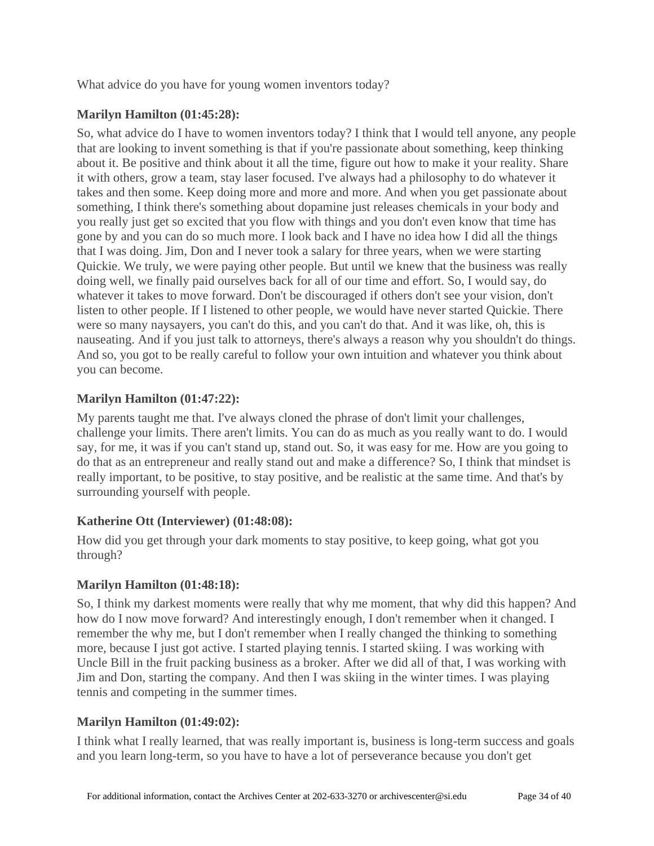What advice do you have for young women inventors today?

# **Marilyn Hamilton [\(01:45:28\)](https://www.rev.com/transcript-editor/Edit?token=eRA2Hv4yf0rZwG_ZcLy_MxKvfMEY9NwUxrIemwiLkkuBtsRxTgS7k7UBFqzIB67FV4ZrcY8T72Q04-VMuKnpRkVdYy8&loadFrom=DocumentDeeplink&ts=6328.61):**

So, what advice do I have to women inventors today? I think that I would tell anyone, any people that are looking to invent something is that if you're passionate about something, keep thinking about it. Be positive and think about it all the time, figure out how to make it your reality. Share it with others, grow a team, stay laser focused. I've always had a philosophy to do whatever it takes and then some. Keep doing more and more and more. And when you get passionate about something, I think there's something about dopamine just releases chemicals in your body and you really just get so excited that you flow with things and you don't even know that time has gone by and you can do so much more. I look back and I have no idea how I did all the things that I was doing. Jim, Don and I never took a salary for three years, when we were starting Quickie. We truly, we were paying other people. But until we knew that the business was really doing well, we finally paid ourselves back for all of our time and effort. So, I would say, do whatever it takes to move forward. Don't be discouraged if others don't see your vision, don't listen to other people. If I listened to other people, we would have never started Quickie. There were so many naysayers, you can't do this, and you can't do that. And it was like, oh, this is nauseating. And if you just talk to attorneys, there's always a reason why you shouldn't do things. And so, you got to be really careful to follow your own intuition and whatever you think about you can become.

# **Marilyn Hamilton [\(01:47:22\)](https://www.rev.com/transcript-editor/Edit?token=1wsYf3Q15bVSVNKTUNSyuBDq_UFYKBfKzKx53zD_eJNkmoTmcrjaP4t7SCVOJNPOApLZ-EZlJxjXasxB6kwT6ZaKCfk&loadFrom=DocumentDeeplink&ts=6442.7):**

My parents taught me that. I've always cloned the phrase of don't limit your challenges, challenge your limits. There aren't limits. You can do as much as you really want to do. I would say, for me, it was if you can't stand up, stand out. So, it was easy for me. How are you going to do that as an entrepreneur and really stand out and make a difference? So, I think that mindset is really important, to be positive, to stay positive, and be realistic at the same time. And that's by surrounding yourself with people.

## **Katherine Ott (Interviewer) [\(01:48:08\)](https://www.rev.com/transcript-editor/Edit?token=eFrlfKNiaJky3QbhOe7gxtOHdOZCFOeWOJCa2byD3tN7K_463JdOdfApvzJfglCbQAt0tYL-I-FmOvlpJbt_UF6HkO8&loadFrom=DocumentDeeplink&ts=6488.53):**

How did you get through your dark moments to stay positive, to keep going, what got you through?

## **Marilyn Hamilton [\(01:48:18\)](https://www.rev.com/transcript-editor/Edit?token=VQUsz3IzAnZCJxEgP6crfXQ6aphLUE7zqcG0hWCiGNIilKaou5nKRFm9ODuRWZyWb_yHoUS9SLejRcPj-IevmeIad_g&loadFrom=DocumentDeeplink&ts=6498.56):**

So, I think my darkest moments were really that why me moment, that why did this happen? And how do I now move forward? And interestingly enough, I don't remember when it changed. I remember the why me, but I don't remember when I really changed the thinking to something more, because I just got active. I started playing tennis. I started skiing. I was working with Uncle Bill in the fruit packing business as a broker. After we did all of that, I was working with Jim and Don, starting the company. And then I was skiing in the winter times. I was playing tennis and competing in the summer times.

## **Marilyn Hamilton [\(01:49:02\)](https://www.rev.com/transcript-editor/Edit?token=tawk2492gUpcy28A8qkbQl82n64HqhKOSv2FICHxhOkgdwoNGJTPmev_Aj2i0ryRkFsKWvk16xggH7iEvykMuLTA0Go&loadFrom=DocumentDeeplink&ts=6542.44):**

I think what I really learned, that was really important is, business is long-term success and goals and you learn long-term, so you have to have a lot of perseverance because you don't get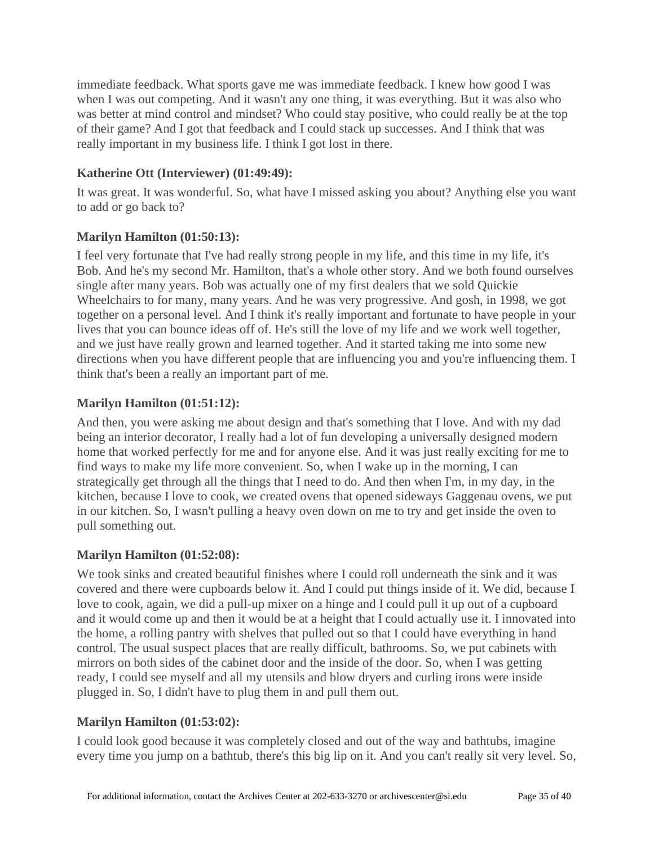immediate feedback. What sports gave me was immediate feedback. I knew how good I was when I was out competing. And it wasn't any one thing, it was everything. But it was also who was better at mind control and mindset? Who could stay positive, who could really be at the top of their game? And I got that feedback and I could stack up successes. And I think that was really important in my business life. I think I got lost in there.

# **Katherine Ott (Interviewer) [\(01:49:49\)](https://www.rev.com/transcript-editor/Edit?token=M-8-nBQ_Ibhe48WS7sAMNbsFC8uxhuo-CtWhCfg9Q-AwY1OEkc_tWvXUn21fXmTapp6Bp2tBiGVOZoq4hjVCGHf2gOw&loadFrom=DocumentDeeplink&ts=6589.61):**

It was great. It was wonderful. So, what have I missed asking you about? Anything else you want to add or go back to?

# **Marilyn Hamilton [\(01:50:13\)](https://www.rev.com/transcript-editor/Edit?token=_kNGi52cJ28KAmH28oCkEiYKkGaC_12HgSVjoWWattey5hyoNrt3KRIfFfrxF48ukXtF3WIZb5_d_FWo0UzxagkBwX4&loadFrom=DocumentDeeplink&ts=6613.17):**

I feel very fortunate that I've had really strong people in my life, and this time in my life, it's Bob. And he's my second Mr. Hamilton, that's a whole other story. And we both found ourselves single after many years. Bob was actually one of my first dealers that we sold Quickie Wheelchairs to for many, many years. And he was very progressive. And gosh, in 1998, we got together on a personal level. And I think it's really important and fortunate to have people in your lives that you can bounce ideas off of. He's still the love of my life and we work well together, and we just have really grown and learned together. And it started taking me into some new directions when you have different people that are influencing you and you're influencing them. I think that's been a really an important part of me.

# **Marilyn Hamilton [\(01:51:12\)](https://www.rev.com/transcript-editor/Edit?token=Hjs71XgwY7kc0WWuxo1AGWhsUvwywGi2m0tt8d4Hpq8INV-RMMDrFesy8UxGDURaWKBLrocjCOKGr6fyIpbGtf587sM&loadFrom=DocumentDeeplink&ts=6672.35):**

And then, you were asking me about design and that's something that I love. And with my dad being an interior decorator, I really had a lot of fun developing a universally designed modern home that worked perfectly for me and for anyone else. And it was just really exciting for me to find ways to make my life more convenient. So, when I wake up in the morning, I can strategically get through all the things that I need to do. And then when I'm, in my day, in the kitchen, because I love to cook, we created ovens that opened sideways Gaggenau ovens, we put in our kitchen. So, I wasn't pulling a heavy oven down on me to try and get inside the oven to pull something out.

## **Marilyn Hamilton [\(01:52:08\)](https://www.rev.com/transcript-editor/Edit?token=mvtBgEDOgGYvBXq_DuSfwfMIGYYVWZxaH-lrJ7VhVXUZ4OVmCb34WBFqD74lLnGdK-6VHMpY55hpNUoz8w-SgleH-oA&loadFrom=DocumentDeeplink&ts=6728.82):**

We took sinks and created beautiful finishes where I could roll underneath the sink and it was covered and there were cupboards below it. And I could put things inside of it. We did, because I love to cook, again, we did a pull-up mixer on a hinge and I could pull it up out of a cupboard and it would come up and then it would be at a height that I could actually use it. I innovated into the home, a rolling pantry with shelves that pulled out so that I could have everything in hand control. The usual suspect places that are really difficult, bathrooms. So, we put cabinets with mirrors on both sides of the cabinet door and the inside of the door. So, when I was getting ready, I could see myself and all my utensils and blow dryers and curling irons were inside plugged in. So, I didn't have to plug them in and pull them out.

## **Marilyn Hamilton [\(01:53:02\)](https://www.rev.com/transcript-editor/Edit?token=S4Qi67Zmc62poIPnx_cVHd4-RrXM3DQwuPqPn8Kk-Yf12ccO3f-66XzXfGj07OjsuwJO7G8QftcWEFqMApqKR9akP4Y&loadFrom=DocumentDeeplink&ts=6782.17):**

I could look good because it was completely closed and out of the way and bathtubs, imagine every time you jump on a bathtub, there's this big lip on it. And you can't really sit very level. So,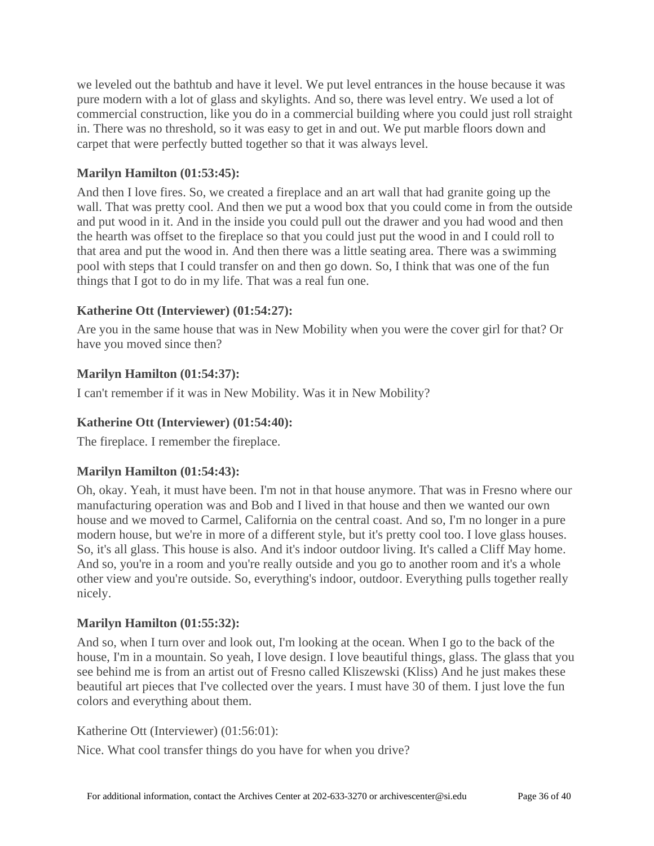we leveled out the bathtub and have it level. We put level entrances in the house because it was pure modern with a lot of glass and skylights. And so, there was level entry. We used a lot of commercial construction, like you do in a commercial building where you could just roll straight in. There was no threshold, so it was easy to get in and out. We put marble floors down and carpet that were perfectly butted together so that it was always level.

# **Marilyn Hamilton [\(01:53:45\)](https://www.rev.com/transcript-editor/Edit?token=S46Fv_ODiw9szSYjRPW5vr_wHGwMCfBqaVMKXjcC7w0Y8B6ahRovpNO6jXdA5KivX8p37HXMZis1y2rTxYlTN1x3qmw&loadFrom=DocumentDeeplink&ts=6825.51):**

And then I love fires. So, we created a fireplace and an art wall that had granite going up the wall. That was pretty cool. And then we put a wood box that you could come in from the outside and put wood in it. And in the inside you could pull out the drawer and you had wood and then the hearth was offset to the fireplace so that you could just put the wood in and I could roll to that area and put the wood in. And then there was a little seating area. There was a swimming pool with steps that I could transfer on and then go down. So, I think that was one of the fun things that I got to do in my life. That was a real fun one.

## **Katherine Ott (Interviewer) [\(01:54:27\)](https://www.rev.com/transcript-editor/Edit?token=hXwllVST2U9tYzt8NA5nVu81DZW6t7nfnT0yhhtumdn8WOSbK1vs63vRTRddiaCuhkyp5HhaCvdLXvxIAqv2ffK_cHw&loadFrom=DocumentDeeplink&ts=6867.91):**

Are you in the same house that was in New Mobility when you were the cover girl for that? Or have you moved since then?

# **Marilyn Hamilton [\(01:54:37\)](https://www.rev.com/transcript-editor/Edit?token=7QSXBvb_h6Txe_C2cpMrKb_LbcSwNewLzjfgYgy6wuoRdDJmhud7pAvgYxSjlvL8MuMula_g_1BLZNtz7g0wrLLdpNY&loadFrom=DocumentDeeplink&ts=6877.98):**

I can't remember if it was in New Mobility. Was it in New Mobility?

# **Katherine Ott (Interviewer) [\(01:54:40\)](https://www.rev.com/transcript-editor/Edit?token=Makkhj0w97gL5EllB2-VjKGM5ql0ry1BWN50sT9hE6xofdwTABJS-p_olw5YqdUISIjU19b-yi30MUNDWtE1ooHMAbs&loadFrom=DocumentDeeplink&ts=6880.77):**

The fireplace. I remember the fireplace.

## **Marilyn Hamilton [\(01:54:43\)](https://www.rev.com/transcript-editor/Edit?token=dMuoi_y6jreJACACiVij4wcrBh4nOwJW75kSlRbEY5ML-Mq2Ju6IIjignzoJZ2mGY3G9BbwCNFLNoobo0a-KJJElFJs&loadFrom=DocumentDeeplink&ts=6883.24):**

Oh, okay. Yeah, it must have been. I'm not in that house anymore. That was in Fresno where our manufacturing operation was and Bob and I lived in that house and then we wanted our own house and we moved to Carmel, California on the central coast. And so, I'm no longer in a pure modern house, but we're in more of a different style, but it's pretty cool too. I love glass houses. So, it's all glass. This house is also. And it's indoor outdoor living. It's called a Cliff May home. And so, you're in a room and you're really outside and you go to another room and it's a whole other view and you're outside. So, everything's indoor, outdoor. Everything pulls together really nicely.

## **Marilyn Hamilton [\(01:55:32\)](https://www.rev.com/transcript-editor/Edit?token=xG3r6nxUpM-5UhEvCUMKuw2zNWAcRGiG9O1Bw7D-IZVw0iAImPmnwpqX1mBVDjCcX6UXg5IrjNKcIhidmgGbWo4Wbx0&loadFrom=DocumentDeeplink&ts=6932.18):**

And so, when I turn over and look out, I'm looking at the ocean. When I go to the back of the house, I'm in a mountain. So yeah, I love design. I love beautiful things, glass. The glass that you see behind me is from an artist out of Fresno called Kliszewski (Kliss) And he just makes these beautiful art pieces that I've collected over the years. I must have 30 of them. I just love the fun colors and everything about them.

Katherine Ott (Interviewer) [\(01:56:01\)](https://www.rev.com/transcript-editor/Edit?token=B6gHquIzMqbowB1KjgyaqAkJlKMrkOLY77GFO8srz32IHGGMHd0Uk1PtKeEZKCQiDPLRhuH-aB9v_aaZ261J8_dzqfw&loadFrom=DocumentDeeplink&ts=6961.42):

Nice. What cool transfer things do you have for when you drive?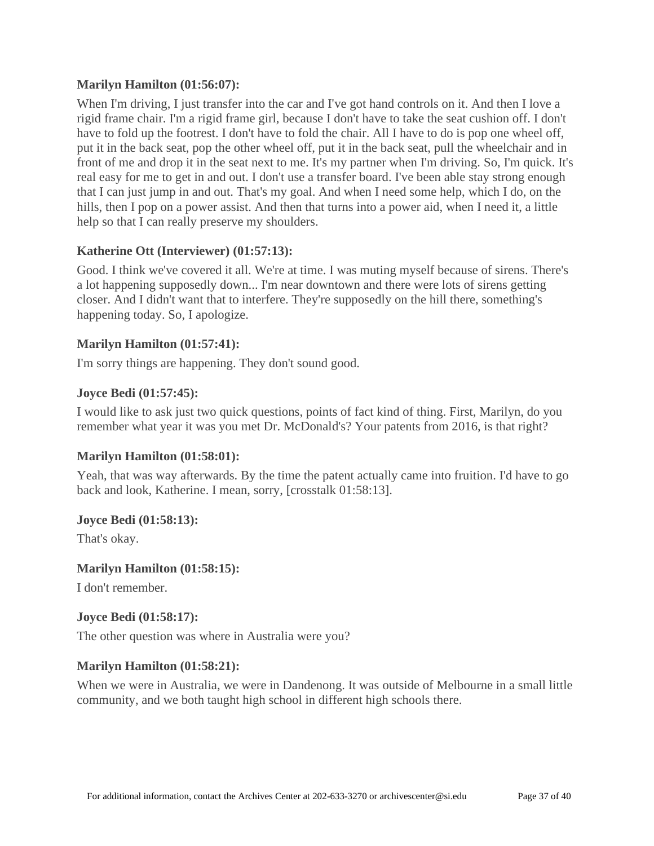### **Marilyn Hamilton [\(01:56:07\)](https://www.rev.com/transcript-editor/Edit?token=L7IWvRBOWrqxEusgB9ljD6_s2TgCNmFy2DRhBXtzft6jAL_K-hVI6dZOlaJzLrPAOGadEB6QKrEvh5uoak5ZCuL2N88&loadFrom=DocumentDeeplink&ts=6967.45):**

When I'm driving, I just transfer into the car and I've got hand controls on it. And then I love a rigid frame chair. I'm a rigid frame girl, because I don't have to take the seat cushion off. I don't have to fold up the footrest. I don't have to fold the chair. All I have to do is pop one wheel off, put it in the back seat, pop the other wheel off, put it in the back seat, pull the wheelchair and in front of me and drop it in the seat next to me. It's my partner when I'm driving. So, I'm quick. It's real easy for me to get in and out. I don't use a transfer board. I've been able stay strong enough that I can just jump in and out. That's my goal. And when I need some help, which I do, on the hills, then I pop on a power assist. And then that turns into a power aid, when I need it, a little help so that I can really preserve my shoulders.

### **Katherine Ott (Interviewer) [\(01:57:13\)](https://www.rev.com/transcript-editor/Edit?token=jDUs9qqUnFSRT4oHotN_tDWwmSfBR_KUe6ndzv_SB7b0aOViG8yXoT-HyLfEOoZP2BqdrRaHp-GtyHwxsGze_02nB5c&loadFrom=DocumentDeeplink&ts=7033.23):**

Good. I think we've covered it all. We're at time. I was muting myself because of sirens. There's a lot happening supposedly down... I'm near downtown and there were lots of sirens getting closer. And I didn't want that to interfere. They're supposedly on the hill there, something's happening today. So, I apologize.

### **Marilyn Hamilton [\(01:57:41\)](https://www.rev.com/transcript-editor/Edit?token=ymIcdhGryhAcIz967nlMsFWLICGsVWcUawdbnY4pqO8YdM76vvuC9MdEFm_x8tQHBElatZmjXp_InYM73TjNbz4WiAU&loadFrom=DocumentDeeplink&ts=7061.29):**

I'm sorry things are happening. They don't sound good.

### **Joyce Bedi [\(01:57:45\)](https://www.rev.com/transcript-editor/Edit?token=lAePV5ulivOLVBGYkXbZeDvQtLF29-TQuVqwuPzw8B3ednSy26TWATdIe8lvbv3SI3p9ZIpwayTLMBXo1y5GV0aDVU8&loadFrom=DocumentDeeplink&ts=7065.76):**

I would like to ask just two quick questions, points of fact kind of thing. First, Marilyn, do you remember what year it was you met Dr. McDonald's? Your patents from 2016, is that right?

### **Marilyn Hamilton [\(01:58:01\)](https://www.rev.com/transcript-editor/Edit?token=P3brABpTziE8QO2eN1d5oxrO5Ri_yYkFTDxDulCfTTlEIGIOK1QJ20jkAWqyukr32DgUOhYaYr218iFY0le6vWPknWk&loadFrom=DocumentDeeplink&ts=7081.07):**

Yeah, that was way afterwards. By the time the patent actually came into fruition. I'd have to go back and look, Katherine. I mean, sorry, [crosstalk 01:58:13].

### **Joyce Bedi [\(01:58:13\)](https://www.rev.com/transcript-editor/Edit?token=ATzK8DN1SrlUsE07ChrfR-mmuPiwq8_DXAysrsvD3_7cwvjw5ViEpfFE0U4JKAaWGhJkx_t1Sz9JY7Nq1v3RVMb92QU&loadFrom=DocumentDeeplink&ts=7093.6):**

That's okay.

### **Marilyn Hamilton [\(01:58:15\)](https://www.rev.com/transcript-editor/Edit?token=UMX6qn353o0JpaCpz5ef4WGthOjkVf0t3vaxNg9uWw7dTW11GxGTT1MRpMLXrS0wmTQYh2O9CaH7Ac2rM00HKX5rFxI&loadFrom=DocumentDeeplink&ts=7095.52):**

I don't remember.

### **Joyce Bedi [\(01:58:17\)](https://www.rev.com/transcript-editor/Edit?token=2h1eQ9syA5aK3yssf3-Nzb5hajtUnp8gGmmCkmsNrxj7J2kLsOfDyNcAHSO6gXvakGkrFl88qNUGrZioHA9bv5xnldg&loadFrom=DocumentDeeplink&ts=7097.26):**

The other question was where in Australia were you?

### **Marilyn Hamilton [\(01:58:21\)](https://www.rev.com/transcript-editor/Edit?token=hmyFcFOLcTSA0VyjAuBU92qkyRzMBZdW5v7oNowtFELhlzmh3fzxRTMp5sNQd-pwrBMfXg6CBXv5nRcLort_oOqE_eA&loadFrom=DocumentDeeplink&ts=7101.74):**

When we were in Australia, we were in Dandenong. It was outside of Melbourne in a small little community, and we both taught high school in different high schools there.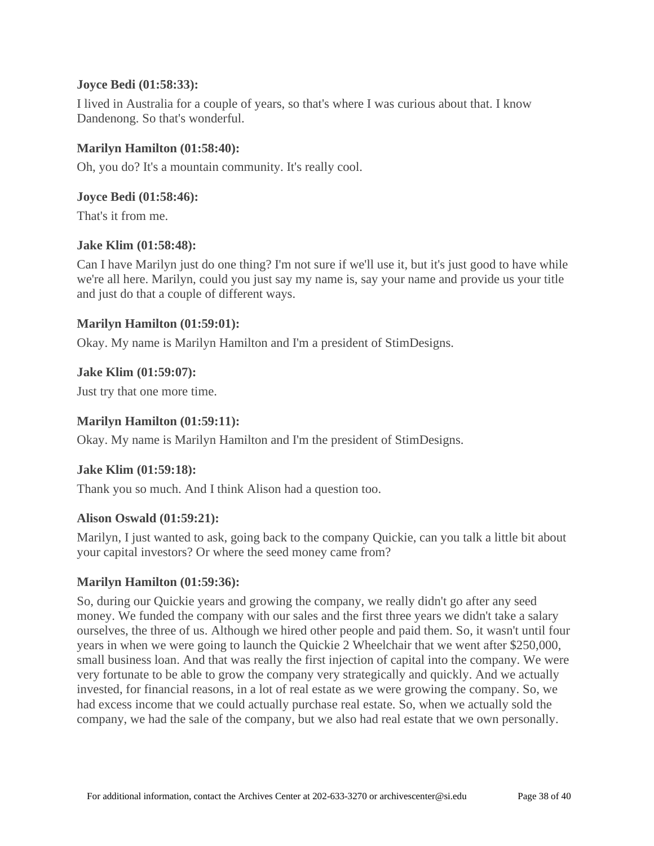### **Joyce Bedi [\(01:58:33\)](https://www.rev.com/transcript-editor/Edit?token=KvyvwyhD7HWL1txbS2ZQ7c3JvdvV2N8GuXfMw50Q6vDTYtomaGUDP_KGsk99VXL59ZOnCPl-HeU0W2W7TwGmnrl8sag&loadFrom=DocumentDeeplink&ts=7113.87):**

I lived in Australia for a couple of years, so that's where I was curious about that. I know Dandenong. So that's wonderful.

### **Marilyn Hamilton [\(01:58:40\)](https://www.rev.com/transcript-editor/Edit?token=-HiTd6kBml12iTs6-c_HnqIKLwRSFOE_wpAt9QweMJo259gwtKL6TS7coe-bHqyhkRgxIB3CD5wlqHaP04R3i7aP3YQ&loadFrom=DocumentDeeplink&ts=7120.79):**

Oh, you do? It's a mountain community. It's really cool.

### **Joyce Bedi [\(01:58:46\)](https://www.rev.com/transcript-editor/Edit?token=-klS4jlW80PtjsISD16SSdV-p_nbH2flwj9agn1kp7AddDv8Feici2zd-M521u7GxIwZrRIxWK6HYRMHhj9-l-S5UZg&loadFrom=DocumentDeeplink&ts=7126.85):**

That's it from me.

### **Jake Klim [\(01:58:48\)](https://www.rev.com/transcript-editor/Edit?token=aYACuX364M7EJVGGXVCKPoIxY37SaasHlgFI-Cd1LMnRayrATGgDgLTnnVqEWdRG4koURSgv7fv1B2D8qDNrWfj7sVk&loadFrom=DocumentDeeplink&ts=7128.51):**

Can I have Marilyn just do one thing? I'm not sure if we'll use it, but it's just good to have while we're all here. Marilyn, could you just say my name is, say your name and provide us your title and just do that a couple of different ways.

### **Marilyn Hamilton [\(01:59:01\)](https://www.rev.com/transcript-editor/Edit?token=JNzeqkKslofThjkDSxDE9PiSbeP9dtU6CiNfvikRMikSXfI9-rts_Kx5jM8Fg0cCrT5iWhnBlpW1STfGbFz_DcMdR8Y&loadFrom=DocumentDeeplink&ts=7141.05):**

Okay. My name is Marilyn Hamilton and I'm a president of StimDesigns.

### **Jake Klim [\(01:59:07\)](https://www.rev.com/transcript-editor/Edit?token=5wZzKyJUg3YaERvmzB1teU9B5CfxSi8X17mZIAYVkIKKEj-CYU0h28Nr7MzvL2aFbKjyHy3nXaAsKXdSb14y6MgjxEs&loadFrom=DocumentDeeplink&ts=7147.38):**

Just try that one more time.

### **Marilyn Hamilton [\(01:59:11\)](https://www.rev.com/transcript-editor/Edit?token=oUTK66bBFfPaa27371fu98lw5Wsbso0TEJWp7J55xW56KQaRb7Mz5ljVH5pLGi_pNGWwsQMEm0A8Tglj47EFiE_oGGw&loadFrom=DocumentDeeplink&ts=7151.86):**

Okay. My name is Marilyn Hamilton and I'm the president of StimDesigns.

## **Jake Klim [\(01:59:18\)](https://www.rev.com/transcript-editor/Edit?token=3uLidg4cTlo6KavZXyc6djdE5NkOLQ08zfXjEsSJRLAD700rZAHtyqOyl2LBGwdfVGfaHo1b3ryww7cJoNkymGTN3tI&loadFrom=DocumentDeeplink&ts=7158.68):**

Thank you so much. And I think Alison had a question too.

### **Alison Oswald [\(01:59:21\)](https://www.rev.com/transcript-editor/Edit?token=s_uB_D7kC2q_xoWQWmFK-CtKc6MOtAOa713xNjGsTwXvxElVChJAESxb-UuZonP-a3GUbYU3HQLn0njGyz4-qg4a_i0&loadFrom=DocumentDeeplink&ts=7161.97):**

Marilyn, I just wanted to ask, going back to the company Quickie, can you talk a little bit about your capital investors? Or where the seed money came from?

### **Marilyn Hamilton [\(01:59:36\)](https://www.rev.com/transcript-editor/Edit?token=mPHGwheay22Elk7kdaHJvSFlqsE7jgk9IuZF-KW3wfPSgPsVx_B95hUUpEHlZzOjPR6oVo0KhvZUlYRcnzyBMOaN-sI&loadFrom=DocumentDeeplink&ts=7176.46):**

So, during our Quickie years and growing the company, we really didn't go after any seed money. We funded the company with our sales and the first three years we didn't take a salary ourselves, the three of us. Although we hired other people and paid them. So, it wasn't until four years in when we were going to launch the Quickie 2 Wheelchair that we went after \$250,000, small business loan. And that was really the first injection of capital into the company. We were very fortunate to be able to grow the company very strategically and quickly. And we actually invested, for financial reasons, in a lot of real estate as we were growing the company. So, we had excess income that we could actually purchase real estate. So, when we actually sold the company, we had the sale of the company, but we also had real estate that we own personally.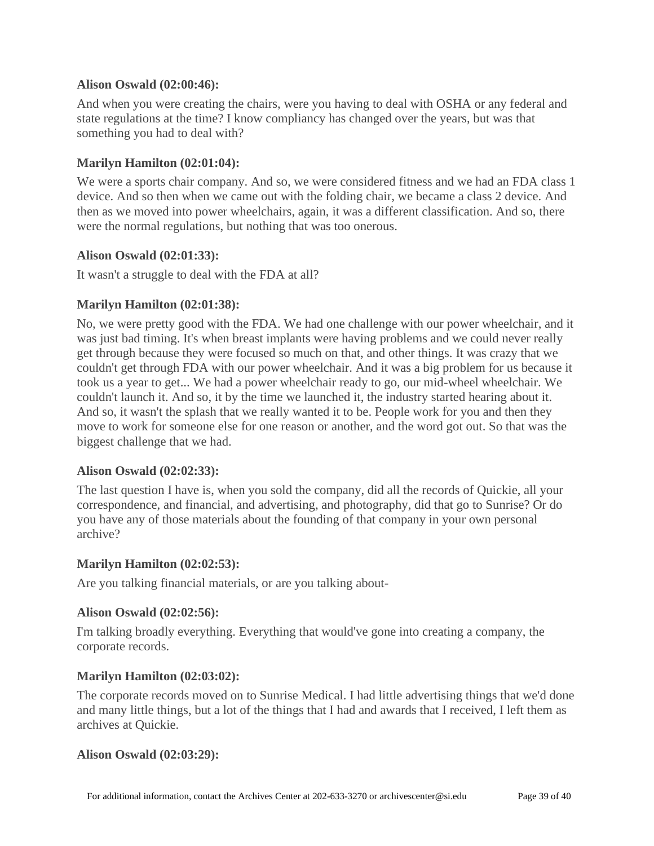### **Alison Oswald [\(02:00:46\)](https://www.rev.com/transcript-editor/Edit?token=QOSacr5fSKIv5EkAOa6SmYGHLRoED4MQ3Dvw0fsWDeCn_UgcTrLyGJgFiNgsnI_acfsZrCEVeA1J-gqUfzRqiqh7sPk&loadFrom=DocumentDeeplink&ts=7246.36):**

And when you were creating the chairs, were you having to deal with OSHA or any federal and state regulations at the time? I know compliancy has changed over the years, but was that something you had to deal with?

### **Marilyn Hamilton [\(02:01:04\)](https://www.rev.com/transcript-editor/Edit?token=rp5BuToW6kUOW7qH9LfuKiolmj9xfp_Ha5vO-vftfNUCQLQby65_PhhvNjyy9ASNTxgMDPESTKaEPAMeSVbtFS777gE&loadFrom=DocumentDeeplink&ts=7264.04):**

We were a sports chair company. And so, we were considered fitness and we had an FDA class 1 device. And so then when we came out with the folding chair, we became a class 2 device. And then as we moved into power wheelchairs, again, it was a different classification. And so, there were the normal regulations, but nothing that was too onerous.

### **Alison Oswald [\(02:01:33\)](https://www.rev.com/transcript-editor/Edit?token=5YRzH884Z9okZo5hd11lBaRqK2e7yuLKKCgLHh4mz84IThXbmf1-4gzCpQARmVgmhRP4JvN2EQp4cUVSr8EqyjW76Z4&loadFrom=DocumentDeeplink&ts=7293.23):**

It wasn't a struggle to deal with the FDA at all?

### **Marilyn Hamilton [\(02:01:38\)](https://www.rev.com/transcript-editor/Edit?token=PXqQkSdP8GVBfO_A8WEWHjoin7I0-Yyi-HEg20IxedzXQDKf0-csZx6keoNJhv393q7Iwo4wH3AJTBHRp96N4B8O4_g&loadFrom=DocumentDeeplink&ts=7298.42):**

No, we were pretty good with the FDA. We had one challenge with our power wheelchair, and it was just bad timing. It's when breast implants were having problems and we could never really get through because they were focused so much on that, and other things. It was crazy that we couldn't get through FDA with our power wheelchair. And it was a big problem for us because it took us a year to get... We had a power wheelchair ready to go, our mid-wheel wheelchair. We couldn't launch it. And so, it by the time we launched it, the industry started hearing about it. And so, it wasn't the splash that we really wanted it to be. People work for you and then they move to work for someone else for one reason or another, and the word got out. So that was the biggest challenge that we had.

### **Alison Oswald [\(02:02:33\)](https://www.rev.com/transcript-editor/Edit?token=rnY8xmw2Wwr1SU7AQ5RI7wfVGpXf1-y7ehqWoTjzfwZqTnbwPNNyhHC8MCvFJIA_98UVFHOLKxYMYP0o2IrE-Q6PP9U&loadFrom=DocumentDeeplink&ts=7353.99):**

The last question I have is, when you sold the company, did all the records of Quickie, all your correspondence, and financial, and advertising, and photography, did that go to Sunrise? Or do you have any of those materials about the founding of that company in your own personal archive?

### **Marilyn Hamilton [\(02:02:53\)](https://www.rev.com/transcript-editor/Edit?token=lPdu56UD_9pSqiEjsq6v4Rm8O1whGCMEuN6ON5d1WU05Oe-dyzezDbaRdujCSTAF10YTE0K9CEv6vN5T2JHxr880nEg&loadFrom=DocumentDeeplink&ts=7373.49):**

Are you talking financial materials, or are you talking about-

### **Alison Oswald [\(02:02:56\)](https://www.rev.com/transcript-editor/Edit?token=gFLs6wr50Tw4PnlfJoR7KcVkJDTXIUSnSTzp0zqgv5get87sQ4so7jBUFZi4EUsQuyZ6Yz_yEQBRQiVQBNIzorSTjZk&loadFrom=DocumentDeeplink&ts=7376.57):**

I'm talking broadly everything. Everything that would've gone into creating a company, the corporate records.

### **Marilyn Hamilton [\(02:03:02\)](https://www.rev.com/transcript-editor/Edit?token=Q2ywGzK_qnZhrfzZep5H2ZYgyNVprU2JD4q1Gx0A1Vw4N8Yd66JYrZKz1foerAjUhGQBrP_MCgyHLTZY3oS9TNwN7tE&loadFrom=DocumentDeeplink&ts=7382.72):**

The corporate records moved on to Sunrise Medical. I had little advertising things that we'd done and many little things, but a lot of the things that I had and awards that I received, I left them as archives at Quickie.

### **Alison Oswald [\(02:03:29\)](https://www.rev.com/transcript-editor/Edit?token=x99NibN9nNNoOKf13I_3iSkZ0Y9plLBbfVQ04oi_W6XFMU5RRBUznOdXX5UYsVyZRZng803yz7dkVBoEDXs06Wh3JYo&loadFrom=DocumentDeeplink&ts=7409.41):**